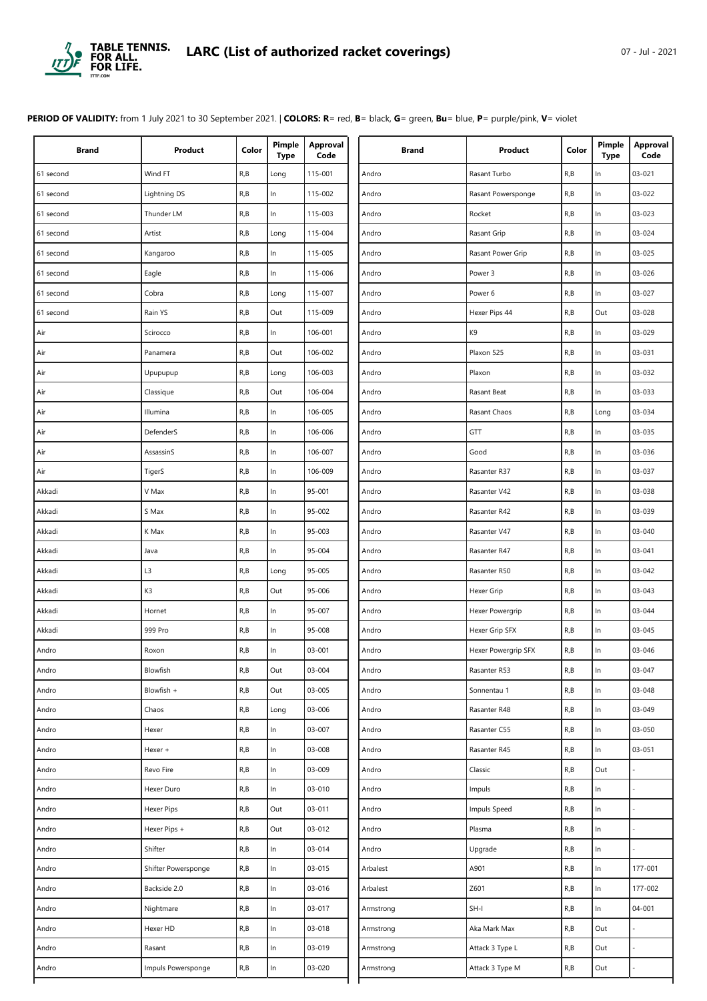

**PERIOD OF VALIDITY:** from 1 July 2021 to 30 September 2021. | **COLORS: R**= red, **B**= black, **G**= green, **Bu**= blue, **P**= purple/pink, **V**= violet

| <b>Brand</b> | Product             | Color | Pimple<br><b>Type</b> | Approval<br>Code | Brand     | Product             | Color | Pimple<br><b>Type</b> | Approval<br>Code |
|--------------|---------------------|-------|-----------------------|------------------|-----------|---------------------|-------|-----------------------|------------------|
| 61 second    | Wind FT             | R, B  | Long                  | 115-001          | Andro     | Rasant Turbo        | R, B  | In                    | 03-021           |
| 61 second    | Lightning DS        | R, B  | $\ln$                 | 115-002          | Andro     | Rasant Powersponge  | R, B  | $\ln$                 | 03-022           |
| 61 second    | Thunder LM          | R, B  | $\ln$                 | 115-003          | Andro     | Rocket              | R, B  | $\ln$                 | 03-023           |
| 61 second    | Artist              | R, B  | Long                  | 115-004          | Andro     | Rasant Grip         | R, B  | $\ln$                 | 03-024           |
| 61 second    | Kangaroo            | R, B  | $\ln$                 | 115-005          | Andro     | Rasant Power Grip   | R, B  | In                    | 03-025           |
| 61 second    | Eagle               | R, B  | In                    | 115-006          | Andro     | Power 3             | R, B  | In                    | 03-026           |
| 61 second    | Cobra               | R, B  | Long                  | 115-007          | Andro     | Power 6             | R, B  | $\ln$                 | 03-027           |
| 61 second    | Rain YS             | R, B  | Out                   | 115-009          | Andro     | Hexer Pips 44       | R, B  | Out                   | 03-028           |
| Air          | Scirocco            | R, B  | $\ln$                 | 106-001          | Andro     | K9                  | R, B  | $\ln$                 | 03-029           |
| Air          | Panamera            | R, B  | Out                   | 106-002          | Andro     | Plaxon 525          | R, B  | $\ln$                 | 03-031           |
| Air          | Upupupup            | R, B  | Long                  | 106-003          | Andro     | Plaxon              | R, B  | $\ln$                 | 03-032           |
| Air          | Classique           | R, B  | Out                   | 106-004          | Andro     | Rasant Beat         | R, B  | $\ln$                 | 03-033           |
| Air          | Illumina            | R, B  | In                    | 106-005          | Andro     | Rasant Chaos        | R, B  | Long                  | 03-034           |
| Air          | <b>DefenderS</b>    | R, B  | $\ln$                 | 106-006          | Andro     | GTT                 | R, B  | $\ln$                 | 03-035           |
| Air          | AssassinS           | R, B  | $\ln$                 | 106-007          | Andro     | Good                | R, B  | $\ln$                 | 03-036           |
| Air          | TigerS              | R, B  | $\ln$                 | 106-009          | Andro     | Rasanter R37        | R, B  | $\ln$                 | 03-037           |
| Akkadi       | V Max               | R, B  | $\ln$                 | 95-001           | Andro     | Rasanter V42        | R, B  | $\ln$                 | 03-038           |
| Akkadi       | S Max               | R, B  | $\ln$                 | 95-002           | Andro     | Rasanter R42        | R, B  | $\ln$                 | 03-039           |
| Akkadi       | K Max               | R, B  | In                    | 95-003           | Andro     | Rasanter V47        | R, B  | In                    | 03-040           |
| Akkadi       | Java                | R, B  | In.                   | 95-004           | Andro     | Rasanter R47        | R, B  | In                    | $03 - 041$       |
| Akkadi       | L3                  | R, B  | Long                  | 95-005           | Andro     | Rasanter R50        | R, B  | $\ln$                 | $03 - 042$       |
| Akkadi       | K3                  | R, B  | Out                   | 95-006           | Andro     | Hexer Grip          | R, B  | $\ln$                 | 03-043           |
| Akkadi       | Hornet              | R, B  | In                    | 95-007           | Andro     | Hexer Powergrip     | R, B  | $\ln$                 | 03-044           |
| Akkadi       | 999 Pro             | R, B  | In                    | 95-008           | Andro     | Hexer Grip SFX      | R, B  | In                    | 03-045           |
| Andro        | Roxon               | R, B  | In                    | 03-001           | Andro     | Hexer Powergrip SFX | R, B  | $\ln$                 | 03-046           |
| Andro        | Blowfish            | R, B  | Out                   | 03-004           | Andro     | Rasanter R53        | R, B  | In                    | 03-047           |
| Andro        | Blowfish +          | R, B  | Out                   | 03-005           | Andro     | Sonnentau 1         | R, B  | $\ln$                 | 03-048           |
| Andro        | Chaos               | R, B  | Long                  | 03-006           | Andro     | Rasanter R48        | R, B  | $\ln$                 | 03-049           |
| Andro        | Hexer               | R, B  | In.                   | 03-007           | Andro     | Rasanter C55        | R, B  | $\ln$                 | 03-050           |
| Andro        | Hexer +             | R, B  | $\ln$                 | 03-008           | Andro     | Rasanter R45        | R, B  | $\ln$                 | 03-051           |
| Andro        | Revo Fire           | R, B  | $\ln$                 | 03-009           | Andro     | Classic             | R, B  | Out                   |                  |
| Andro        | Hexer Duro          | R, B  | $\ln$                 | 03-010           | Andro     | Impuls              | R, B  | $\ln$                 |                  |
| Andro        | Hexer Pips          | R, B  | Out                   | 03-011           | Andro     | Impuls Speed        | R, B  | $\ln$                 |                  |
| Andro        | Hexer Pips +        | R, B  | Out                   | 03-012           | Andro     | Plasma              | R, B  | $\ln$                 |                  |
| Andro        | Shifter             | R, B  | $\ln$                 | 03-014           | Andro     | Upgrade             | R, B  | $\ln$                 |                  |
| Andro        | Shifter Powersponge | R, B  | $\ln$                 | 03-015           | Arbalest  | A901                | R, B  | $\mathsf{In}$         | 177-001          |
| Andro        | Backside 2.0        | R, B  | $\ln$                 | 03-016           | Arbalest  | Z601                | R, B  | $\ln$                 | 177-002          |
| Andro        | Nightmare           | R, B  | ln                    | 03-017           | Armstrong | $SH-I$              | R, B  | $\ln$                 | $04 - 001$       |
| Andro        | Hexer HD            | R, B  | ln                    | 03-018           | Armstrong | Aka Mark Max        | R, B  | Out                   |                  |
| Andro        | Rasant              | R, B  | $\ln$                 | 03-019           | Armstrong | Attack 3 Type L     | R, B  | Out                   |                  |
| Andro        | Impuls Powersponge  | R, B  | $\ln$                 | 03-020           | Armstrong | Attack 3 Type M     | R, B  | Out                   |                  |
|              |                     |       |                       |                  |           |                     |       |                       |                  |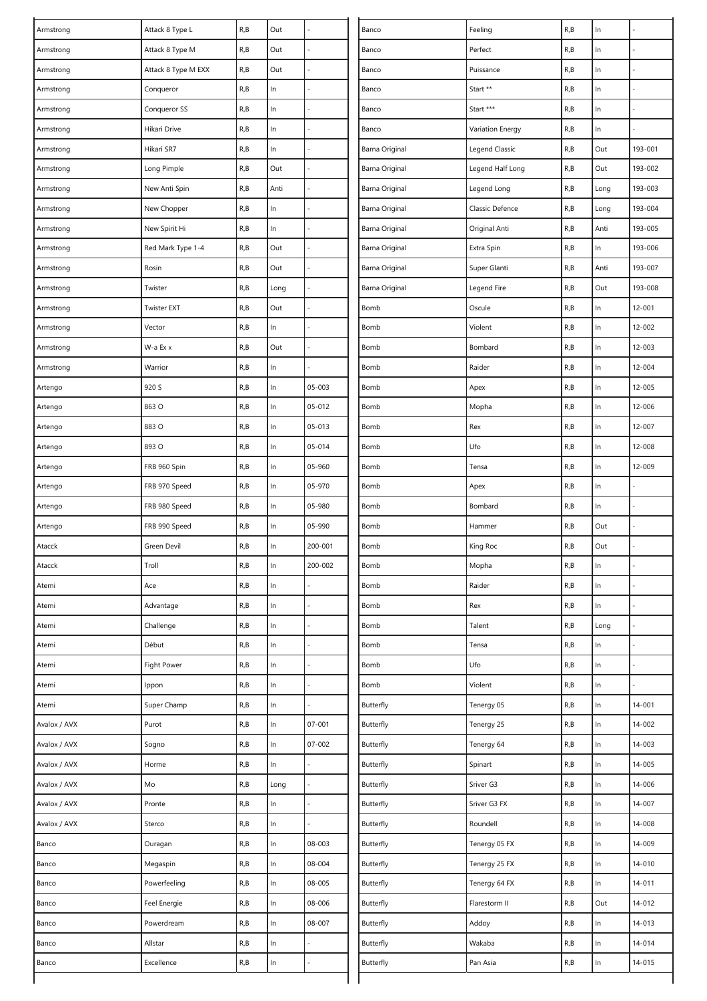| Armstrong    | Attack 8 Type L     | R, B | Out   |         | Banco          | Feeling          | R, B                    | $\ln$ |            |
|--------------|---------------------|------|-------|---------|----------------|------------------|-------------------------|-------|------------|
| Armstrong    | Attack 8 Type M     | R, B | Out   |         | Banco          | Perfect          | R, B                    | In    |            |
| Armstrong    | Attack 8 Type M EXX | R, B | Out   |         | Banco          | Puissance        | R, B                    | $\ln$ |            |
| Armstrong    | Conqueror           | R, B | $\ln$ |         | Banco          | Start **         | R, B                    | $\ln$ |            |
| Armstrong    | Conqueror SS        | R, B | $\ln$ |         | Banco          | Start ***        | R, B                    | In    |            |
| Armstrong    | Hikari Drive        | R, B | $\ln$ |         | Banco          | Variation Energy | R, B                    | In    |            |
| Armstrong    | Hikari SR7          | R, B | In    |         | Barna Original | Legend Classic   | R, B                    | Out   | 193-001    |
| Armstrong    | Long Pimple         | R, B | Out   |         | Barna Original | Legend Half Long | R,B                     | Out   | 193-002    |
| Armstrong    | New Anti Spin       | R, B | Anti  |         | Barna Original | Legend Long      | $\mathsf{R},\mathsf{B}$ | Long  | 193-003    |
| Armstrong    | New Chopper         | R, B | $\ln$ |         | Barna Original | Classic Defence  | R, B                    | Long  | 193-004    |
| Armstrong    | New Spirit Hi       | R, B | ln    |         | Barna Original | Original Anti    | R, B                    | Anti  | 193-005    |
| Armstrong    | Red Mark Type 1-4   | R, B | Out   |         | Barna Original | Extra Spin       | R, B                    | $\ln$ | 193-006    |
| Armstrong    | Rosin               | R, B | Out   |         | Barna Original | Super Glanti     | R, B                    | Anti  | 193-007    |
| Armstrong    | Twister             | R, B | Long  |         | Barna Original | Legend Fire      | R, B                    | Out   | 193-008    |
| Armstrong    | <b>Twister EXT</b>  | R, B | Out   |         | Bomb           | Oscule           | R, B                    | In    | 12-001     |
| Armstrong    | Vector              | R, B | In    |         | Bomb           | Violent          | R, B                    | $\ln$ | 12-002     |
| Armstrong    | W-a Ex x            | R, B | Out   |         | Bomb           | Bombard          | R, B                    | $\ln$ | 12-003     |
| Armstrong    | Warrior             | R, B | ln    |         | Bomb           | Raider           | R, B                    | In    | 12-004     |
| Artengo      | 920 S               | R, B | $\ln$ | 05-003  | Bomb           | Apex             | R, B                    | $\ln$ | $12 - 005$ |
| Artengo      | 863 O               | R, B | $\ln$ | 05-012  | Bomb           | Mopha            | R, B                    | $\ln$ | 12-006     |
| Artengo      | 883 O               | R, B | In    | 05-013  | Bomb           | Rex              | R, B                    | $\ln$ | 12-007     |
| Artengo      | 893 O               | R, B | $\ln$ | 05-014  | Bomb           | Ufo              | R, B                    | $\ln$ | 12-008     |
| Artengo      | FRB 960 Spin        | R, B | $\ln$ | 05-960  | Bomb           | Tensa            | R, B                    | $\ln$ | 12-009     |
| Artengo      | FRB 970 Speed       | R, B | $\ln$ | 05-970  | Bomb           | Apex             | R, B                    | $\ln$ |            |
| Artengo      | FRB 980 Speed       | R, B | In    | 05-980  | Bomb           | Bombard          | R, B                    | In    |            |
| Artengo      | FRB 990 Speed       | R, B | In    | 05-990  | Bomb           | Hammer           | R, B                    | Out   |            |
| Atacck       | Green Devil         | R, B | In    | 200-001 | Bomb           | King Roc         | R, B                    | Out   |            |
| Atacck       | Troll               | R, B | ln    | 200-002 | Bomb           | Mopha            | R, B                    | In    |            |
| Atemi        | Ace                 | R, B | $\ln$ |         | Bomb           | Raider           | R, B                    | In    |            |
| Atemi        | Advantage           | R, B | ln    |         | Bomb           | Rex              | R, B                    | In    |            |
| Atemi        | Challenge           | R, B | $\ln$ |         | Bomb           | Talent           | R, B                    | Long  |            |
| Atemi        | Début               | R, B | $\ln$ |         | Bomb           | Tensa            | R, B                    | $\ln$ |            |
| Atemi        | Fight Power         | R, B | $\ln$ |         | Bomb           | Ufo              | R, B                    | In    |            |
| Atemi        | Ippon               | R, B | $\ln$ |         | Bomb           | Violent          | R, B                    | $\ln$ |            |
| Atemi        | Super Champ         | R, B | $\ln$ |         | Butterfly      | Tenergy 05       | R, B                    | $\ln$ | 14-001     |
| Avalox / AVX | Purot               | R, B | $\ln$ | 07-001  | Butterfly      | Tenergy 25       | R, B                    | $\ln$ | 14-002     |
| Avalox / AVX | Sogno               | R, B | ln    | 07-002  | Butterfly      | Tenergy 64       | R,B                     | $\ln$ | 14-003     |
| Avalox / AVX | Horme               | R, B | ln    |         | Butterfly      | Spinart          | R, B                    | $\ln$ | 14-005     |
| Avalox / AVX | Mo                  | R, B | Long  |         | Butterfly      | Sriver G3        | R, B                    | In    | 14-006     |
| Avalox / AVX | Pronte              | R, B | ln    |         | Butterfly      | Sriver G3 FX     | R, B                    | $\ln$ | 14-007     |
| Avalox / AVX | Sterco              | R, B | $\ln$ |         | Butterfly      | Roundell         | R, B                    | $\ln$ | 14-008     |
| Banco        | Ouragan             | R, B | $\ln$ | 08-003  | Butterfly      | Tenergy 05 FX    | R, B                    | $\ln$ | 14-009     |
| Banco        | Megaspin            | R, B | ln    | 08-004  | Butterfly      | Tenergy 25 FX    | R, B                    | $\ln$ | 14-010     |
| Banco        | Powerfeeling        | R, B | ln    | 08-005  | Butterfly      | Tenergy 64 FX    | R, B                    | $\ln$ | 14-011     |
| Banco        | Feel Energie        | R, B | $\ln$ | 08-006  | Butterfly      | Flarestorm II    | R, B                    | Out   | 14-012     |
| Banco        | Powerdream          | R, B | $\ln$ | 08-007  | Butterfly      | Addoy            | R, B                    | $\ln$ | 14-013     |
| Banco        | Allstar             | R, B | $\ln$ |         | Butterfly      | Wakaba           | R, B                    | In    | 14-014     |
| Banco        | Excellence          | R, B | ln    |         | Butterfly      | Pan Asia         | R, B                    | $\ln$ | 14-015     |
|              |                     |      |       |         |                |                  |                         |       |            |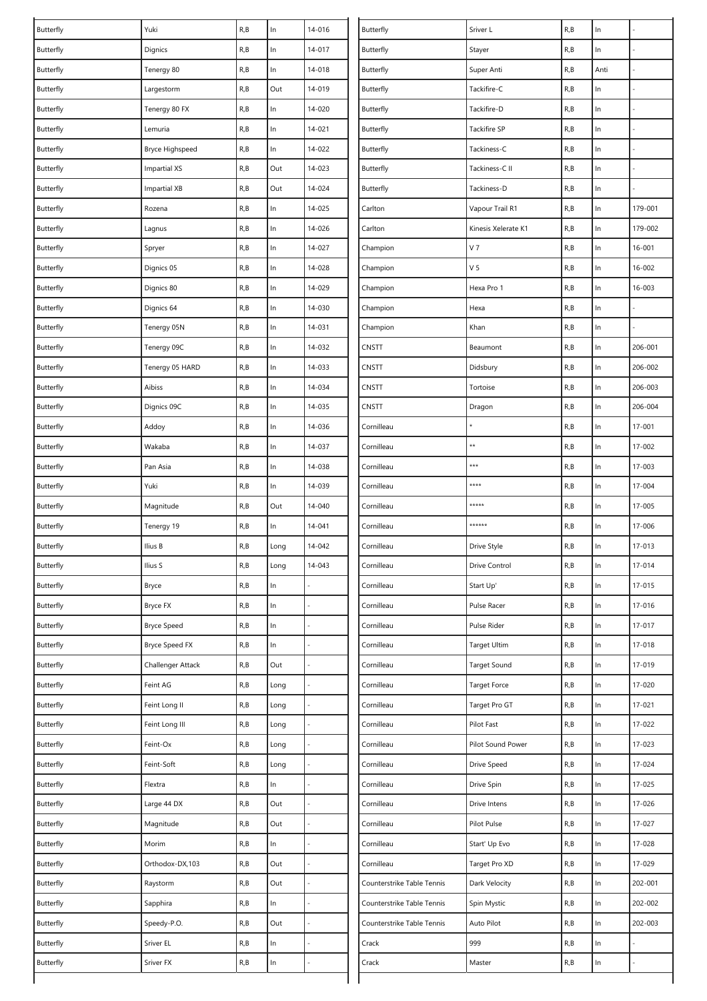| Butterfly | Yuki                | R, B | $\ln$ | 14-016         | Butterfly                  | Sriver L             | R,B  | $\ln$         |            |
|-----------|---------------------|------|-------|----------------|----------------------------|----------------------|------|---------------|------------|
| Butterfly | Dignics             | R, B | $\ln$ | 14-017         | Butterfly                  | Stayer               | R,B  | In            |            |
| Butterfly | Tenergy 80          | R, B | $\ln$ | 14-018         | Butterfly                  | Super Anti           | R, B | Anti          |            |
| Butterfly | Largestorm          | R, B | Out   | 14-019         | Butterfly                  | Tackifire-C          | R, B | $\ln$         |            |
| Butterfly | Tenergy 80 FX       | R, B | ln    | 14-020         | Butterfly                  | Tackifire-D          | R, B | $\ln$         |            |
| Butterfly | Lemuria             | R, B | $\ln$ | 14-021         | Butterfly                  | Tackifire SP         | R, B | In            |            |
| Butterfly | Bryce Highspeed     | R, B | In    | 14-022         | Butterfly                  | Tackiness-C          | R, B | $\ln$         |            |
| Butterfly | <b>Impartial XS</b> | R, B | Out   | 14-023         | Butterfly                  | Tackiness-C II       | R, B | $\ln$         |            |
| Butterfly | <b>Impartial XB</b> | R, B | Out   | 14-024         | Butterfly                  | Tackiness-D          | R, B | $\ln$         |            |
| Butterfly | Rozena              | R, B | $\ln$ | 14-025         | Carlton                    | Vapour Trail R1      | R, B | $\ln$         | 179-001    |
| Butterfly | Lagnus              | R, B | $\ln$ | 14-026         | Carlton                    | Kinesis Xelerate K1  | R, B | ln            | 179-002    |
| Butterfly | Spryer              | R, B | $\ln$ | 14-027         | Champion                   | V <sub>7</sub>       | R, B | $\ln$         | 16-001     |
| Butterfly | Dignics 05          | R, B | ln    | 14-028         | Champion                   | V <sub>5</sub>       | R, B | $\ln$         | 16-002     |
| Butterfly | Dignics 80          | R, B | ln    | 14-029         | Champion                   | Hexa Pro 1           | R, B | $\ln$         | 16-003     |
| Butterfly | Dignics 64          | R, B | $\ln$ | 14-030         | Champion                   | Hexa                 | R, B | $\ln$         |            |
| Butterfly | Tenergy 05N         | R, B | $\ln$ | 14-031         | Champion                   | Khan                 | R, B | $\ln$         |            |
| Butterfly | Tenergy 09C         | R, B | $\ln$ | 14-032         | CNSTT                      | Beaumont             | R, B | $\ln$         | 206-001    |
| Butterfly | Tenergy 05 HARD     | R, B | $\ln$ | 14-033         | CNSTT                      | Didsbury             | R, B | $\ln$         | 206-002    |
| Butterfly | Aibiss              | R, B | ln    | 14-034         | CNSTT                      | Tortoise             | R, B | $\ln$         | 206-003    |
| Butterfly | Dignics 09C         | R, B | $\ln$ | 14-035         | CNSTT                      | Dragon               | R, B | In            | 206-004    |
| Butterfly | Addoy               | R, B | In    | 14-036         | Cornilleau                 |                      | R, B | $\ln$         | $17 - 001$ |
| Butterfly | Wakaba              | R, B | $\ln$ | 14-037         | Cornilleau                 | **                   | R, B | $\ln$         | $17 - 002$ |
| Butterfly | Pan Asia            | R, B | ln    | 14-038         | Cornilleau                 | $***$                | R, B | $\ln$         | 17-003     |
| Butterfly | Yuki                | R, B | $\ln$ | 14-039         | Cornilleau                 | ****                 | R,B  | $\ln$         | 17-004     |
| Butterfly | Magnitude           | R, B | Out   | 14-040         | Cornilleau                 | *****                | R, B | In            | 17-005     |
| Butterfly | Tenergy 19          | R, B | In    | $14 - 041$     | Cornilleau                 | ******               | R,B  | $\ln$         | 17-006     |
| Butterfly | Ilius B             | R, B | Long  | 14-042         | Cornilleau                 | Drive Style          | R, B | In            | 17-013     |
| Butterfly | Ilius S             | R, B | Long  | 14-043         | Cornilleau                 | <b>Drive Control</b> | R, B | In            | 17-014     |
| Butterfly | Bryce               | R, B | ln    |                | Cornilleau                 | Start Up'            | R, B | $\ln$         | $17 - 015$ |
| Butterfly | Bryce FX            | R, B | ln    |                | Cornilleau                 | Pulse Racer          | R, B | $\ln$         | 17-016     |
| Butterfly | <b>Bryce Speed</b>  | R, B | $\ln$ |                | Cornilleau                 | Pulse Rider          | R, B | $\ln$         | 17-017     |
| Butterfly | Bryce Speed FX      | R, B | $\ln$ |                | Cornilleau                 | Target Ultim         | R, B | $\mathsf{In}$ | 17-018     |
| Butterfly | Challenger Attack   | R, B | Out   |                | Cornilleau                 | <b>Target Sound</b>  | R, B | $\ln$         | 17-019     |
| Butterfly | Feint AG            | R, B | Long  |                | Cornilleau                 | <b>Target Force</b>  | R, B | $\ln$         | 17-020     |
| Butterfly | Feint Long II       | R, B | Long  |                | Cornilleau                 | Target Pro GT        | R, B | $\ln$         | 17-021     |
| Butterfly | Feint Long III      | R, B | Long  |                | Cornilleau                 | Pilot Fast           | R, B | $\ln$         | 17-022     |
| Butterfly | Feint-Ox            | R, B | Long  | $\overline{a}$ | Cornilleau                 | Pilot Sound Power    | R, B | $\mathsf{In}$ | 17-023     |
| Butterfly | Feint-Soft          | R, B | Long  |                | Cornilleau                 | Drive Speed          | R, B | $\ln$         | 17-024     |
| Butterfly | Flextra             | R, B | ln    |                | Cornilleau                 | Drive Spin           | R, B | $\ln$         | 17-025     |
| Butterfly | Large 44 DX         | R, B | Out   |                | Cornilleau                 | Drive Intens         | R, B | $\ln$         | 17-026     |
| Butterfly | Magnitude           | R, B | Out   |                | Cornilleau                 | Pilot Pulse          | R, B | $\ln$         | 17-027     |
| Butterfly | Morim               | R, B | ln    |                | Cornilleau                 | Start' Up Evo        | R, B | $\ln$         | 17-028     |
| Butterfly | Orthodox-DX,103     | R, B | Out   |                | Cornilleau                 | Target Pro XD        | R, B | $\ln$         | 17-029     |
| Butterfly | Raystorm            | R, B | Out   |                | Counterstrike Table Tennis | Dark Velocity        | R, B | $\ln$         | 202-001    |
| Butterfly | Sapphira            | R, B | ln    |                | Counterstrike Table Tennis | Spin Mystic          | R, B | $\ln$         | 202-002    |
| Butterfly | Speedy-P.O.         | R, B | Out   |                | Counterstrike Table Tennis | Auto Pilot           | R, B | $\mathsf{In}$ | 202-003    |
| Butterfly | Sriver EL           | R, B | In    |                | Crack                      | 999                  | R, B | $\ln$         |            |
| Butterfly | Sriver FX           | R, B | ln    |                | Crack                      | Master               | R, B | $\ln$         |            |
|           |                     |      |       |                |                            |                      |      |               |            |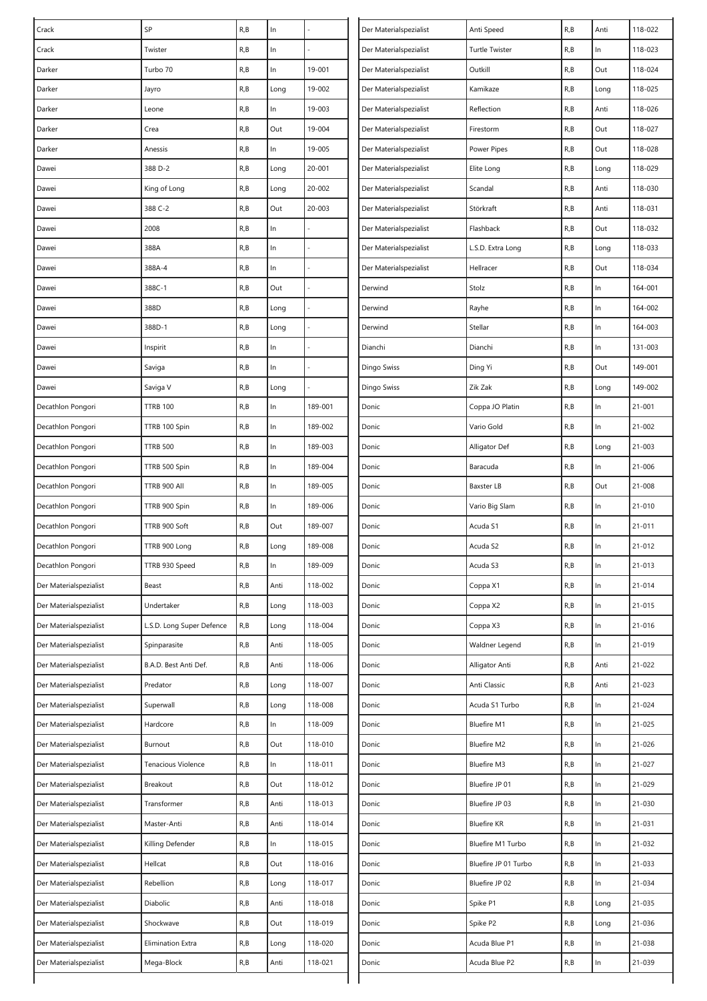| Crack                  | SP                        | R, B | $\ln$ |         | Der Materialspezialist | Anti Speed            | R,B  | Anti  | 118-022    |
|------------------------|---------------------------|------|-------|---------|------------------------|-----------------------|------|-------|------------|
| Crack                  | Twister                   | R, B | In    |         | Der Materialspezialist | <b>Turtle Twister</b> | R, B | In    | 118-023    |
| Darker                 | Turbo 70                  | R, B | ln    | 19-001  | Der Materialspezialist | Outkill               | R, B | Out   | 118-024    |
| Darker                 | Jayro                     | R, B | Long  | 19-002  | Der Materialspezialist | Kamikaze              | R, B | Long  | 118-025    |
| Darker                 | Leone                     | R, B | In    | 19-003  | Der Materialspezialist | Reflection            | R, B | Anti  | 118-026    |
| Darker                 | Crea                      | R, B | Out   | 19-004  | Der Materialspezialist | Firestorm             | R, B | Out   | 118-027    |
| Darker                 | Anessis                   | R, B | In    | 19-005  | Der Materialspezialist | Power Pipes           | R, B | Out   | 118-028    |
| Dawei                  | 388 D-2                   | R, B | Long  | 20-001  | Der Materialspezialist | Elite Long            | R, B | Long  | 118-029    |
| Dawei                  | King of Long              | R, B | Long  | 20-002  | Der Materialspezialist | Scandal               | R,B  | Anti  | 118-030    |
| Dawei                  | 388 C-2                   | R, B | Out   | 20-003  | Der Materialspezialist | Störkraft             | R, B | Anti  | 118-031    |
| Dawei                  | 2008                      | R, B | In    |         | Der Materialspezialist | Flashback             | R,B  | Out   | 118-032    |
| Dawei                  | 388A                      | R, B | ln    |         | Der Materialspezialist | L.S.D. Extra Long     | R, B | Long  | 118-033    |
| Dawei                  | 388A-4                    | R, B | ln    |         | Der Materialspezialist | Hellracer             | R, B | Out   | 118-034    |
| Dawei                  | 388C-1                    | R, B | Out   |         | Derwind                | Stolz                 | R, B | $\ln$ | 164-001    |
| Dawei                  | 388D                      | R, B | Long  |         | Derwind                | Rayhe                 | R, B | In    | 164-002    |
| Dawei                  | 388D-1                    | R, B | Long  |         | Derwind                | Stellar               | R, B | In    | 164-003    |
| Dawei                  | Inspirit                  | R, B | $\ln$ |         | Dianchi                | Dianchi               | R, B | In    | 131-003    |
| Dawei                  | Saviga                    | R, B | $\ln$ |         | Dingo Swiss            | Ding Yi               | R,B  | Out   | 149-001    |
| Dawei                  | Saviga V                  | R, B | Long  |         | Dingo Swiss            | Zik Zak               | R, B | Long  | 149-002    |
| Decathlon Pongori      | <b>TTRB 100</b>           | R, B | ln    | 189-001 | Donic                  | Coppa JO Platin       | R, B | In    | $21 - 001$ |
| Decathlon Pongori      | TTRB 100 Spin             | R, B | In    | 189-002 | Donic                  | Vario Gold            | R, B | In    | $21 - 002$ |
| Decathlon Pongori      | <b>TTRB 500</b>           | R, B | ln    | 189-003 | Donic                  | Alligator Def         | R, B | Long  | $21 - 003$ |
| Decathlon Pongori      | TTRB 500 Spin             | R, B | $\ln$ | 189-004 | Donic                  | Baracuda              | R, B | $\ln$ | $21 - 006$ |
| Decathlon Pongori      | TTRB 900 All              | R, B | $\ln$ | 189-005 | Donic                  | Baxster LB            | R, B | Out   | $21 - 008$ |
| Decathlon Pongori      | TTRB 900 Spin             | R, B | In    | 189-006 | Donic                  | Vario Big Slam        | R,B  | In    | $21 - 010$ |
| Decathlon Pongori      | TTRB 900 Soft             | R, B | Out   | 189-007 | Donic                  | Acuda S1              | R,B  | In    | 21-011     |
| Decathlon Pongori      | TTRB 900 Long             | R, B | Long  | 189-008 | Donic                  | Acuda S2              | R, B | In    | $21 - 012$ |
| Decathlon Pongori      | TTRB 930 Speed            | R, B | In    | 189-009 | Donic                  | Acuda S3              | R, B | In    | $21 - 013$ |
| Der Materialspezialist | Beast                     | R, B | Anti  | 118-002 | Donic                  | Coppa X1              | R, B | In    | $21 - 014$ |
| Der Materialspezialist | Undertaker                | R, B | Long  | 118-003 | Donic                  | Coppa X2              | R, B | In    | $21 - 015$ |
| Der Materialspezialist | L.S.D. Long Super Defence | R, B | Long  | 118-004 | Donic                  | Coppa X3              | R, B | $\ln$ | $21 - 016$ |
| Der Materialspezialist | Spinparasite              | R, B | Anti  | 118-005 | Donic                  | Waldner Legend        | R,B  | $\ln$ | 21-019     |
| Der Materialspezialist | B.A.D. Best Anti Def.     | R, B | Anti  | 118-006 | Donic                  | Alligator Anti        | R, B | Anti  | $21 - 022$ |
| Der Materialspezialist | Predator                  | R, B | Long  | 118-007 | Donic                  | Anti Classic          | R, B | Anti  | $21 - 023$ |
| Der Materialspezialist | Superwall                 | R, B | Long  | 118-008 | Donic                  | Acuda S1 Turbo        | R, B | In    | 21-024     |
| Der Materialspezialist | Hardcore                  | R, B | In    | 118-009 | Donic                  | <b>Bluefire M1</b>    | R, B | $\ln$ | 21-025     |
| Der Materialspezialist | Burnout                   | R, B | Out   | 118-010 | Donic                  | <b>Bluefire M2</b>    | R, B | $\ln$ | $21 - 026$ |
| Der Materialspezialist | Tenacious Violence        | R, B | ln    | 118-011 | Donic                  | <b>Bluefire M3</b>    | R, B | $\ln$ | $21 - 027$ |
| Der Materialspezialist | Breakout                  | R, B | Out   | 118-012 | Donic                  | Bluefire JP 01        | R,B  | In    | 21-029     |
| Der Materialspezialist | Transformer               | R, B | Anti  | 118-013 | Donic                  | Bluefire JP 03        | R,B  | $\ln$ | 21-030     |
| Der Materialspezialist | Master-Anti               | R, B | Anti  | 118-014 | Donic                  | <b>Bluefire KR</b>    | R, B | $\ln$ | 21-031     |
| Der Materialspezialist | Killing Defender          | R, B | In.   | 118-015 | Donic                  | Bluefire M1 Turbo     | R, B | $\ln$ | 21-032     |
| Der Materialspezialist | Hellcat                   | R, B | Out   | 118-016 | Donic                  | Bluefire JP 01 Turbo  | R, B | In    | $21 - 033$ |
| Der Materialspezialist | Rebellion                 | R, B | Long  | 118-017 | Donic                  | Bluefire JP 02        | R, B | In    | 21-034     |
| Der Materialspezialist | Diabolic                  | R, B | Anti  | 118-018 | Donic                  | Spike P1              | R, B | Long  | 21-035     |
| Der Materialspezialist | Shockwave                 | R, B | Out   | 118-019 | Donic                  | Spike P2              | R, B | Long  | 21-036     |
| Der Materialspezialist | Elimination Extra         | R, B | Long  | 118-020 | Donic                  | Acuda Blue P1         | R,B  | In    | 21-038     |
| Der Materialspezialist | Mega-Block                | R, B | Anti  | 118-021 | Donic                  | Acuda Blue P2         | R,B  | In    | 21-039     |
|                        |                           |      |       |         |                        |                       |      |       |            |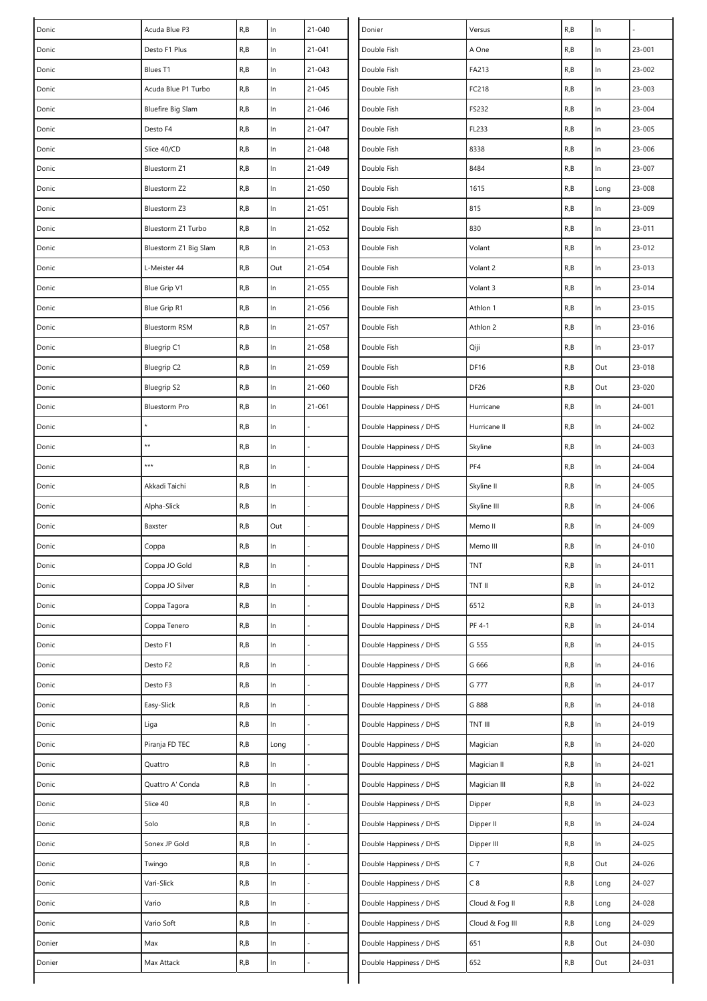| Donic  | Acuda Blue P3            | R, B | In    | $21 - 040$ | Donier                 | Versus          | R, B | $\ln$ |            |
|--------|--------------------------|------|-------|------------|------------------------|-----------------|------|-------|------------|
| Donic  | Desto F1 Plus            | R, B | $\ln$ | $21 - 041$ | Double Fish            | A One           | R, B | In    | $23 - 001$ |
| Donic  | Blues T1                 | R, B | In    | 21-043     | Double Fish            | FA213           | R, B | $\ln$ | 23-002     |
| Donic  | Acuda Blue P1 Turbo      | R, B | $\ln$ | 21-045     | Double Fish            | FC218           | R, B | $\ln$ | 23-003     |
| Donic  | <b>Bluefire Big Slam</b> | R, B | ln    | 21-046     | Double Fish            | FS232           | R, B | In    | $23 - 004$ |
| Donic  | Desto F4                 | R, B | $\ln$ | 21-047     | Double Fish            | FL233           | R, B | $\ln$ | 23-005     |
| Donic  | Slice 40/CD              | R, B | $\ln$ | 21-048     | Double Fish            | 8338            | R, B | In    | 23-006     |
| Donic  | Bluestorm Z1             | R, B | $\ln$ | 21-049     | Double Fish            | 8484            | R, B | $\ln$ | $23 - 007$ |
| Donic  | Bluestorm Z2             | R, B | $\ln$ | 21-050     | Double Fish            | 1615            | R, B | Long  | 23-008     |
| Donic  | Bluestorm Z3             | R, B | ln    | $21 - 051$ | Double Fish            | 815             | R, B | In    | 23-009     |
| Donic  | Bluestorm Z1 Turbo       | R, B | $\ln$ | 21-052     | Double Fish            | 830             | R, B | In    | 23-011     |
| Donic  | Bluestorm Z1 Big Slam    | R, B | ln    | 21-053     | Double Fish            | Volant          | R, B | $\ln$ | 23-012     |
| Donic  | L-Meister 44             | R, B | Out   | 21-054     | Double Fish            | Volant 2        | R, B | $\ln$ | 23-013     |
| Donic  | Blue Grip V1             | R, B | ln    | 21-055     | Double Fish            | Volant 3        | R,B  | ln    | 23-014     |
| Donic  | Blue Grip R1             | R, B | ln    | 21-056     | Double Fish            | Athlon 1        | R, B | $\ln$ | 23-015     |
| Donic  | <b>Bluestorm RSM</b>     | R, B | $\ln$ | 21-057     | Double Fish            | Athlon 2        | R, B | In    | 23-016     |
| Donic  | <b>Bluegrip C1</b>       | R, B | In    | 21-058     | Double Fish            | Qiji            | R, B | $\ln$ | 23-017     |
| Donic  | <b>Bluegrip C2</b>       | R, B | $\ln$ | 21-059     | Double Fish            | <b>DF16</b>     | R, B | Out   | 23-018     |
| Donic  | <b>Bluegrip S2</b>       | R, B | $\ln$ | 21-060     | Double Fish            | DF26            | R, B | Out   | 23-020     |
| Donic  | <b>Bluestorm Pro</b>     | R, B | $\ln$ | 21-061     | Double Happiness / DHS | Hurricane       | R, B | ln    | 24-001     |
| Donic  |                          | R, B | In    |            | Double Happiness / DHS | Hurricane II    | R,B  | In    | 24-002     |
| Donic  | **                       | R, B | $\ln$ |            | Double Happiness / DHS | Skyline         | R, B | $\ln$ | 24-003     |
| Donic  | ***                      | R, B | $\ln$ |            | Double Happiness / DHS | PF4             | R, B | In    | 24-004     |
| Donic  | Akkadi Taichi            | R, B | ln    |            | Double Happiness / DHS | Skyline II      | R, B | $\ln$ | 24-005     |
| Donic  | Alpha-Slick              | R, B | In    |            | Double Happiness / DHS | Skyline III     | R, B | ln    | 24-006     |
| Donic  | Baxster                  | R, B | Out   |            | Double Happiness / DHS | Memo II         | R, B | $\ln$ | 24-009     |
| Donic  | Coppa                    | R, B | In    |            | Double Happiness / DHS | Memo III        | R, B | $\ln$ | 24-010     |
| Donic  | Coppa JO Gold            | R, B | $\ln$ |            | Double Happiness / DHS | TNT             | R, B | $\ln$ | 24-011     |
| Donic  | Coppa JO Silver          | R, B | ln    |            | Double Happiness / DHS | TNT II          | R, B | ln    | 24-012     |
| Donic  | Coppa Tagora             | R, B | $\ln$ |            | Double Happiness / DHS | 6512            | R, B | In    | 24-013     |
| Donic  | Coppa Tenero             | R, B | $\ln$ |            | Double Happiness / DHS | PF 4-1          | R, B | $\ln$ | 24-014     |
| Donic  | Desto F1                 | R, B | $\ln$ |            | Double Happiness / DHS | G 555           | R, B | In    | 24-015     |
| Donic  | Desto F2                 | R, B | ln    |            | Double Happiness / DHS | G 666           | R, B | $\ln$ | 24-016     |
| Donic  | Desto F3                 | R, B | $\ln$ |            | Double Happiness / DHS | G 777           | R, B | ln    | 24-017     |
| Donic  | Easy-Slick               | R, B | $\ln$ |            | Double Happiness / DHS | G 888           | R, B | In    | 24-018     |
| Donic  | Liga                     | R, B | In    |            | Double Happiness / DHS | TNT III         | R, B | $\ln$ | 24-019     |
| Donic  | Piranja FD TEC           | R, B | Long  |            | Double Happiness / DHS | Magician        | R, B | In    | 24-020     |
| Donic  | Quattro                  | R, B | In    |            | Double Happiness / DHS | Magician II     | R, B | In    | 24-021     |
| Donic  | Quattro A' Conda         | R, B | ln    |            | Double Happiness / DHS | Magician III    | R, B | In    | 24-022     |
| Donic  | Slice 40                 | R, B | ln    |            | Double Happiness / DHS | Dipper          | R, B | $\ln$ | 24-023     |
| Donic  | Solo                     | R, B | $\ln$ |            | Double Happiness / DHS | Dipper II       | R, B | $\ln$ | 24-024     |
| Donic  | Sonex JP Gold            | R, B | ln    |            | Double Happiness / DHS | Dipper III      | R, B | In    | 24-025     |
| Donic  | Twingo                   | R, B | $\ln$ |            | Double Happiness / DHS | C <sub>7</sub>  | R, B | Out   | 24-026     |
| Donic  | Vari-Slick               | R, B | $\ln$ |            | Double Happiness / DHS | C8              | R, B | Long  | 24-027     |
| Donic  | Vario                    | R, B | $\ln$ |            | Double Happiness / DHS | Cloud & Fog II  | R, B | Long  | 24-028     |
| Donic  | Vario Soft               | R, B | $\ln$ |            | Double Happiness / DHS | Cloud & Fog III | R, B | Long  | 24-029     |
| Donier | Max                      | R, B | $\ln$ |            | Double Happiness / DHS | 651             | R, B | Out   | 24-030     |
| Donier | Max Attack               | R, B | ln    |            | Double Happiness / DHS | 652             | R, B | Out   | 24-031     |
|        |                          |      |       |            |                        |                 |      |       |            |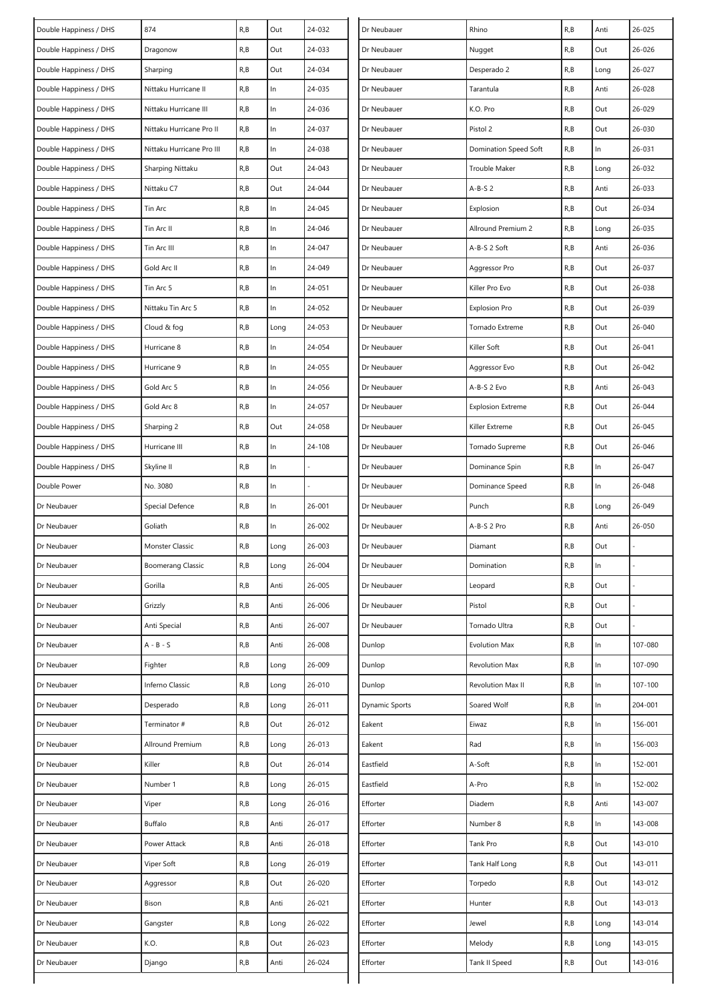| Double Happiness / DHS | 874                       | R, B | Out   | 24-032 | Dr Neubauer    | Rhino                    | R, B | Anti  | 26-025  |
|------------------------|---------------------------|------|-------|--------|----------------|--------------------------|------|-------|---------|
| Double Happiness / DHS | Dragonow                  | R, B | Out   | 24-033 | Dr Neubauer    | Nugget                   | R,B  | Out   | 26-026  |
| Double Happiness / DHS | Sharping                  | R, B | Out   | 24-034 | Dr Neubauer    | Desperado 2              | R,B  | Long  | 26-027  |
| Double Happiness / DHS | Nittaku Hurricane II      | R, B | In    | 24-035 | Dr Neubauer    | Tarantula                | R,B  | Anti  | 26-028  |
| Double Happiness / DHS | Nittaku Hurricane III     | R, B | $\ln$ | 24-036 | Dr Neubauer    | K.O. Pro                 | R, B | Out   | 26-029  |
| Double Happiness / DHS | Nittaku Hurricane Pro II  | R, B | $\ln$ | 24-037 | Dr Neubauer    | Pistol 2                 | R, B | Out   | 26-030  |
| Double Happiness / DHS | Nittaku Hurricane Pro III | R, B | In    | 24-038 | Dr Neubauer    | Domination Speed Soft    | R, B | $\ln$ | 26-031  |
| Double Happiness / DHS | Sharping Nittaku          | R, B | Out   | 24-043 | Dr Neubauer    | Trouble Maker            | R, B | Long  | 26-032  |
| Double Happiness / DHS | Nittaku C7                | R, B | Out   | 24-044 | Dr Neubauer    | $A-B-S2$                 | R, B | Anti  | 26-033  |
| Double Happiness / DHS | Tin Arc                   | R, B | $\ln$ | 24-045 | Dr Neubauer    | Explosion                | R, B | Out   | 26-034  |
| Double Happiness / DHS | Tin Arc II                | R, B | In    | 24-046 | Dr Neubauer    | Allround Premium 2       | R,B  | Long  | 26-035  |
| Double Happiness / DHS | Tin Arc III               | R, B | In    | 24-047 | Dr Neubauer    | A-B-S 2 Soft             | R,B  | Anti  | 26-036  |
| Double Happiness / DHS | Gold Arc II               | R, B | In    | 24-049 | Dr Neubauer    | Aggressor Pro            | R,B  | Out   | 26-037  |
| Double Happiness / DHS | Tin Arc 5                 | R, B | $\ln$ | 24-051 | Dr Neubauer    | Killer Pro Evo           | R,B  | Out   | 26-038  |
| Double Happiness / DHS | Nittaku Tin Arc 5         | R, B | In    | 24-052 | Dr Neubauer    | <b>Explosion Pro</b>     | R,B  | Out   | 26-039  |
| Double Happiness / DHS | Cloud & fog               | R, B | Long  | 24-053 | Dr Neubauer    | Tornado Extreme          | R,B  | Out   | 26-040  |
| Double Happiness / DHS | Hurricane 8               | R, B | $\ln$ | 24-054 | Dr Neubauer    | Killer Soft              | R,B  | Out   | 26-041  |
| Double Happiness / DHS | Hurricane 9               | R, B | $\ln$ | 24-055 | Dr Neubauer    | Aggressor Evo            | R,B  | Out   | 26-042  |
| Double Happiness / DHS | Gold Arc 5                | R, B | $\ln$ | 24-056 | Dr Neubauer    | A-B-S 2 Evo              | R, B | Anti  | 26-043  |
| Double Happiness / DHS | Gold Arc 8                | R, B | In    | 24-057 | Dr Neubauer    | <b>Explosion Extreme</b> | R,B  | Out   | 26-044  |
| Double Happiness / DHS | Sharping 2                | R, B | Out   | 24-058 | Dr Neubauer    | Killer Extreme           | R,B  | Out   | 26-045  |
| Double Happiness / DHS | Hurricane III             | R, B | In    | 24-108 | Dr Neubauer    | Tornado Supreme          | R,B  | Out   | 26-046  |
| Double Happiness / DHS | Skyline II                | R, B | In    |        | Dr Neubauer    | Dominance Spin           | R,B  | In    | 26-047  |
| Double Power           | No. 3080                  | R, B | $\ln$ |        | Dr Neubauer    | Dominance Speed          | R, B | $\ln$ | 26-048  |
| Dr Neubauer            | Special Defence           | R, B | In    | 26-001 | Dr Neubauer    | Punch                    | R,B  | Long  | 26-049  |
| Dr Neubauer            | Goliath                   | R, B | In    | 26-002 | Dr Neubauer    | A-B-S 2 Pro              | R,B  | Anti  | 26-050  |
| Dr Neubauer            | Monster Classic           | R, B | Long  | 26-003 | Dr Neubauer    | Diamant                  | R,B  | Out   |         |
| Dr Neubauer            | <b>Boomerang Classic</b>  | R, B | Long  | 26-004 | Dr Neubauer    | Domination               | R, B | $\ln$ |         |
| Dr Neubauer            | Gorilla                   | R, B | Anti  | 26-005 | Dr Neubauer    | Leopard                  | R,B  | Out   |         |
| Dr Neubauer            | Grizzly                   | R, B | Anti  | 26-006 | Dr Neubauer    | Pistol                   | R,B  | Out   |         |
| Dr Neubauer            | Anti Special              | R, B | Anti  | 26-007 | Dr Neubauer    | Tornado Ultra            | R, B | Out   |         |
| Dr Neubauer            | $A - B - S$               | R, B | Anti  | 26-008 | Dunlop         | Evolution Max            | R, B | $\ln$ | 107-080 |
| Dr Neubauer            | Fighter                   | R, B | Long  | 26-009 | Dunlop         | Revolution Max           | R,B  | $\ln$ | 107-090 |
| Dr Neubauer            | Inferno Classic           | R, B | Long  | 26-010 | Dunlop         | Revolution Max II        | R,B  | $\ln$ | 107-100 |
| Dr Neubauer            | Desperado                 | R, B | Long  | 26-011 | Dynamic Sports | Soared Wolf              | R,B  | $\ln$ | 204-001 |
| Dr Neubauer            | Terminator #              | R, B | Out   | 26-012 | Eakent         | Eiwaz                    | R,B  | $\ln$ | 156-001 |
| Dr Neubauer            | Allround Premium          | R, B | Long  | 26-013 | Eakent         | Rad                      | R,B  | In    | 156-003 |
| Dr Neubauer            | Killer                    | R, B | Out   | 26-014 | Eastfield      | A-Soft                   | R, B | $\ln$ | 152-001 |
| Dr Neubauer            | Number 1                  | R, B | Long  | 26-015 | Eastfield      | A-Pro                    | R,B  | $\ln$ | 152-002 |
| Dr Neubauer            | Viper                     | R, B | Long  | 26-016 | Efforter       | Diadem                   | R, B | Anti  | 143-007 |
| Dr Neubauer            | Buffalo                   | R, B | Anti  | 26-017 | Efforter       | Number 8                 | R,B  | $\ln$ | 143-008 |
| Dr Neubauer            | Power Attack              | R, B | Anti  | 26-018 | Efforter       | Tank Pro                 | R, B | Out   | 143-010 |
| Dr Neubauer            | Viper Soft                | R, B | Long  | 26-019 | Efforter       | Tank Half Long           | R,B  | Out   | 143-011 |
| Dr Neubauer            | Aggressor                 | R, B | Out   | 26-020 | Efforter       | Torpedo                  | R,B  | Out   | 143-012 |
| Dr Neubauer            | Bison                     | R, B | Anti  | 26-021 | Efforter       | Hunter                   | R,B  | Out   | 143-013 |
| Dr Neubauer            | Gangster                  | R, B | Long  | 26-022 | Efforter       | Jewel                    | R,B  | Long  | 143-014 |
| Dr Neubauer            | K.O.                      | R, B | Out   | 26-023 | Efforter       | Melody                   | R,B  | Long  | 143-015 |
| Dr Neubauer            | Django                    | R, B | Anti  | 26-024 | Efforter       | Tank II Speed            | R,B  | Out   | 143-016 |
|                        |                           |      |       |        |                |                          |      |       |         |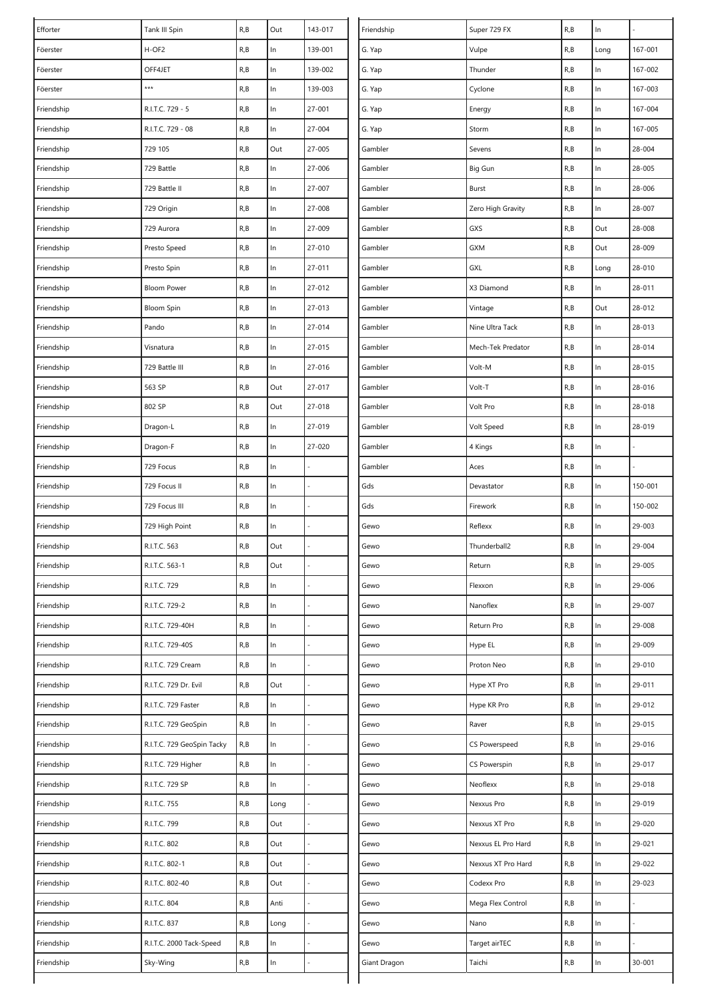| Efforter   | Tank III Spin              | R, B | Out   | 143-017 | Friendship   | Super 729 FX       | R, B | ln    |         |
|------------|----------------------------|------|-------|---------|--------------|--------------------|------|-------|---------|
| Föerster   | H-OF2                      | R, B | In    | 139-001 | G. Yap       | Vulpe              | R, B | Long  | 167-001 |
| Föerster   | OFF4JET                    | R, B | $\ln$ | 139-002 | G. Yap       | Thunder            | R, B | $\ln$ | 167-002 |
| Föerster   | $***$                      | R, B | $\ln$ | 139-003 | G. Yap       | Cyclone            | R, B | $\ln$ | 167-003 |
| Friendship | R.I.T.C. 729 - 5           | R, B | $\ln$ | 27-001  | G. Yap       | Energy             | R, B | $\ln$ | 167-004 |
| Friendship | R.I.T.C. 729 - 08          | R, B | $\ln$ | 27-004  | G. Yap       | Storm              | R, B | ln    | 167-005 |
| Friendship | 729 105                    | R, B | Out   | 27-005  | Gambler      | Sevens             | R, B | $\ln$ | 28-004  |
| Friendship | 729 Battle                 | R, B | $\ln$ | 27-006  | Gambler      | Big Gun            | R, B | $\ln$ | 28-005  |
| Friendship | 729 Battle II              | R, B | $\ln$ | 27-007  | Gambler      | Burst              | R, B | $\ln$ | 28-006  |
| Friendship | 729 Origin                 | R, B | $\ln$ | 27-008  | Gambler      | Zero High Gravity  | R, B | $\ln$ | 28-007  |
| Friendship | 729 Aurora                 | R, B | In    | 27-009  | Gambler      | GXS                | R, B | Out   | 28-008  |
| Friendship | Presto Speed               | R, B | $\ln$ | 27-010  | Gambler      | GXM                | R, B | Out   | 28-009  |
| Friendship | Presto Spin                | R, B | $\ln$ | 27-011  | Gambler      | GXL                | R, B | Long  | 28-010  |
| Friendship | <b>Bloom Power</b>         | R, B | $\ln$ | 27-012  | Gambler      | X3 Diamond         | R, B | $\ln$ | 28-011  |
| Friendship | <b>Bloom Spin</b>          | R, B | $\ln$ | 27-013  | Gambler      | Vintage            | R, B | Out   | 28-012  |
| Friendship | Pando                      | R, B | $\ln$ | 27-014  | Gambler      | Nine Ultra Tack    | R, B | $\ln$ | 28-013  |
| Friendship | Visnatura                  | R, B | $\ln$ | 27-015  | Gambler      | Mech-Tek Predator  | R, B | $\ln$ | 28-014  |
| Friendship | 729 Battle III             | R, B | $\ln$ | 27-016  | Gambler      | Volt-M             | R, B | $\ln$ | 28-015  |
| Friendship | 563 SP                     | R, B | Out   | 27-017  | Gambler      | Volt-T             | R, B | $\ln$ | 28-016  |
| Friendship | 802 SP                     | R, B | Out   | 27-018  | Gambler      | Volt Pro           | R, B | $\ln$ | 28-018  |
| Friendship | Dragon-L                   | R, B | $\ln$ | 27-019  | Gambler      | Volt Speed         | R, B | ln    | 28-019  |
| Friendship | Dragon-F                   | R, B | $\ln$ | 27-020  | Gambler      | 4 Kings            | R, B | In    |         |
| Friendship | 729 Focus                  | R, B | $\ln$ |         | Gambler      | Aces               | R, B | $\ln$ |         |
| Friendship | 729 Focus II               | R, B | $\ln$ |         | Gds          | Devastator         | R, B | $\ln$ | 150-001 |
| Friendship | 729 Focus III              | R, B | In    |         | Gds          | Firework           | R, B | $\ln$ | 150-002 |
| Friendship | 729 High Point             | R, B | $\ln$ |         | Gewo         | Reflexx            | R, B | ln    | 29-003  |
| Friendship | R.I.T.C. 563               | R, B | Out   |         | Gewo         | Thunderball2       | R, B | $\ln$ | 29-004  |
| Friendship | R.I.T.C. 563-1             | R, B | Out   |         | Gewo         | Return             | R, B | $\ln$ | 29-005  |
| Friendship | R.I.T.C. 729               | R, B | $\ln$ |         | Gewo         | Flexxon            | R,B  | $\ln$ | 29-006  |
| Friendship | R.I.T.C. 729-2             | R, B | In    |         | Gewo         | Nanoflex           | R, B | $\ln$ | 29-007  |
| Friendship | R.I.T.C. 729-40H           | R, B | $\ln$ |         | Gewo         | Return Pro         | R,B  | $\ln$ | 29-008  |
| Friendship | R.I.T.C. 729-40S           | R, B | In    |         | Gewo         | Hype EL            | R, B | $\ln$ | 29-009  |
| Friendship | R.I.T.C. 729 Cream         | R, B | $\ln$ |         | Gewo         | Proton Neo         | R, B | $\ln$ | 29-010  |
| Friendship | R.I.T.C. 729 Dr. Evil      | R, B | Out   |         | Gewo         | Hype XT Pro        | R, B | $\ln$ | 29-011  |
| Friendship | R.I.T.C. 729 Faster        | R, B | $\ln$ |         | Gewo         | Hype KR Pro        | R,B  | $\ln$ | 29-012  |
| Friendship | R.I.T.C. 729 GeoSpin       | R, B | $\ln$ |         | Gewo         | Raver              | R, B | ln    | 29-015  |
| Friendship | R.I.T.C. 729 GeoSpin Tacky | R, B | $\ln$ |         | Gewo         | CS Powerspeed      | R, B | $\ln$ | 29-016  |
| Friendship | R.I.T.C. 729 Higher        | R, B | $\ln$ |         | Gewo         | CS Powerspin       | R,B  | $\ln$ | 29-017  |
| Friendship | R.I.T.C. 729 SP            | R, B | In    |         | Gewo         | Neoflexx           | R,B  | $\ln$ | 29-018  |
| Friendship | R.I.T.C. 755               | R, B | Long  |         | Gewo         | Nexxus Pro         | R, B | $\ln$ | 29-019  |
| Friendship | R.I.T.C. 799               | R, B | Out   |         | Gewo         | Nexxus XT Pro      | R, B | In    | 29-020  |
| Friendship | R.I.T.C. 802               | R, B | Out   |         | Gewo         | Nexxus EL Pro Hard | R,B  | $\ln$ | 29-021  |
| Friendship | R.I.T.C. 802-1             | R, B | Out   |         | Gewo         | Nexxus XT Pro Hard | R, B | ln    | 29-022  |
| Friendship | R.I.T.C. 802-40            | R, B | Out   |         | Gewo         | Codexx Pro         | R,B  | $\ln$ | 29-023  |
| Friendship | R.I.T.C. 804               | R, B | Anti  | L       | Gewo         | Mega Flex Control  | R, B | ln    |         |
| Friendship | R.I.T.C. 837               | R, B | Long  |         | Gewo         | Nano               | R, B | $\ln$ |         |
| Friendship | R.I.T.C. 2000 Tack-Speed   | R, B | $\ln$ |         | Gewo         | Target airTEC      | R, B | $\ln$ |         |
| Friendship | Sky-Wing                   | R, B | $\ln$ |         | Giant Dragon | Taichi             | R, B | $\ln$ | 30-001  |
|            |                            |      |       |         |              |                    |      |       |         |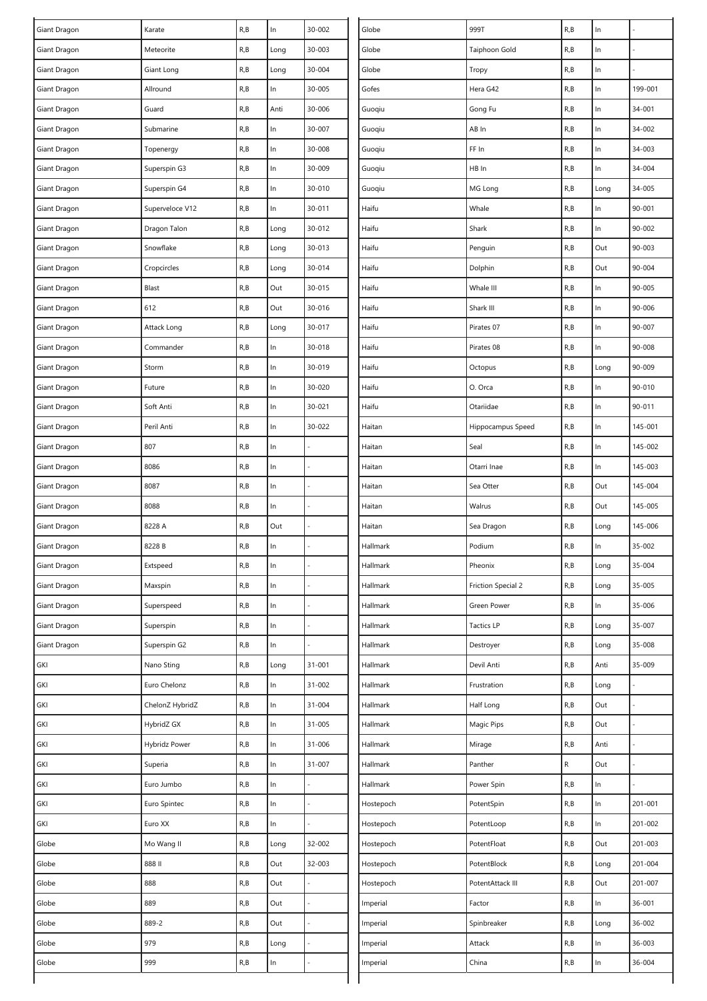| Giant Dragon | Karate          | R, B | In    | 30-002 | Globe     | 999T                      | R, B      | In    |         |
|--------------|-----------------|------|-------|--------|-----------|---------------------------|-----------|-------|---------|
| Giant Dragon | Meteorite       | R, B | Long  | 30-003 | Globe     | Taiphoon Gold             | R,B       | In    |         |
| Giant Dragon | Giant Long      | R, B | Long  | 30-004 | Globe     | Tropy                     | R, B      | In    |         |
| Giant Dragon | Allround        | R, B | ln    | 30-005 | Gofes     | Hera G42                  | R, B      | In    | 199-001 |
| Giant Dragon | Guard           | R, B | Anti  | 30-006 | Guoqiu    | Gong Fu                   | R, B      | In    | 34-001  |
| Giant Dragon | Submarine       | R, B | In    | 30-007 | Guoqiu    | AB In                     | R, B      | In    | 34-002  |
| Giant Dragon | Topenergy       | R, B | ln    | 30-008 | Guoqiu    | FF In                     | R, B      | In    | 34-003  |
| Giant Dragon | Superspin G3    | R, B | ln    | 30-009 | Guoqiu    | HB In                     | R,B       | $\ln$ | 34-004  |
| Giant Dragon | Superspin G4    | R, B | ln    | 30-010 | Guoqiu    | MG Long                   | R, B      | Long  | 34-005  |
| Giant Dragon | Superveloce V12 | R, B | ln    | 30-011 | Haifu     | Whale                     | R,B       | In    | 90-001  |
| Giant Dragon | Dragon Talon    | R, B | Long  | 30-012 | Haifu     | Shark                     | R,B       | In    | 90-002  |
| Giant Dragon | Snowflake       | R, B | Long  | 30-013 | Haifu     | Penguin                   | R, B      | Out   | 90-003  |
| Giant Dragon | Cropcircles     | R, B | Long  | 30-014 | Haifu     | Dolphin                   | R, B      | Out   | 90-004  |
| Giant Dragon | Blast           | R, B | Out   | 30-015 | Haifu     | Whale III                 | R, B      | In    | 90-005  |
| Giant Dragon | 612             | R, B | Out   | 30-016 | Haifu     | Shark III                 | R, B      | In    | 90-006  |
| Giant Dragon | Attack Long     | R, B | Long  | 30-017 | Haifu     | Pirates 07                | R, B      | In    | 90-007  |
| Giant Dragon | Commander       | R, B | $\ln$ | 30-018 | Haifu     | Pirates 08                | R, B      | $\ln$ | 90-008  |
| Giant Dragon | Storm           | R, B | ln    | 30-019 | Haifu     | Octopus                   | R, B      | Long  | 90-009  |
| Giant Dragon | Future          | R, B | $\ln$ | 30-020 | Haifu     | O. Orca                   | R, B      | In    | 90-010  |
| Giant Dragon | Soft Anti       | R, B | ln    | 30-021 | Haifu     | Otariidae                 | R, B      | In    | 90-011  |
| Giant Dragon | Peril Anti      | R, B | ln    | 30-022 | Haitan    | Hippocampus Speed         | R,B       | In    | 145-001 |
| Giant Dragon | 807             | R, B | ln    |        | Haitan    | Seal                      | R,B       | $\ln$ | 145-002 |
| Giant Dragon | 8086            | R, B | ln    |        | Haitan    | Otarri Inae               | R,B       | In    | 145-003 |
| Giant Dragon | 8087            | R, B | $\ln$ |        | Haitan    | Sea Otter                 | R, B      | Out   | 145-004 |
| Giant Dragon | 8088            | R, B | ln    |        | Haitan    | Walrus                    | R,B       | Out   | 145-005 |
| Giant Dragon | 8228 A          | R, B | Out   |        | Haitan    | Sea Dragon                | R, B      | Long  | 145-006 |
| Giant Dragon | 8228 B          | R, B | ln    |        | Hallmark  | Podium                    | R, B      | In    | 35-002  |
| Giant Dragon | Extspeed        | R, B | $\ln$ |        | Hallmark  | Pheonix                   | R, B      | Long  | 35-004  |
| Giant Dragon | Maxspin         | R, B | $\ln$ |        | Hallmark  | <b>Friction Special 2</b> | R, B      | Long  | 35-005  |
| Giant Dragon | Superspeed      | R, B | ln    |        | Hallmark  | Green Power               | R, B      | In    | 35-006  |
| Giant Dragon | Superspin       | R, B | $\ln$ |        | Hallmark  | <b>Tactics LP</b>         | R,B       | Long  | 35-007  |
| Giant Dragon | Superspin G2    | R, B | $\ln$ |        | Hallmark  | Destroyer                 | R, B      | Long  | 35-008  |
| GKI          | Nano Sting      | R, B | Long  | 31-001 | Hallmark  | Devil Anti                | R, B      | Anti  | 35-009  |
| GKI          | Euro Chelonz    | R, B | ln    | 31-002 | Hallmark  | Frustration               | R, B      | Long  |         |
| GKI          | ChelonZ HybridZ | R, B | In    | 31-004 | Hallmark  | Half Long                 | R, B      | Out   |         |
| GKI          | HybridZ GX      | R, B | $\ln$ | 31-005 | Hallmark  | Magic Pips                | R, B      | Out   |         |
| GKI          | Hybridz Power   | R, B | ln    | 31-006 | Hallmark  | Mirage                    | R,B       | Anti  |         |
| GKI          | Superia         | R, B | $\ln$ | 31-007 | Hallmark  | Panther                   | ${\sf R}$ | Out   |         |
| GKI          | Euro Jumbo      | R, B | In    |        | Hallmark  | Power Spin                | R, B      | In    |         |
| GKI          | Euro Spintec    | R, B | $\ln$ |        | Hostepoch | PotentSpin                | R, B      | $\ln$ | 201-001 |
| GKI          | Euro XX         | R, B | $\ln$ |        | Hostepoch | PotentLoop                | R, B      | $\ln$ | 201-002 |
| Globe        | Mo Wang II      | R, B | Long  | 32-002 | Hostepoch | PotentFloat               | R, B      | Out   | 201-003 |
| Globe        | 888 II          | R, B | Out   | 32-003 | Hostepoch | PotentBlock               | R, B      | Long  | 201-004 |
| Globe        | 888             | R, B | Out   |        | Hostepoch | PotentAttack III          | R, B      | Out   | 201-007 |
| Globe        | 889             | R, B | Out   |        | Imperial  | Factor                    | R,B       | $\ln$ | 36-001  |
| Globe        | 889-2           | R, B | Out   |        | Imperial  | Spinbreaker               | R, B      | Long  | 36-002  |
| Globe        | 979             | R, B | Long  |        | Imperial  | Attack                    | R,B       | In.   | 36-003  |
| Globe        | 999             | R, B | ln    |        | Imperial  | China                     | R, B      | $\ln$ | 36-004  |
|              |                 |      |       |        |           |                           |           |       |         |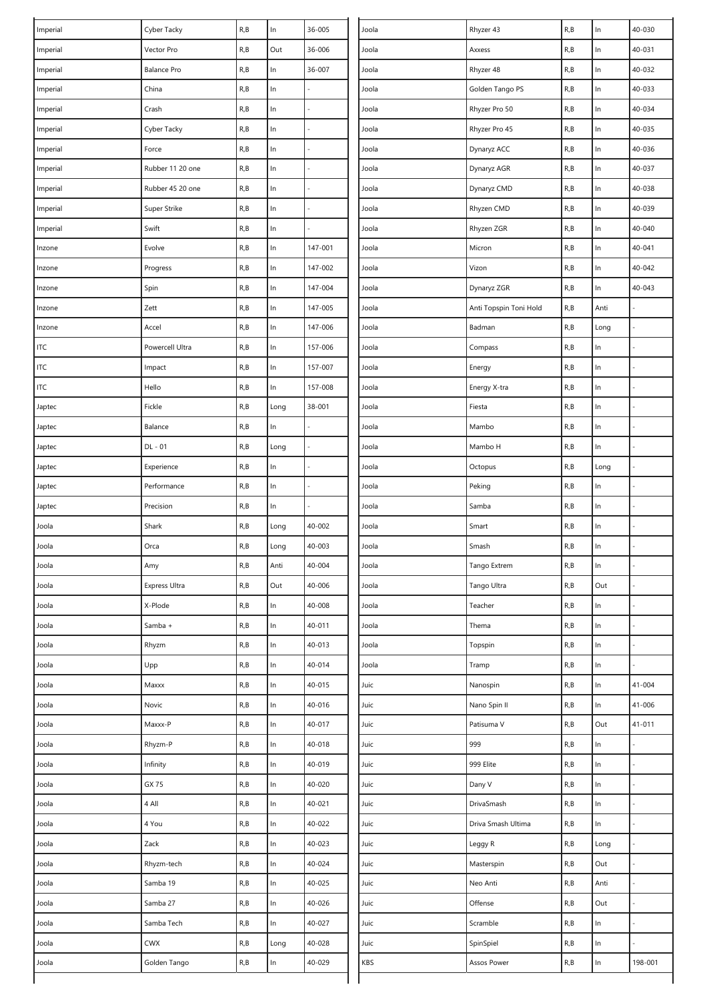| 36-006<br>R, B<br>$\ln$<br>40-031<br>R, B<br>Out<br>Vector Pro<br>Joola<br>Imperial<br>Axxess<br>$\ln$<br>$\ln$<br>R, B<br>R, B<br>36-007<br>Rhyzer 48<br>40-032<br>Imperial<br><b>Balance Pro</b><br>Joola<br>R, B<br>In<br>$\ln$<br>40-033<br>China<br>R, B<br>Joola<br>Golden Tango PS<br>Imperial<br>$\ln$<br>R, B<br>$\ln$<br>Crash<br>R, B<br>Joola<br>Rhyzer Pro 50<br>40-034<br>Imperial<br>R, B<br>Cyber Tacky<br>R, B<br>$\ln$<br>Rhyzer Pro 45<br>$\ln$<br>40-035<br>Joola<br>Imperial<br>R, B<br>$\ln$<br>R, B<br>$\ln$<br>40-036<br>Force<br>Joola<br>Dynaryz ACC<br>Imperial<br>R, B<br>$\ln$<br>40-037<br>R, B<br>$\ln$<br>Imperial<br>Rubber 11 20 one<br>Joola<br>Dynaryz AGR<br>$\ln$<br>R, B<br>$\ln$<br>R, B<br>40-038<br>Rubber 45 20 one<br>Joola<br>Dynaryz CMD<br>Imperial<br>$\ln$<br>R, B<br>$\ln$<br>R, B<br>Joola<br>Rhyzen CMD<br>40-039<br>Imperial<br>Super Strike<br>R, B<br>$\ln$<br>Swift<br>R, B<br>$\ln$<br>Rhyzen ZGR<br>40-040<br>Imperial<br>Joola<br>147-001<br>R, B<br>$\ln$<br>Evolve<br>R, B<br>$\ln$<br>Micron<br>40-041<br>Joola<br>Inzone<br>R, B<br>R, B<br>$\ln$<br>Vizon<br>ln<br>Progress<br>147-002<br>Joola<br>40-042<br>Inzone<br>R, B<br>$\ln$<br>R, B<br>$\ln$<br>40-043<br>Spin<br>147-004<br>Joola<br>Dynaryz ZGR<br>Inzone<br>R, B<br>Zett<br>R, B<br>$\ln$<br>147-005<br>Anti<br>Joola<br>Anti Topspin Toni Hold<br>Inzone<br>R, B<br>R, B<br>In<br>147-006<br>Accel<br>Joola<br>Badman<br>Long<br>Inzone<br>$\ln$<br>R, B<br>ln<br>Powercell Ultra<br>R, B<br>157-006<br>Compass<br>ITC<br>Joola<br>In<br>$\ensuremath{\mathsf{ITC}}$<br>R, B<br>$\ln$<br>R, B<br>Impact<br>157-007<br>Joola<br>Energy<br>R, B<br>$\ln$<br><b>ITC</b><br>Hello<br>R, B<br>$\ln$<br>157-008<br>Joola<br>Energy X-tra<br>Fickle<br>R, B<br>$\ln$<br>R, B<br>38-001<br>Fiesta<br>Long<br>Joola<br>Japtec<br>R, B<br>R, B<br>$\ln$<br>Balance<br>In<br>Joola<br>Mambo<br>Japtec<br>R, B<br>DL - 01<br>R, B<br>$\ln$<br>Joola<br>Mambo H<br>Long<br>Japtec<br>R, B<br>R, B<br>ln<br>Experience<br>Joola<br>Octopus<br>Long<br>Japtec<br>R, B<br>R, B<br>$\ln$<br>Peking<br>$\ln$<br>Performance<br>Joola<br>Japtec<br>R, B<br>$\ln$<br>R, B<br>ln<br>Precision<br>Joola<br>Samba<br>Japtec<br>R, B<br>Shark<br>R, B<br>40-002<br>ln<br>Joola<br>Long<br>Joola<br>Smart<br>R, B<br>$\ln$<br>Orca<br>R, B<br>40-003<br>Joola<br>Joola<br>Long<br>Smash<br>R, B<br>40-004<br>Tango Extrem<br>R, B<br>$\ln$<br>Joola<br>Amy<br>Anti<br>Joola<br>Express Ultra<br>R, B<br>Out<br>40-006<br>Tango Ultra<br>R, B<br>Out<br>Joola<br>Joola<br>R, B<br>$\ln$<br>X-Plode<br>R, B<br>$\ln$<br>40-008<br>Teacher<br>Joola<br>Joola<br>R, B<br>$\ln$<br>R, B<br>$\ln$<br>40-011<br>Thema<br>Joola<br>Samba +<br>Joola<br>$\ln$<br>$\ln$<br>R, B<br>Rhyzm<br>R, B<br>40-013<br>Topspin<br>Joola<br>Joola<br>Upp<br>R, B<br>$\ln$<br>40-014<br>R, B<br>ln<br>Joola<br>Joola<br>Tramp<br>R, B<br>ln<br>40-015<br>$\ln$<br>41-004<br>Joola<br>Maxxx<br>R, B<br>Juic<br>Nanospin<br>40-016<br>R, B<br>ln<br>Joola<br>Novic<br>R, B<br>ln<br>Juic<br>Nano Spin II<br>41-006<br>R, B<br>Out<br>Maxxx-P<br>R, B<br>ln<br>40-017<br>Patisuma V<br>$41 - 011$<br>Joola<br>Juic<br>999<br>Rhyzm-P<br>R, B<br>$\ln$<br>40-018<br>R, B<br>$\ln$<br>Joola<br>Juic<br>R, B<br>ln<br>40-019<br>999 Elite<br>R, B<br>$\ln$<br>Joola<br>Infinity<br>Juic<br>R, B<br>In<br>$\ln$<br>40-020<br>Joola<br>GX 75<br>R, B<br>Juic<br>Dany V<br>4 All<br>$\ln$<br>40-021<br>R, B<br>$\ln$<br>Joola<br>R, B<br>Juic<br>DrivaSmash<br>$\ln$<br>In<br>40-022<br>R, B<br>Joola<br>4 You<br>R, B<br>Juic<br>Driva Smash Ultima<br>Zack<br>$\ln$<br>40-023<br>Juic<br>Joola<br>R, B<br>Leggy R<br>R, B<br>Long<br>ln<br>40-024<br>R, B<br>Joola<br>Rhyzm-tech<br>R, B<br>Juic<br>Masterspin<br>Out<br>ln<br>40-025<br>Neo Anti<br>R, B<br>Anti<br>Joola<br>Samba 19<br>R, B<br>Juic<br>Offense<br>R, B<br>Out<br>R, B<br>$\ln$<br>40-026<br>Joola<br>Samba 27<br>Juic<br>R, B<br>$\ln$<br>R, B<br>$\ln$<br>40-027<br>Scramble<br>Joola<br>Samba Tech<br>Juic<br>CWX<br>R, B<br>ln<br>Joola<br>R, B<br>40-028<br>Juic<br>SpinSpiel<br>Long<br>R, B<br>ln<br>Joola<br>Golden Tango<br>R, B<br>ln<br>40-029<br>KBS<br>Assos Power<br>198-001 | Imperial | Cyber Tacky | R, B | $\ln$ | 36-005 | Joola | Rhyzer 43 | R, B | $\ln$ | 40-030 |
|--------------------------------------------------------------------------------------------------------------------------------------------------------------------------------------------------------------------------------------------------------------------------------------------------------------------------------------------------------------------------------------------------------------------------------------------------------------------------------------------------------------------------------------------------------------------------------------------------------------------------------------------------------------------------------------------------------------------------------------------------------------------------------------------------------------------------------------------------------------------------------------------------------------------------------------------------------------------------------------------------------------------------------------------------------------------------------------------------------------------------------------------------------------------------------------------------------------------------------------------------------------------------------------------------------------------------------------------------------------------------------------------------------------------------------------------------------------------------------------------------------------------------------------------------------------------------------------------------------------------------------------------------------------------------------------------------------------------------------------------------------------------------------------------------------------------------------------------------------------------------------------------------------------------------------------------------------------------------------------------------------------------------------------------------------------------------------------------------------------------------------------------------------------------------------------------------------------------------------------------------------------------------------------------------------------------------------------------------------------------------------------------------------------------------------------------------------------------------------------------------------------------------------------------------------------------------------------------------------------------------------------------------------------------------------------------------------------------------------------------------------------------------------------------------------------------------------------------------------------------------------------------------------------------------------------------------------------------------------------------------------------------------------------------------------------------------------------------------------------------------------------------------------------------------------------------------------------------------------------------------------------------------------------------------------------------------------------------------------------------------------------------------------------------------------------------------------------------------------------------------------------------------------------------------------------------------------------------------------------------------------------------------------------------------------------------------------------------------------------------------------------------------------------------------------------------------------------------------------------------------------------------------------------------------------------------------------------------------------------------------------------------------------------------------------------------------------------------------------------------------------------------------------------------------------------------------------------------------------------|----------|-------------|------|-------|--------|-------|-----------|------|-------|--------|
|                                                                                                                                                                                                                                                                                                                                                                                                                                                                                                                                                                                                                                                                                                                                                                                                                                                                                                                                                                                                                                                                                                                                                                                                                                                                                                                                                                                                                                                                                                                                                                                                                                                                                                                                                                                                                                                                                                                                                                                                                                                                                                                                                                                                                                                                                                                                                                                                                                                                                                                                                                                                                                                                                                                                                                                                                                                                                                                                                                                                                                                                                                                                                                                                                                                                                                                                                                                                                                                                                                                                                                                                                                                                                                                                                                                                                                                                                                                                                                                                                                                                                                                                                                                                                                      |          |             |      |       |        |       |           |      |       |        |
|                                                                                                                                                                                                                                                                                                                                                                                                                                                                                                                                                                                                                                                                                                                                                                                                                                                                                                                                                                                                                                                                                                                                                                                                                                                                                                                                                                                                                                                                                                                                                                                                                                                                                                                                                                                                                                                                                                                                                                                                                                                                                                                                                                                                                                                                                                                                                                                                                                                                                                                                                                                                                                                                                                                                                                                                                                                                                                                                                                                                                                                                                                                                                                                                                                                                                                                                                                                                                                                                                                                                                                                                                                                                                                                                                                                                                                                                                                                                                                                                                                                                                                                                                                                                                                      |          |             |      |       |        |       |           |      |       |        |
|                                                                                                                                                                                                                                                                                                                                                                                                                                                                                                                                                                                                                                                                                                                                                                                                                                                                                                                                                                                                                                                                                                                                                                                                                                                                                                                                                                                                                                                                                                                                                                                                                                                                                                                                                                                                                                                                                                                                                                                                                                                                                                                                                                                                                                                                                                                                                                                                                                                                                                                                                                                                                                                                                                                                                                                                                                                                                                                                                                                                                                                                                                                                                                                                                                                                                                                                                                                                                                                                                                                                                                                                                                                                                                                                                                                                                                                                                                                                                                                                                                                                                                                                                                                                                                      |          |             |      |       |        |       |           |      |       |        |
|                                                                                                                                                                                                                                                                                                                                                                                                                                                                                                                                                                                                                                                                                                                                                                                                                                                                                                                                                                                                                                                                                                                                                                                                                                                                                                                                                                                                                                                                                                                                                                                                                                                                                                                                                                                                                                                                                                                                                                                                                                                                                                                                                                                                                                                                                                                                                                                                                                                                                                                                                                                                                                                                                                                                                                                                                                                                                                                                                                                                                                                                                                                                                                                                                                                                                                                                                                                                                                                                                                                                                                                                                                                                                                                                                                                                                                                                                                                                                                                                                                                                                                                                                                                                                                      |          |             |      |       |        |       |           |      |       |        |
|                                                                                                                                                                                                                                                                                                                                                                                                                                                                                                                                                                                                                                                                                                                                                                                                                                                                                                                                                                                                                                                                                                                                                                                                                                                                                                                                                                                                                                                                                                                                                                                                                                                                                                                                                                                                                                                                                                                                                                                                                                                                                                                                                                                                                                                                                                                                                                                                                                                                                                                                                                                                                                                                                                                                                                                                                                                                                                                                                                                                                                                                                                                                                                                                                                                                                                                                                                                                                                                                                                                                                                                                                                                                                                                                                                                                                                                                                                                                                                                                                                                                                                                                                                                                                                      |          |             |      |       |        |       |           |      |       |        |
|                                                                                                                                                                                                                                                                                                                                                                                                                                                                                                                                                                                                                                                                                                                                                                                                                                                                                                                                                                                                                                                                                                                                                                                                                                                                                                                                                                                                                                                                                                                                                                                                                                                                                                                                                                                                                                                                                                                                                                                                                                                                                                                                                                                                                                                                                                                                                                                                                                                                                                                                                                                                                                                                                                                                                                                                                                                                                                                                                                                                                                                                                                                                                                                                                                                                                                                                                                                                                                                                                                                                                                                                                                                                                                                                                                                                                                                                                                                                                                                                                                                                                                                                                                                                                                      |          |             |      |       |        |       |           |      |       |        |
|                                                                                                                                                                                                                                                                                                                                                                                                                                                                                                                                                                                                                                                                                                                                                                                                                                                                                                                                                                                                                                                                                                                                                                                                                                                                                                                                                                                                                                                                                                                                                                                                                                                                                                                                                                                                                                                                                                                                                                                                                                                                                                                                                                                                                                                                                                                                                                                                                                                                                                                                                                                                                                                                                                                                                                                                                                                                                                                                                                                                                                                                                                                                                                                                                                                                                                                                                                                                                                                                                                                                                                                                                                                                                                                                                                                                                                                                                                                                                                                                                                                                                                                                                                                                                                      |          |             |      |       |        |       |           |      |       |        |
|                                                                                                                                                                                                                                                                                                                                                                                                                                                                                                                                                                                                                                                                                                                                                                                                                                                                                                                                                                                                                                                                                                                                                                                                                                                                                                                                                                                                                                                                                                                                                                                                                                                                                                                                                                                                                                                                                                                                                                                                                                                                                                                                                                                                                                                                                                                                                                                                                                                                                                                                                                                                                                                                                                                                                                                                                                                                                                                                                                                                                                                                                                                                                                                                                                                                                                                                                                                                                                                                                                                                                                                                                                                                                                                                                                                                                                                                                                                                                                                                                                                                                                                                                                                                                                      |          |             |      |       |        |       |           |      |       |        |
|                                                                                                                                                                                                                                                                                                                                                                                                                                                                                                                                                                                                                                                                                                                                                                                                                                                                                                                                                                                                                                                                                                                                                                                                                                                                                                                                                                                                                                                                                                                                                                                                                                                                                                                                                                                                                                                                                                                                                                                                                                                                                                                                                                                                                                                                                                                                                                                                                                                                                                                                                                                                                                                                                                                                                                                                                                                                                                                                                                                                                                                                                                                                                                                                                                                                                                                                                                                                                                                                                                                                                                                                                                                                                                                                                                                                                                                                                                                                                                                                                                                                                                                                                                                                                                      |          |             |      |       |        |       |           |      |       |        |
|                                                                                                                                                                                                                                                                                                                                                                                                                                                                                                                                                                                                                                                                                                                                                                                                                                                                                                                                                                                                                                                                                                                                                                                                                                                                                                                                                                                                                                                                                                                                                                                                                                                                                                                                                                                                                                                                                                                                                                                                                                                                                                                                                                                                                                                                                                                                                                                                                                                                                                                                                                                                                                                                                                                                                                                                                                                                                                                                                                                                                                                                                                                                                                                                                                                                                                                                                                                                                                                                                                                                                                                                                                                                                                                                                                                                                                                                                                                                                                                                                                                                                                                                                                                                                                      |          |             |      |       |        |       |           |      |       |        |
|                                                                                                                                                                                                                                                                                                                                                                                                                                                                                                                                                                                                                                                                                                                                                                                                                                                                                                                                                                                                                                                                                                                                                                                                                                                                                                                                                                                                                                                                                                                                                                                                                                                                                                                                                                                                                                                                                                                                                                                                                                                                                                                                                                                                                                                                                                                                                                                                                                                                                                                                                                                                                                                                                                                                                                                                                                                                                                                                                                                                                                                                                                                                                                                                                                                                                                                                                                                                                                                                                                                                                                                                                                                                                                                                                                                                                                                                                                                                                                                                                                                                                                                                                                                                                                      |          |             |      |       |        |       |           |      |       |        |
|                                                                                                                                                                                                                                                                                                                                                                                                                                                                                                                                                                                                                                                                                                                                                                                                                                                                                                                                                                                                                                                                                                                                                                                                                                                                                                                                                                                                                                                                                                                                                                                                                                                                                                                                                                                                                                                                                                                                                                                                                                                                                                                                                                                                                                                                                                                                                                                                                                                                                                                                                                                                                                                                                                                                                                                                                                                                                                                                                                                                                                                                                                                                                                                                                                                                                                                                                                                                                                                                                                                                                                                                                                                                                                                                                                                                                                                                                                                                                                                                                                                                                                                                                                                                                                      |          |             |      |       |        |       |           |      |       |        |
|                                                                                                                                                                                                                                                                                                                                                                                                                                                                                                                                                                                                                                                                                                                                                                                                                                                                                                                                                                                                                                                                                                                                                                                                                                                                                                                                                                                                                                                                                                                                                                                                                                                                                                                                                                                                                                                                                                                                                                                                                                                                                                                                                                                                                                                                                                                                                                                                                                                                                                                                                                                                                                                                                                                                                                                                                                                                                                                                                                                                                                                                                                                                                                                                                                                                                                                                                                                                                                                                                                                                                                                                                                                                                                                                                                                                                                                                                                                                                                                                                                                                                                                                                                                                                                      |          |             |      |       |        |       |           |      |       |        |
|                                                                                                                                                                                                                                                                                                                                                                                                                                                                                                                                                                                                                                                                                                                                                                                                                                                                                                                                                                                                                                                                                                                                                                                                                                                                                                                                                                                                                                                                                                                                                                                                                                                                                                                                                                                                                                                                                                                                                                                                                                                                                                                                                                                                                                                                                                                                                                                                                                                                                                                                                                                                                                                                                                                                                                                                                                                                                                                                                                                                                                                                                                                                                                                                                                                                                                                                                                                                                                                                                                                                                                                                                                                                                                                                                                                                                                                                                                                                                                                                                                                                                                                                                                                                                                      |          |             |      |       |        |       |           |      |       |        |
|                                                                                                                                                                                                                                                                                                                                                                                                                                                                                                                                                                                                                                                                                                                                                                                                                                                                                                                                                                                                                                                                                                                                                                                                                                                                                                                                                                                                                                                                                                                                                                                                                                                                                                                                                                                                                                                                                                                                                                                                                                                                                                                                                                                                                                                                                                                                                                                                                                                                                                                                                                                                                                                                                                                                                                                                                                                                                                                                                                                                                                                                                                                                                                                                                                                                                                                                                                                                                                                                                                                                                                                                                                                                                                                                                                                                                                                                                                                                                                                                                                                                                                                                                                                                                                      |          |             |      |       |        |       |           |      |       |        |
|                                                                                                                                                                                                                                                                                                                                                                                                                                                                                                                                                                                                                                                                                                                                                                                                                                                                                                                                                                                                                                                                                                                                                                                                                                                                                                                                                                                                                                                                                                                                                                                                                                                                                                                                                                                                                                                                                                                                                                                                                                                                                                                                                                                                                                                                                                                                                                                                                                                                                                                                                                                                                                                                                                                                                                                                                                                                                                                                                                                                                                                                                                                                                                                                                                                                                                                                                                                                                                                                                                                                                                                                                                                                                                                                                                                                                                                                                                                                                                                                                                                                                                                                                                                                                                      |          |             |      |       |        |       |           |      |       |        |
|                                                                                                                                                                                                                                                                                                                                                                                                                                                                                                                                                                                                                                                                                                                                                                                                                                                                                                                                                                                                                                                                                                                                                                                                                                                                                                                                                                                                                                                                                                                                                                                                                                                                                                                                                                                                                                                                                                                                                                                                                                                                                                                                                                                                                                                                                                                                                                                                                                                                                                                                                                                                                                                                                                                                                                                                                                                                                                                                                                                                                                                                                                                                                                                                                                                                                                                                                                                                                                                                                                                                                                                                                                                                                                                                                                                                                                                                                                                                                                                                                                                                                                                                                                                                                                      |          |             |      |       |        |       |           |      |       |        |
|                                                                                                                                                                                                                                                                                                                                                                                                                                                                                                                                                                                                                                                                                                                                                                                                                                                                                                                                                                                                                                                                                                                                                                                                                                                                                                                                                                                                                                                                                                                                                                                                                                                                                                                                                                                                                                                                                                                                                                                                                                                                                                                                                                                                                                                                                                                                                                                                                                                                                                                                                                                                                                                                                                                                                                                                                                                                                                                                                                                                                                                                                                                                                                                                                                                                                                                                                                                                                                                                                                                                                                                                                                                                                                                                                                                                                                                                                                                                                                                                                                                                                                                                                                                                                                      |          |             |      |       |        |       |           |      |       |        |
|                                                                                                                                                                                                                                                                                                                                                                                                                                                                                                                                                                                                                                                                                                                                                                                                                                                                                                                                                                                                                                                                                                                                                                                                                                                                                                                                                                                                                                                                                                                                                                                                                                                                                                                                                                                                                                                                                                                                                                                                                                                                                                                                                                                                                                                                                                                                                                                                                                                                                                                                                                                                                                                                                                                                                                                                                                                                                                                                                                                                                                                                                                                                                                                                                                                                                                                                                                                                                                                                                                                                                                                                                                                                                                                                                                                                                                                                                                                                                                                                                                                                                                                                                                                                                                      |          |             |      |       |        |       |           |      |       |        |
|                                                                                                                                                                                                                                                                                                                                                                                                                                                                                                                                                                                                                                                                                                                                                                                                                                                                                                                                                                                                                                                                                                                                                                                                                                                                                                                                                                                                                                                                                                                                                                                                                                                                                                                                                                                                                                                                                                                                                                                                                                                                                                                                                                                                                                                                                                                                                                                                                                                                                                                                                                                                                                                                                                                                                                                                                                                                                                                                                                                                                                                                                                                                                                                                                                                                                                                                                                                                                                                                                                                                                                                                                                                                                                                                                                                                                                                                                                                                                                                                                                                                                                                                                                                                                                      |          |             |      |       |        |       |           |      |       |        |
|                                                                                                                                                                                                                                                                                                                                                                                                                                                                                                                                                                                                                                                                                                                                                                                                                                                                                                                                                                                                                                                                                                                                                                                                                                                                                                                                                                                                                                                                                                                                                                                                                                                                                                                                                                                                                                                                                                                                                                                                                                                                                                                                                                                                                                                                                                                                                                                                                                                                                                                                                                                                                                                                                                                                                                                                                                                                                                                                                                                                                                                                                                                                                                                                                                                                                                                                                                                                                                                                                                                                                                                                                                                                                                                                                                                                                                                                                                                                                                                                                                                                                                                                                                                                                                      |          |             |      |       |        |       |           |      |       |        |
|                                                                                                                                                                                                                                                                                                                                                                                                                                                                                                                                                                                                                                                                                                                                                                                                                                                                                                                                                                                                                                                                                                                                                                                                                                                                                                                                                                                                                                                                                                                                                                                                                                                                                                                                                                                                                                                                                                                                                                                                                                                                                                                                                                                                                                                                                                                                                                                                                                                                                                                                                                                                                                                                                                                                                                                                                                                                                                                                                                                                                                                                                                                                                                                                                                                                                                                                                                                                                                                                                                                                                                                                                                                                                                                                                                                                                                                                                                                                                                                                                                                                                                                                                                                                                                      |          |             |      |       |        |       |           |      |       |        |
|                                                                                                                                                                                                                                                                                                                                                                                                                                                                                                                                                                                                                                                                                                                                                                                                                                                                                                                                                                                                                                                                                                                                                                                                                                                                                                                                                                                                                                                                                                                                                                                                                                                                                                                                                                                                                                                                                                                                                                                                                                                                                                                                                                                                                                                                                                                                                                                                                                                                                                                                                                                                                                                                                                                                                                                                                                                                                                                                                                                                                                                                                                                                                                                                                                                                                                                                                                                                                                                                                                                                                                                                                                                                                                                                                                                                                                                                                                                                                                                                                                                                                                                                                                                                                                      |          |             |      |       |        |       |           |      |       |        |
|                                                                                                                                                                                                                                                                                                                                                                                                                                                                                                                                                                                                                                                                                                                                                                                                                                                                                                                                                                                                                                                                                                                                                                                                                                                                                                                                                                                                                                                                                                                                                                                                                                                                                                                                                                                                                                                                                                                                                                                                                                                                                                                                                                                                                                                                                                                                                                                                                                                                                                                                                                                                                                                                                                                                                                                                                                                                                                                                                                                                                                                                                                                                                                                                                                                                                                                                                                                                                                                                                                                                                                                                                                                                                                                                                                                                                                                                                                                                                                                                                                                                                                                                                                                                                                      |          |             |      |       |        |       |           |      |       |        |
|                                                                                                                                                                                                                                                                                                                                                                                                                                                                                                                                                                                                                                                                                                                                                                                                                                                                                                                                                                                                                                                                                                                                                                                                                                                                                                                                                                                                                                                                                                                                                                                                                                                                                                                                                                                                                                                                                                                                                                                                                                                                                                                                                                                                                                                                                                                                                                                                                                                                                                                                                                                                                                                                                                                                                                                                                                                                                                                                                                                                                                                                                                                                                                                                                                                                                                                                                                                                                                                                                                                                                                                                                                                                                                                                                                                                                                                                                                                                                                                                                                                                                                                                                                                                                                      |          |             |      |       |        |       |           |      |       |        |
|                                                                                                                                                                                                                                                                                                                                                                                                                                                                                                                                                                                                                                                                                                                                                                                                                                                                                                                                                                                                                                                                                                                                                                                                                                                                                                                                                                                                                                                                                                                                                                                                                                                                                                                                                                                                                                                                                                                                                                                                                                                                                                                                                                                                                                                                                                                                                                                                                                                                                                                                                                                                                                                                                                                                                                                                                                                                                                                                                                                                                                                                                                                                                                                                                                                                                                                                                                                                                                                                                                                                                                                                                                                                                                                                                                                                                                                                                                                                                                                                                                                                                                                                                                                                                                      |          |             |      |       |        |       |           |      |       |        |
|                                                                                                                                                                                                                                                                                                                                                                                                                                                                                                                                                                                                                                                                                                                                                                                                                                                                                                                                                                                                                                                                                                                                                                                                                                                                                                                                                                                                                                                                                                                                                                                                                                                                                                                                                                                                                                                                                                                                                                                                                                                                                                                                                                                                                                                                                                                                                                                                                                                                                                                                                                                                                                                                                                                                                                                                                                                                                                                                                                                                                                                                                                                                                                                                                                                                                                                                                                                                                                                                                                                                                                                                                                                                                                                                                                                                                                                                                                                                                                                                                                                                                                                                                                                                                                      |          |             |      |       |        |       |           |      |       |        |
|                                                                                                                                                                                                                                                                                                                                                                                                                                                                                                                                                                                                                                                                                                                                                                                                                                                                                                                                                                                                                                                                                                                                                                                                                                                                                                                                                                                                                                                                                                                                                                                                                                                                                                                                                                                                                                                                                                                                                                                                                                                                                                                                                                                                                                                                                                                                                                                                                                                                                                                                                                                                                                                                                                                                                                                                                                                                                                                                                                                                                                                                                                                                                                                                                                                                                                                                                                                                                                                                                                                                                                                                                                                                                                                                                                                                                                                                                                                                                                                                                                                                                                                                                                                                                                      |          |             |      |       |        |       |           |      |       |        |
|                                                                                                                                                                                                                                                                                                                                                                                                                                                                                                                                                                                                                                                                                                                                                                                                                                                                                                                                                                                                                                                                                                                                                                                                                                                                                                                                                                                                                                                                                                                                                                                                                                                                                                                                                                                                                                                                                                                                                                                                                                                                                                                                                                                                                                                                                                                                                                                                                                                                                                                                                                                                                                                                                                                                                                                                                                                                                                                                                                                                                                                                                                                                                                                                                                                                                                                                                                                                                                                                                                                                                                                                                                                                                                                                                                                                                                                                                                                                                                                                                                                                                                                                                                                                                                      |          |             |      |       |        |       |           |      |       |        |
|                                                                                                                                                                                                                                                                                                                                                                                                                                                                                                                                                                                                                                                                                                                                                                                                                                                                                                                                                                                                                                                                                                                                                                                                                                                                                                                                                                                                                                                                                                                                                                                                                                                                                                                                                                                                                                                                                                                                                                                                                                                                                                                                                                                                                                                                                                                                                                                                                                                                                                                                                                                                                                                                                                                                                                                                                                                                                                                                                                                                                                                                                                                                                                                                                                                                                                                                                                                                                                                                                                                                                                                                                                                                                                                                                                                                                                                                                                                                                                                                                                                                                                                                                                                                                                      |          |             |      |       |        |       |           |      |       |        |
|                                                                                                                                                                                                                                                                                                                                                                                                                                                                                                                                                                                                                                                                                                                                                                                                                                                                                                                                                                                                                                                                                                                                                                                                                                                                                                                                                                                                                                                                                                                                                                                                                                                                                                                                                                                                                                                                                                                                                                                                                                                                                                                                                                                                                                                                                                                                                                                                                                                                                                                                                                                                                                                                                                                                                                                                                                                                                                                                                                                                                                                                                                                                                                                                                                                                                                                                                                                                                                                                                                                                                                                                                                                                                                                                                                                                                                                                                                                                                                                                                                                                                                                                                                                                                                      |          |             |      |       |        |       |           |      |       |        |
|                                                                                                                                                                                                                                                                                                                                                                                                                                                                                                                                                                                                                                                                                                                                                                                                                                                                                                                                                                                                                                                                                                                                                                                                                                                                                                                                                                                                                                                                                                                                                                                                                                                                                                                                                                                                                                                                                                                                                                                                                                                                                                                                                                                                                                                                                                                                                                                                                                                                                                                                                                                                                                                                                                                                                                                                                                                                                                                                                                                                                                                                                                                                                                                                                                                                                                                                                                                                                                                                                                                                                                                                                                                                                                                                                                                                                                                                                                                                                                                                                                                                                                                                                                                                                                      |          |             |      |       |        |       |           |      |       |        |
|                                                                                                                                                                                                                                                                                                                                                                                                                                                                                                                                                                                                                                                                                                                                                                                                                                                                                                                                                                                                                                                                                                                                                                                                                                                                                                                                                                                                                                                                                                                                                                                                                                                                                                                                                                                                                                                                                                                                                                                                                                                                                                                                                                                                                                                                                                                                                                                                                                                                                                                                                                                                                                                                                                                                                                                                                                                                                                                                                                                                                                                                                                                                                                                                                                                                                                                                                                                                                                                                                                                                                                                                                                                                                                                                                                                                                                                                                                                                                                                                                                                                                                                                                                                                                                      |          |             |      |       |        |       |           |      |       |        |
|                                                                                                                                                                                                                                                                                                                                                                                                                                                                                                                                                                                                                                                                                                                                                                                                                                                                                                                                                                                                                                                                                                                                                                                                                                                                                                                                                                                                                                                                                                                                                                                                                                                                                                                                                                                                                                                                                                                                                                                                                                                                                                                                                                                                                                                                                                                                                                                                                                                                                                                                                                                                                                                                                                                                                                                                                                                                                                                                                                                                                                                                                                                                                                                                                                                                                                                                                                                                                                                                                                                                                                                                                                                                                                                                                                                                                                                                                                                                                                                                                                                                                                                                                                                                                                      |          |             |      |       |        |       |           |      |       |        |
|                                                                                                                                                                                                                                                                                                                                                                                                                                                                                                                                                                                                                                                                                                                                                                                                                                                                                                                                                                                                                                                                                                                                                                                                                                                                                                                                                                                                                                                                                                                                                                                                                                                                                                                                                                                                                                                                                                                                                                                                                                                                                                                                                                                                                                                                                                                                                                                                                                                                                                                                                                                                                                                                                                                                                                                                                                                                                                                                                                                                                                                                                                                                                                                                                                                                                                                                                                                                                                                                                                                                                                                                                                                                                                                                                                                                                                                                                                                                                                                                                                                                                                                                                                                                                                      |          |             |      |       |        |       |           |      |       |        |
|                                                                                                                                                                                                                                                                                                                                                                                                                                                                                                                                                                                                                                                                                                                                                                                                                                                                                                                                                                                                                                                                                                                                                                                                                                                                                                                                                                                                                                                                                                                                                                                                                                                                                                                                                                                                                                                                                                                                                                                                                                                                                                                                                                                                                                                                                                                                                                                                                                                                                                                                                                                                                                                                                                                                                                                                                                                                                                                                                                                                                                                                                                                                                                                                                                                                                                                                                                                                                                                                                                                                                                                                                                                                                                                                                                                                                                                                                                                                                                                                                                                                                                                                                                                                                                      |          |             |      |       |        |       |           |      |       |        |
|                                                                                                                                                                                                                                                                                                                                                                                                                                                                                                                                                                                                                                                                                                                                                                                                                                                                                                                                                                                                                                                                                                                                                                                                                                                                                                                                                                                                                                                                                                                                                                                                                                                                                                                                                                                                                                                                                                                                                                                                                                                                                                                                                                                                                                                                                                                                                                                                                                                                                                                                                                                                                                                                                                                                                                                                                                                                                                                                                                                                                                                                                                                                                                                                                                                                                                                                                                                                                                                                                                                                                                                                                                                                                                                                                                                                                                                                                                                                                                                                                                                                                                                                                                                                                                      |          |             |      |       |        |       |           |      |       |        |
|                                                                                                                                                                                                                                                                                                                                                                                                                                                                                                                                                                                                                                                                                                                                                                                                                                                                                                                                                                                                                                                                                                                                                                                                                                                                                                                                                                                                                                                                                                                                                                                                                                                                                                                                                                                                                                                                                                                                                                                                                                                                                                                                                                                                                                                                                                                                                                                                                                                                                                                                                                                                                                                                                                                                                                                                                                                                                                                                                                                                                                                                                                                                                                                                                                                                                                                                                                                                                                                                                                                                                                                                                                                                                                                                                                                                                                                                                                                                                                                                                                                                                                                                                                                                                                      |          |             |      |       |        |       |           |      |       |        |
|                                                                                                                                                                                                                                                                                                                                                                                                                                                                                                                                                                                                                                                                                                                                                                                                                                                                                                                                                                                                                                                                                                                                                                                                                                                                                                                                                                                                                                                                                                                                                                                                                                                                                                                                                                                                                                                                                                                                                                                                                                                                                                                                                                                                                                                                                                                                                                                                                                                                                                                                                                                                                                                                                                                                                                                                                                                                                                                                                                                                                                                                                                                                                                                                                                                                                                                                                                                                                                                                                                                                                                                                                                                                                                                                                                                                                                                                                                                                                                                                                                                                                                                                                                                                                                      |          |             |      |       |        |       |           |      |       |        |
|                                                                                                                                                                                                                                                                                                                                                                                                                                                                                                                                                                                                                                                                                                                                                                                                                                                                                                                                                                                                                                                                                                                                                                                                                                                                                                                                                                                                                                                                                                                                                                                                                                                                                                                                                                                                                                                                                                                                                                                                                                                                                                                                                                                                                                                                                                                                                                                                                                                                                                                                                                                                                                                                                                                                                                                                                                                                                                                                                                                                                                                                                                                                                                                                                                                                                                                                                                                                                                                                                                                                                                                                                                                                                                                                                                                                                                                                                                                                                                                                                                                                                                                                                                                                                                      |          |             |      |       |        |       |           |      |       |        |
|                                                                                                                                                                                                                                                                                                                                                                                                                                                                                                                                                                                                                                                                                                                                                                                                                                                                                                                                                                                                                                                                                                                                                                                                                                                                                                                                                                                                                                                                                                                                                                                                                                                                                                                                                                                                                                                                                                                                                                                                                                                                                                                                                                                                                                                                                                                                                                                                                                                                                                                                                                                                                                                                                                                                                                                                                                                                                                                                                                                                                                                                                                                                                                                                                                                                                                                                                                                                                                                                                                                                                                                                                                                                                                                                                                                                                                                                                                                                                                                                                                                                                                                                                                                                                                      |          |             |      |       |        |       |           |      |       |        |
|                                                                                                                                                                                                                                                                                                                                                                                                                                                                                                                                                                                                                                                                                                                                                                                                                                                                                                                                                                                                                                                                                                                                                                                                                                                                                                                                                                                                                                                                                                                                                                                                                                                                                                                                                                                                                                                                                                                                                                                                                                                                                                                                                                                                                                                                                                                                                                                                                                                                                                                                                                                                                                                                                                                                                                                                                                                                                                                                                                                                                                                                                                                                                                                                                                                                                                                                                                                                                                                                                                                                                                                                                                                                                                                                                                                                                                                                                                                                                                                                                                                                                                                                                                                                                                      |          |             |      |       |        |       |           |      |       |        |
|                                                                                                                                                                                                                                                                                                                                                                                                                                                                                                                                                                                                                                                                                                                                                                                                                                                                                                                                                                                                                                                                                                                                                                                                                                                                                                                                                                                                                                                                                                                                                                                                                                                                                                                                                                                                                                                                                                                                                                                                                                                                                                                                                                                                                                                                                                                                                                                                                                                                                                                                                                                                                                                                                                                                                                                                                                                                                                                                                                                                                                                                                                                                                                                                                                                                                                                                                                                                                                                                                                                                                                                                                                                                                                                                                                                                                                                                                                                                                                                                                                                                                                                                                                                                                                      |          |             |      |       |        |       |           |      |       |        |
|                                                                                                                                                                                                                                                                                                                                                                                                                                                                                                                                                                                                                                                                                                                                                                                                                                                                                                                                                                                                                                                                                                                                                                                                                                                                                                                                                                                                                                                                                                                                                                                                                                                                                                                                                                                                                                                                                                                                                                                                                                                                                                                                                                                                                                                                                                                                                                                                                                                                                                                                                                                                                                                                                                                                                                                                                                                                                                                                                                                                                                                                                                                                                                                                                                                                                                                                                                                                                                                                                                                                                                                                                                                                                                                                                                                                                                                                                                                                                                                                                                                                                                                                                                                                                                      |          |             |      |       |        |       |           |      |       |        |
|                                                                                                                                                                                                                                                                                                                                                                                                                                                                                                                                                                                                                                                                                                                                                                                                                                                                                                                                                                                                                                                                                                                                                                                                                                                                                                                                                                                                                                                                                                                                                                                                                                                                                                                                                                                                                                                                                                                                                                                                                                                                                                                                                                                                                                                                                                                                                                                                                                                                                                                                                                                                                                                                                                                                                                                                                                                                                                                                                                                                                                                                                                                                                                                                                                                                                                                                                                                                                                                                                                                                                                                                                                                                                                                                                                                                                                                                                                                                                                                                                                                                                                                                                                                                                                      |          |             |      |       |        |       |           |      |       |        |
|                                                                                                                                                                                                                                                                                                                                                                                                                                                                                                                                                                                                                                                                                                                                                                                                                                                                                                                                                                                                                                                                                                                                                                                                                                                                                                                                                                                                                                                                                                                                                                                                                                                                                                                                                                                                                                                                                                                                                                                                                                                                                                                                                                                                                                                                                                                                                                                                                                                                                                                                                                                                                                                                                                                                                                                                                                                                                                                                                                                                                                                                                                                                                                                                                                                                                                                                                                                                                                                                                                                                                                                                                                                                                                                                                                                                                                                                                                                                                                                                                                                                                                                                                                                                                                      |          |             |      |       |        |       |           |      |       |        |
|                                                                                                                                                                                                                                                                                                                                                                                                                                                                                                                                                                                                                                                                                                                                                                                                                                                                                                                                                                                                                                                                                                                                                                                                                                                                                                                                                                                                                                                                                                                                                                                                                                                                                                                                                                                                                                                                                                                                                                                                                                                                                                                                                                                                                                                                                                                                                                                                                                                                                                                                                                                                                                                                                                                                                                                                                                                                                                                                                                                                                                                                                                                                                                                                                                                                                                                                                                                                                                                                                                                                                                                                                                                                                                                                                                                                                                                                                                                                                                                                                                                                                                                                                                                                                                      |          |             |      |       |        |       |           |      |       |        |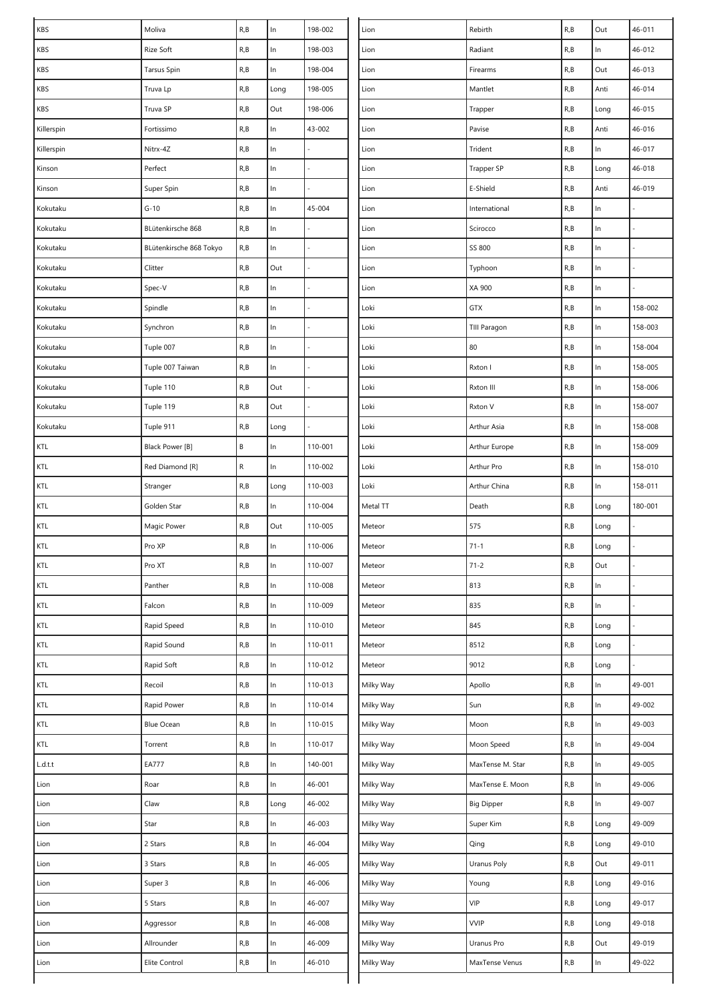| KBS            | Moliva                  | R, B                    | In    | 198-002 | Lion      | Rebirth           | R, B | Out   | 46-011  |
|----------------|-------------------------|-------------------------|-------|---------|-----------|-------------------|------|-------|---------|
| KBS            | Rize Soft               | R, B                    | $\ln$ | 198-003 | Lion      | Radiant           | R, B | In    | 46-012  |
| KBS            | <b>Tarsus Spin</b>      | R, B                    | ln    | 198-004 | Lion      | Firearms          | R, B | Out   | 46-013  |
| KBS            | Truva Lp                | R, B                    | Long  | 198-005 | Lion      | Mantlet           | R, B | Anti  | 46-014  |
| KBS            | Truva SP                | R, B                    | Out   | 198-006 | Lion      | Trapper           | R, B | Long  | 46-015  |
| Killerspin     | Fortissimo              | R, B                    | In    | 43-002  | Lion      | Pavise            | R, B | Anti  | 46-016  |
| Killerspin     | Nitrx-4Z                | R, B                    | $\ln$ |         | Lion      | Trident           | R, B | In    | 46-017  |
| Kinson         | Perfect                 | R, B                    | $\ln$ |         | Lion      | Trapper SP        | R, B | Long  | 46-018  |
| Kinson         | Super Spin              | R, B                    | $\ln$ |         | Lion      | E-Shield          | R, B | Anti  | 46-019  |
| Kokutaku       | $G-10$                  | R, B                    | In    | 45-004  | Lion      | International     | R, B | In    |         |
| Kokutaku       | BLütenkirsche 868       | R, B                    | In    |         | Lion      | Scirocco          | R, B | In    |         |
| Kokutaku       | BLütenkirsche 868 Tokyo | R, B                    | $\ln$ |         | Lion      | SS 800            | R, B | $\ln$ |         |
| Kokutaku       | Clitter                 | R, B                    | Out   |         | Lion      | Typhoon           | R, B | $\ln$ |         |
| Kokutaku       | Spec-V                  | R, B                    | $\ln$ |         | Lion      | XA 900            | R, B | In    |         |
| Kokutaku       | Spindle                 | R, B                    | In    |         | Loki      | GTX               | R, B | In    | 158-002 |
| Kokutaku       | Synchron                | R, B                    | $\ln$ |         | Loki      | TIII Paragon      | R, B | $\ln$ | 158-003 |
| Kokutaku       | Tuple 007               | R, B                    | $\ln$ |         | Loki      | 80                | R, B | $\ln$ | 158-004 |
| Kokutaku       | Tuple 007 Taiwan        | R, B                    | $\ln$ |         | Loki      | Rxton I           | R, B | In    | 158-005 |
| Kokutaku       | Tuple 110               | R, B                    | Out   |         | Loki      | Rxton III         | R, B | In    | 158-006 |
| Kokutaku       | Tuple 119               | R, B                    | Out   |         | Loki      | Rxton V           | R, B | In    | 158-007 |
| Kokutaku       | Tuple 911               | R, B                    | Long  |         | Loki      | Arthur Asia       | R, B | $\ln$ | 158-008 |
| KTL            | Black Power [B]         | $\sf B$                 | In    | 110-001 | Loki      | Arthur Europe     | R, B | In    | 158-009 |
| KTL            | Red Diamond [R]         | ${\sf R}$               | $\ln$ | 110-002 | Loki      | Arthur Pro        | R, B | $\ln$ | 158-010 |
| KTL            | Stranger                | R, B                    | Long  | 110-003 | Loki      | Arthur China      | R, B | In    | 158-011 |
| KTL            | Golden Star             | R, B                    | In    | 110-004 | Metal TT  | Death             | R, B | Long  | 180-001 |
| KTL            | Magic Power             | R, B                    | Out   | 110-005 | Meteor    | 575               | R, B | Long  |         |
| KTL            | Pro XP                  | R, B                    | In    | 110-006 | Meteor    | $71 - 1$          | R, B | Long  |         |
| KTL            | Pro XT                  | R, B                    | In    | 110-007 | Meteor    | $71 - 2$          | R, B | Out   |         |
| KTL            | Panther                 | R, B                    | ln    | 110-008 | Meteor    | 813               | R, B | $\ln$ |         |
| KTL            | Falcon                  | R, B                    | $\ln$ | 110-009 | Meteor    | 835               | R, B | $\ln$ |         |
| KTL            | Rapid Speed             | R, B                    | $\ln$ | 110-010 | Meteor    | 845               | R, B | Long  |         |
| KTL            | Rapid Sound             | R, B                    | ln    | 110-011 | Meteor    | 8512              | R, B | Long  |         |
| KTL            | Rapid Soft              | R, B                    | $\ln$ | 110-012 | Meteor    | 9012              | R, B | Long  |         |
| KTL            | Recoil                  | R, B                    | $\ln$ | 110-013 | Milky Way | Apollo            | R, B | $\ln$ | 49-001  |
| KTL            | Rapid Power             | R, B                    | In    | 110-014 | Milky Way | Sun               | R, B | ln    | 49-002  |
| $\mathsf{KTL}$ | <b>Blue Ocean</b>       | $\mathsf{R},\mathsf{B}$ | $\ln$ | 110-015 | Milky Way | Moon              | R, B | $\ln$ | 49-003  |
| KTL            | Torrent                 | R, B                    | $\ln$ | 110-017 | Milky Way | Moon Speed        | R, B | In    | 49-004  |
| L.d.t.t        | <b>EA777</b>            | R, B                    | $\ln$ | 140-001 | Milky Way | MaxTense M. Star  | R, B | $\ln$ | 49-005  |
| Lion           | Roar                    | R, B                    | ln    | 46-001  | Milky Way | MaxTense E. Moon  | R, B | $\ln$ | 49-006  |
| Lion           | Claw                    | R, B                    | Long  | 46-002  | Milky Way | <b>Big Dipper</b> | R, B | $\ln$ | 49-007  |
| Lion           | Star                    | R, B                    | ln    | 46-003  | Milky Way | Super Kim         | R, B | Long  | 49-009  |
| Lion           | 2 Stars                 | R, B                    | $\ln$ | 46-004  | Milky Way | Qing              | R, B | Long  | 49-010  |
| Lion           | 3 Stars                 | $\mathsf{R},\mathsf{B}$ | In    | 46-005  | Milky Way | Uranus Poly       | R, B | Out   | 49-011  |
| Lion           | Super 3                 | R, B                    | $\ln$ | 46-006  | Milky Way | Young             | R, B | Long  | 49-016  |
| Lion           | 5 Stars                 | R, B                    | $\ln$ | 46-007  | Milky Way | VIP               | R, B | Long  | 49-017  |
| Lion           | Aggressor               | R, B                    | $\ln$ | 46-008  | Milky Way | <b>VVIP</b>       | R, B | Long  | 49-018  |
| Lion           | Allrounder              | R, B                    | $\ln$ | 46-009  | Milky Way | Uranus Pro        | R, B | Out   | 49-019  |
| Lion           | Elite Control           | R, B                    | ln    | 46-010  | Milky Way | MaxTense Venus    | R, B | In    | 49-022  |
|                |                         |                         |       |         |           |                   |      |       |         |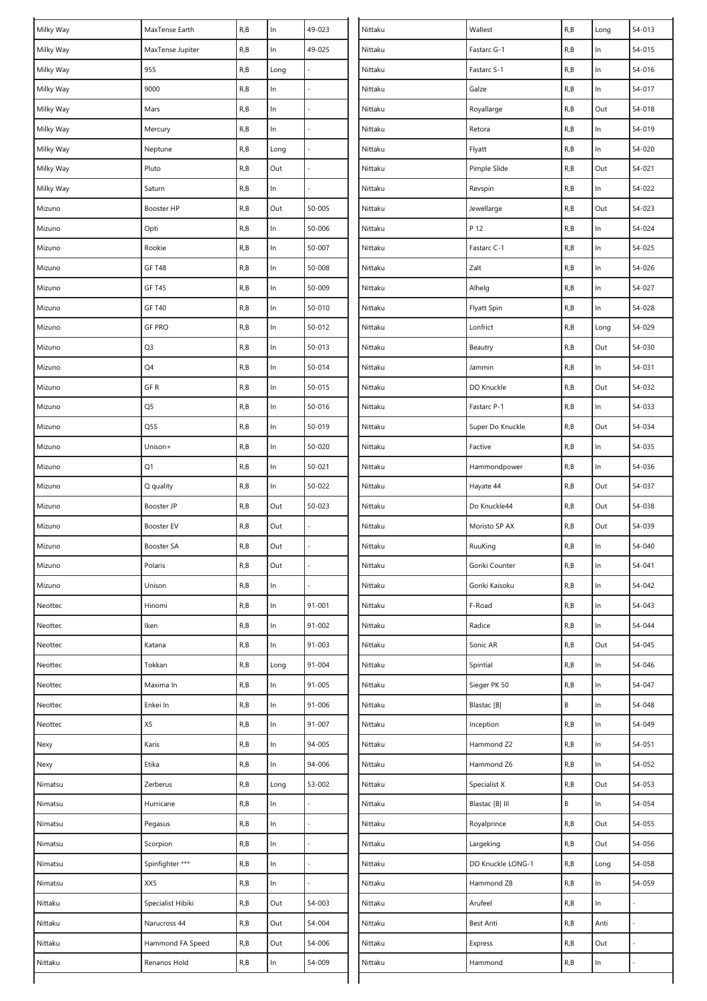| 49-025<br>54-015<br>Milky Way<br>R, B<br>$\ln$<br>Nittaku<br>R, B<br>$\ln$<br>MaxTense Jupiter<br>Fastarc G-1<br>Milky Way<br>955<br>R, B<br>R, B<br>$\ln$<br>54-016<br>Nittaku<br>Long<br>Fastarc S-1<br>R, B<br>R, B<br>54-017<br>Milky Way<br>9000<br>In<br>Nittaku<br>Galze<br>$\ln$<br>$\ln$<br>R, B<br>Out<br>Milky Way<br>R, B<br>Royallarge<br>54-018<br>Mars<br>Nittaku<br>R, B<br>ln<br>R, B<br>In<br>54-019<br>Milky Way<br>Mercury<br>Nittaku<br>Retora<br>$\ln$<br>Milky Way<br>R, B<br>R, B<br>54-020<br>Neptune<br>Long<br>Nittaku<br>Flyatt<br>Pluto<br>R, B<br>Out<br>54-021<br>Milky Way<br>Out<br>Nittaku<br>Pimple Slide<br>R, B<br>R, B<br>Milky Way<br>R, B<br>ln<br>Nittaku<br>Revspin<br>ln<br>54-022<br>Saturn<br>50-005<br>R, B<br>Booster HP<br>R, B<br>Out<br>Out<br>54-023<br>Mizuno<br>Nittaku<br>Jewellarge<br>R, B<br>50-006<br>P 12<br>R, B<br>Opti<br>In<br>$\ln$<br>54-024<br>Nittaku<br>Mizuno<br>R, B<br>$\ln$<br>50-007<br>R, B<br>$\ln$<br>54-025<br>Rookie<br>Nittaku<br>Fastarc C-1<br>Mizuno<br>R, B<br>$\ln$<br>Zalt<br>R, B<br>$\ln$<br>54-026<br><b>GF T48</b><br>50-008<br>Nittaku<br>Mizuno<br>$\ln$<br>R, B<br>50-009<br>R, B<br>$\ln$<br>54-027<br>Mizuno<br><b>GF T45</b><br>Nittaku<br>Alhelg<br>$\ln$<br><b>GF T40</b><br>R, B<br>50-010<br><b>Flyatt Spin</b><br>R, B<br>$\ln$<br>54-028<br>Mizuno<br>Nittaku<br>$\ln$<br><b>GF PRO</b><br>R, B<br>50-012<br>Nittaku<br>Lonfrict<br>R, B<br>54-029<br>Long<br>Mizuno<br>Q3<br>R, B<br>$\ln$<br>50-013<br>R, B<br>54-030<br>Nittaku<br>Out<br>Mizuno<br>Beautry<br>$\ln$<br>Q4<br>R, B<br>50-014<br>R, B<br>Nittaku<br>$\ln$<br>54-031<br>Mizuno<br>Jammin<br>GF R<br>$\ln$<br>R, B<br>Out<br>54-032<br>R, B<br>50-015<br>DO Knuckle<br>Nittaku<br>Mizuno<br>Q5<br>ln<br>54-033<br>R, B<br>50-016<br>R, B<br>$\ln$<br>Mizuno<br>Nittaku<br>Fastarc P-1<br>$\ln$<br>R, B<br>Out<br>54-034<br>Q5S<br>R, B<br>50-019<br>Nittaku<br>Super Do Knuckle<br>Mizuno<br>$\ln$<br>$\ln$<br>Unison+<br>R, B<br>50-020<br>Nittaku<br>R, B<br>54-035<br>Mizuno<br>Factive<br>Q1<br>$\ln$<br>R, B<br>50-021<br>Nittaku<br>R, B<br>$\ln$<br>54-036<br>Mizuno<br>Hammondpower<br>R, B<br>ln<br>50-022<br>R, B<br>Out<br>54-037<br>Mizuno<br>Q quality<br>Nittaku<br>Hayate 44<br>50-023<br>R, B<br>Out<br>R, B<br>Out<br>54-038<br>Booster JP<br>Nittaku<br>Do Knuckle44<br>Mizuno<br>Out<br>R, B<br>Out<br>54-039<br>R, B<br>Booster EV<br>Nittaku<br>Moristo SP AX<br>Mizuno<br>R, B<br>Out<br>R, B<br>Nittaku<br>RuuKing<br>$\ln$<br>54-040<br>Mizuno<br><b>Booster SA</b><br>R, B<br>Out<br>R, B<br>54-041<br>Mizuno<br>Polaris<br>Nittaku<br>Goriki Counter<br>In<br>R, B<br>$\ln$<br>Goriki Kaisoku<br>R, B<br>$\ln$<br>54-042<br>Mizuno<br>Unison<br>Nittaku<br>R, B<br>$\ln$<br>91-001<br>F-Road<br>R, B<br>$\ln$<br>54-043<br>Neottec<br>Hinomi<br>Nittaku<br>$\ln$<br>54-044<br>Iken<br>R, B<br>91-002<br>Nittaku<br>Radice<br>R, B<br>$\ln$<br>Neottec<br>ln<br>Katana<br>R, B<br>91-003<br>Nittaku<br>Sonic AR<br>R, B<br>Out<br>54-045<br>Neottec<br>R, B<br>91-004<br>R, B<br>54-046<br>Neottec<br>Tokkan<br>Nittaku<br>Spintial<br>In<br>Long<br>R, B<br>In<br>91-005<br>R, B<br>$\ln$<br>54-047<br>Maxima In<br>Nittaku<br>Sieger PK 50<br>Neottec<br>$\ln$<br>B<br>54-048<br>Enkei In<br>R, B<br>91-006<br>Nittaku<br>Blastac [B]<br>$\ln$<br>Neottec<br>X5<br>$\ln$<br>54-049<br>R, B<br>91-007<br>Nittaku<br>R, B<br>$\ln$<br>Neottec<br>Inception<br>$\ln$<br>Karis<br>R, B<br>94-005<br>R, B<br>$\ln$<br>54-051<br>Nexy<br>Nittaku<br>Hammond Z2<br>Etika<br>R, B<br>ln<br>94-006<br>R, B<br>$\ln$<br>54-052<br>Nexy<br>Nittaku<br>Hammond Z6<br>R, B<br>53-002<br>R, B<br>Out<br>54-053<br>Zerberus<br>Long<br>Nittaku<br>Specialist X<br>Nimatsu<br>B<br>54-054<br>R, B<br>ln<br>Nittaku<br>Hurricane<br>Blastac [B] III<br>In<br>Nimatsu<br>ln<br>R, B<br>Nittaku<br>Royalprince<br>R, B<br>Out<br>54-055<br>Nimatsu<br>Pegasus<br>ln<br>R, B<br>R, B<br>Out<br>54-056<br>Nimatsu<br>Scorpion<br>Nittaku<br>Largeking<br>Spinfighter ***<br>R, B<br>ln<br>R, B<br>54-058<br>Nittaku<br>DO Knuckle LONG-1<br>Nimatsu<br>Long<br>XX5<br>$\ln$<br>R, B<br>54-059<br>Nimatsu<br>R, B<br>Nittaku<br>Hammond Z8<br>In<br>Arufeel<br>Nittaku<br>Specialist Hibiki<br>R, B<br>Out<br>54-003<br>Nittaku<br>R, B<br>$\ln$<br>Narucross 44<br>R, B<br>Out<br>54-004<br>Nittaku<br>Best Anti<br>R, B<br>Anti<br>Nittaku<br>R, B<br>Out<br>54-006<br>R, B<br>Out<br>Nittaku<br>Hammond FA Speed<br>Nittaku<br>Express<br>R, B<br>54-009<br>R, B<br>Nittaku<br>Renanos Hold<br>In<br>Nittaku<br>In<br>Hammond | Milky Way | MaxTense Earth | $\mathsf{R},\mathsf{B}$ | $\ln$ | 49-023 | Nittaku | Wallest | R, B | Long | 54-013 |
|------------------------------------------------------------------------------------------------------------------------------------------------------------------------------------------------------------------------------------------------------------------------------------------------------------------------------------------------------------------------------------------------------------------------------------------------------------------------------------------------------------------------------------------------------------------------------------------------------------------------------------------------------------------------------------------------------------------------------------------------------------------------------------------------------------------------------------------------------------------------------------------------------------------------------------------------------------------------------------------------------------------------------------------------------------------------------------------------------------------------------------------------------------------------------------------------------------------------------------------------------------------------------------------------------------------------------------------------------------------------------------------------------------------------------------------------------------------------------------------------------------------------------------------------------------------------------------------------------------------------------------------------------------------------------------------------------------------------------------------------------------------------------------------------------------------------------------------------------------------------------------------------------------------------------------------------------------------------------------------------------------------------------------------------------------------------------------------------------------------------------------------------------------------------------------------------------------------------------------------------------------------------------------------------------------------------------------------------------------------------------------------------------------------------------------------------------------------------------------------------------------------------------------------------------------------------------------------------------------------------------------------------------------------------------------------------------------------------------------------------------------------------------------------------------------------------------------------------------------------------------------------------------------------------------------------------------------------------------------------------------------------------------------------------------------------------------------------------------------------------------------------------------------------------------------------------------------------------------------------------------------------------------------------------------------------------------------------------------------------------------------------------------------------------------------------------------------------------------------------------------------------------------------------------------------------------------------------------------------------------------------------------------------------------------------------------------------------------------------------------------------------------------------------------------------------------------------------------------------------------------------------------------------------------------------------------------------------------------------------------------------------------------------------------------------------------------------------------------------------------------------------------------------------------------------------------------------------------------------------------------------------------------------------------------------------------------------------------------------------------------------------------------------------------------------------------------------------------------------------------------------------------------------------------------------------------------------------------------------|-----------|----------------|-------------------------|-------|--------|---------|---------|------|------|--------|
|                                                                                                                                                                                                                                                                                                                                                                                                                                                                                                                                                                                                                                                                                                                                                                                                                                                                                                                                                                                                                                                                                                                                                                                                                                                                                                                                                                                                                                                                                                                                                                                                                                                                                                                                                                                                                                                                                                                                                                                                                                                                                                                                                                                                                                                                                                                                                                                                                                                                                                                                                                                                                                                                                                                                                                                                                                                                                                                                                                                                                                                                                                                                                                                                                                                                                                                                                                                                                                                                                                                                                                                                                                                                                                                                                                                                                                                                                                                                                                                                                                                                                                                                                                                                                                                                                                                                                                                                                                                                                                                                                                                                            |           |                |                         |       |        |         |         |      |      |        |
|                                                                                                                                                                                                                                                                                                                                                                                                                                                                                                                                                                                                                                                                                                                                                                                                                                                                                                                                                                                                                                                                                                                                                                                                                                                                                                                                                                                                                                                                                                                                                                                                                                                                                                                                                                                                                                                                                                                                                                                                                                                                                                                                                                                                                                                                                                                                                                                                                                                                                                                                                                                                                                                                                                                                                                                                                                                                                                                                                                                                                                                                                                                                                                                                                                                                                                                                                                                                                                                                                                                                                                                                                                                                                                                                                                                                                                                                                                                                                                                                                                                                                                                                                                                                                                                                                                                                                                                                                                                                                                                                                                                                            |           |                |                         |       |        |         |         |      |      |        |
|                                                                                                                                                                                                                                                                                                                                                                                                                                                                                                                                                                                                                                                                                                                                                                                                                                                                                                                                                                                                                                                                                                                                                                                                                                                                                                                                                                                                                                                                                                                                                                                                                                                                                                                                                                                                                                                                                                                                                                                                                                                                                                                                                                                                                                                                                                                                                                                                                                                                                                                                                                                                                                                                                                                                                                                                                                                                                                                                                                                                                                                                                                                                                                                                                                                                                                                                                                                                                                                                                                                                                                                                                                                                                                                                                                                                                                                                                                                                                                                                                                                                                                                                                                                                                                                                                                                                                                                                                                                                                                                                                                                                            |           |                |                         |       |        |         |         |      |      |        |
|                                                                                                                                                                                                                                                                                                                                                                                                                                                                                                                                                                                                                                                                                                                                                                                                                                                                                                                                                                                                                                                                                                                                                                                                                                                                                                                                                                                                                                                                                                                                                                                                                                                                                                                                                                                                                                                                                                                                                                                                                                                                                                                                                                                                                                                                                                                                                                                                                                                                                                                                                                                                                                                                                                                                                                                                                                                                                                                                                                                                                                                                                                                                                                                                                                                                                                                                                                                                                                                                                                                                                                                                                                                                                                                                                                                                                                                                                                                                                                                                                                                                                                                                                                                                                                                                                                                                                                                                                                                                                                                                                                                                            |           |                |                         |       |        |         |         |      |      |        |
|                                                                                                                                                                                                                                                                                                                                                                                                                                                                                                                                                                                                                                                                                                                                                                                                                                                                                                                                                                                                                                                                                                                                                                                                                                                                                                                                                                                                                                                                                                                                                                                                                                                                                                                                                                                                                                                                                                                                                                                                                                                                                                                                                                                                                                                                                                                                                                                                                                                                                                                                                                                                                                                                                                                                                                                                                                                                                                                                                                                                                                                                                                                                                                                                                                                                                                                                                                                                                                                                                                                                                                                                                                                                                                                                                                                                                                                                                                                                                                                                                                                                                                                                                                                                                                                                                                                                                                                                                                                                                                                                                                                                            |           |                |                         |       |        |         |         |      |      |        |
|                                                                                                                                                                                                                                                                                                                                                                                                                                                                                                                                                                                                                                                                                                                                                                                                                                                                                                                                                                                                                                                                                                                                                                                                                                                                                                                                                                                                                                                                                                                                                                                                                                                                                                                                                                                                                                                                                                                                                                                                                                                                                                                                                                                                                                                                                                                                                                                                                                                                                                                                                                                                                                                                                                                                                                                                                                                                                                                                                                                                                                                                                                                                                                                                                                                                                                                                                                                                                                                                                                                                                                                                                                                                                                                                                                                                                                                                                                                                                                                                                                                                                                                                                                                                                                                                                                                                                                                                                                                                                                                                                                                                            |           |                |                         |       |        |         |         |      |      |        |
|                                                                                                                                                                                                                                                                                                                                                                                                                                                                                                                                                                                                                                                                                                                                                                                                                                                                                                                                                                                                                                                                                                                                                                                                                                                                                                                                                                                                                                                                                                                                                                                                                                                                                                                                                                                                                                                                                                                                                                                                                                                                                                                                                                                                                                                                                                                                                                                                                                                                                                                                                                                                                                                                                                                                                                                                                                                                                                                                                                                                                                                                                                                                                                                                                                                                                                                                                                                                                                                                                                                                                                                                                                                                                                                                                                                                                                                                                                                                                                                                                                                                                                                                                                                                                                                                                                                                                                                                                                                                                                                                                                                                            |           |                |                         |       |        |         |         |      |      |        |
|                                                                                                                                                                                                                                                                                                                                                                                                                                                                                                                                                                                                                                                                                                                                                                                                                                                                                                                                                                                                                                                                                                                                                                                                                                                                                                                                                                                                                                                                                                                                                                                                                                                                                                                                                                                                                                                                                                                                                                                                                                                                                                                                                                                                                                                                                                                                                                                                                                                                                                                                                                                                                                                                                                                                                                                                                                                                                                                                                                                                                                                                                                                                                                                                                                                                                                                                                                                                                                                                                                                                                                                                                                                                                                                                                                                                                                                                                                                                                                                                                                                                                                                                                                                                                                                                                                                                                                                                                                                                                                                                                                                                            |           |                |                         |       |        |         |         |      |      |        |
|                                                                                                                                                                                                                                                                                                                                                                                                                                                                                                                                                                                                                                                                                                                                                                                                                                                                                                                                                                                                                                                                                                                                                                                                                                                                                                                                                                                                                                                                                                                                                                                                                                                                                                                                                                                                                                                                                                                                                                                                                                                                                                                                                                                                                                                                                                                                                                                                                                                                                                                                                                                                                                                                                                                                                                                                                                                                                                                                                                                                                                                                                                                                                                                                                                                                                                                                                                                                                                                                                                                                                                                                                                                                                                                                                                                                                                                                                                                                                                                                                                                                                                                                                                                                                                                                                                                                                                                                                                                                                                                                                                                                            |           |                |                         |       |        |         |         |      |      |        |
|                                                                                                                                                                                                                                                                                                                                                                                                                                                                                                                                                                                                                                                                                                                                                                                                                                                                                                                                                                                                                                                                                                                                                                                                                                                                                                                                                                                                                                                                                                                                                                                                                                                                                                                                                                                                                                                                                                                                                                                                                                                                                                                                                                                                                                                                                                                                                                                                                                                                                                                                                                                                                                                                                                                                                                                                                                                                                                                                                                                                                                                                                                                                                                                                                                                                                                                                                                                                                                                                                                                                                                                                                                                                                                                                                                                                                                                                                                                                                                                                                                                                                                                                                                                                                                                                                                                                                                                                                                                                                                                                                                                                            |           |                |                         |       |        |         |         |      |      |        |
|                                                                                                                                                                                                                                                                                                                                                                                                                                                                                                                                                                                                                                                                                                                                                                                                                                                                                                                                                                                                                                                                                                                                                                                                                                                                                                                                                                                                                                                                                                                                                                                                                                                                                                                                                                                                                                                                                                                                                                                                                                                                                                                                                                                                                                                                                                                                                                                                                                                                                                                                                                                                                                                                                                                                                                                                                                                                                                                                                                                                                                                                                                                                                                                                                                                                                                                                                                                                                                                                                                                                                                                                                                                                                                                                                                                                                                                                                                                                                                                                                                                                                                                                                                                                                                                                                                                                                                                                                                                                                                                                                                                                            |           |                |                         |       |        |         |         |      |      |        |
|                                                                                                                                                                                                                                                                                                                                                                                                                                                                                                                                                                                                                                                                                                                                                                                                                                                                                                                                                                                                                                                                                                                                                                                                                                                                                                                                                                                                                                                                                                                                                                                                                                                                                                                                                                                                                                                                                                                                                                                                                                                                                                                                                                                                                                                                                                                                                                                                                                                                                                                                                                                                                                                                                                                                                                                                                                                                                                                                                                                                                                                                                                                                                                                                                                                                                                                                                                                                                                                                                                                                                                                                                                                                                                                                                                                                                                                                                                                                                                                                                                                                                                                                                                                                                                                                                                                                                                                                                                                                                                                                                                                                            |           |                |                         |       |        |         |         |      |      |        |
|                                                                                                                                                                                                                                                                                                                                                                                                                                                                                                                                                                                                                                                                                                                                                                                                                                                                                                                                                                                                                                                                                                                                                                                                                                                                                                                                                                                                                                                                                                                                                                                                                                                                                                                                                                                                                                                                                                                                                                                                                                                                                                                                                                                                                                                                                                                                                                                                                                                                                                                                                                                                                                                                                                                                                                                                                                                                                                                                                                                                                                                                                                                                                                                                                                                                                                                                                                                                                                                                                                                                                                                                                                                                                                                                                                                                                                                                                                                                                                                                                                                                                                                                                                                                                                                                                                                                                                                                                                                                                                                                                                                                            |           |                |                         |       |        |         |         |      |      |        |
|                                                                                                                                                                                                                                                                                                                                                                                                                                                                                                                                                                                                                                                                                                                                                                                                                                                                                                                                                                                                                                                                                                                                                                                                                                                                                                                                                                                                                                                                                                                                                                                                                                                                                                                                                                                                                                                                                                                                                                                                                                                                                                                                                                                                                                                                                                                                                                                                                                                                                                                                                                                                                                                                                                                                                                                                                                                                                                                                                                                                                                                                                                                                                                                                                                                                                                                                                                                                                                                                                                                                                                                                                                                                                                                                                                                                                                                                                                                                                                                                                                                                                                                                                                                                                                                                                                                                                                                                                                                                                                                                                                                                            |           |                |                         |       |        |         |         |      |      |        |
|                                                                                                                                                                                                                                                                                                                                                                                                                                                                                                                                                                                                                                                                                                                                                                                                                                                                                                                                                                                                                                                                                                                                                                                                                                                                                                                                                                                                                                                                                                                                                                                                                                                                                                                                                                                                                                                                                                                                                                                                                                                                                                                                                                                                                                                                                                                                                                                                                                                                                                                                                                                                                                                                                                                                                                                                                                                                                                                                                                                                                                                                                                                                                                                                                                                                                                                                                                                                                                                                                                                                                                                                                                                                                                                                                                                                                                                                                                                                                                                                                                                                                                                                                                                                                                                                                                                                                                                                                                                                                                                                                                                                            |           |                |                         |       |        |         |         |      |      |        |
|                                                                                                                                                                                                                                                                                                                                                                                                                                                                                                                                                                                                                                                                                                                                                                                                                                                                                                                                                                                                                                                                                                                                                                                                                                                                                                                                                                                                                                                                                                                                                                                                                                                                                                                                                                                                                                                                                                                                                                                                                                                                                                                                                                                                                                                                                                                                                                                                                                                                                                                                                                                                                                                                                                                                                                                                                                                                                                                                                                                                                                                                                                                                                                                                                                                                                                                                                                                                                                                                                                                                                                                                                                                                                                                                                                                                                                                                                                                                                                                                                                                                                                                                                                                                                                                                                                                                                                                                                                                                                                                                                                                                            |           |                |                         |       |        |         |         |      |      |        |
|                                                                                                                                                                                                                                                                                                                                                                                                                                                                                                                                                                                                                                                                                                                                                                                                                                                                                                                                                                                                                                                                                                                                                                                                                                                                                                                                                                                                                                                                                                                                                                                                                                                                                                                                                                                                                                                                                                                                                                                                                                                                                                                                                                                                                                                                                                                                                                                                                                                                                                                                                                                                                                                                                                                                                                                                                                                                                                                                                                                                                                                                                                                                                                                                                                                                                                                                                                                                                                                                                                                                                                                                                                                                                                                                                                                                                                                                                                                                                                                                                                                                                                                                                                                                                                                                                                                                                                                                                                                                                                                                                                                                            |           |                |                         |       |        |         |         |      |      |        |
|                                                                                                                                                                                                                                                                                                                                                                                                                                                                                                                                                                                                                                                                                                                                                                                                                                                                                                                                                                                                                                                                                                                                                                                                                                                                                                                                                                                                                                                                                                                                                                                                                                                                                                                                                                                                                                                                                                                                                                                                                                                                                                                                                                                                                                                                                                                                                                                                                                                                                                                                                                                                                                                                                                                                                                                                                                                                                                                                                                                                                                                                                                                                                                                                                                                                                                                                                                                                                                                                                                                                                                                                                                                                                                                                                                                                                                                                                                                                                                                                                                                                                                                                                                                                                                                                                                                                                                                                                                                                                                                                                                                                            |           |                |                         |       |        |         |         |      |      |        |
|                                                                                                                                                                                                                                                                                                                                                                                                                                                                                                                                                                                                                                                                                                                                                                                                                                                                                                                                                                                                                                                                                                                                                                                                                                                                                                                                                                                                                                                                                                                                                                                                                                                                                                                                                                                                                                                                                                                                                                                                                                                                                                                                                                                                                                                                                                                                                                                                                                                                                                                                                                                                                                                                                                                                                                                                                                                                                                                                                                                                                                                                                                                                                                                                                                                                                                                                                                                                                                                                                                                                                                                                                                                                                                                                                                                                                                                                                                                                                                                                                                                                                                                                                                                                                                                                                                                                                                                                                                                                                                                                                                                                            |           |                |                         |       |        |         |         |      |      |        |
|                                                                                                                                                                                                                                                                                                                                                                                                                                                                                                                                                                                                                                                                                                                                                                                                                                                                                                                                                                                                                                                                                                                                                                                                                                                                                                                                                                                                                                                                                                                                                                                                                                                                                                                                                                                                                                                                                                                                                                                                                                                                                                                                                                                                                                                                                                                                                                                                                                                                                                                                                                                                                                                                                                                                                                                                                                                                                                                                                                                                                                                                                                                                                                                                                                                                                                                                                                                                                                                                                                                                                                                                                                                                                                                                                                                                                                                                                                                                                                                                                                                                                                                                                                                                                                                                                                                                                                                                                                                                                                                                                                                                            |           |                |                         |       |        |         |         |      |      |        |
|                                                                                                                                                                                                                                                                                                                                                                                                                                                                                                                                                                                                                                                                                                                                                                                                                                                                                                                                                                                                                                                                                                                                                                                                                                                                                                                                                                                                                                                                                                                                                                                                                                                                                                                                                                                                                                                                                                                                                                                                                                                                                                                                                                                                                                                                                                                                                                                                                                                                                                                                                                                                                                                                                                                                                                                                                                                                                                                                                                                                                                                                                                                                                                                                                                                                                                                                                                                                                                                                                                                                                                                                                                                                                                                                                                                                                                                                                                                                                                                                                                                                                                                                                                                                                                                                                                                                                                                                                                                                                                                                                                                                            |           |                |                         |       |        |         |         |      |      |        |
|                                                                                                                                                                                                                                                                                                                                                                                                                                                                                                                                                                                                                                                                                                                                                                                                                                                                                                                                                                                                                                                                                                                                                                                                                                                                                                                                                                                                                                                                                                                                                                                                                                                                                                                                                                                                                                                                                                                                                                                                                                                                                                                                                                                                                                                                                                                                                                                                                                                                                                                                                                                                                                                                                                                                                                                                                                                                                                                                                                                                                                                                                                                                                                                                                                                                                                                                                                                                                                                                                                                                                                                                                                                                                                                                                                                                                                                                                                                                                                                                                                                                                                                                                                                                                                                                                                                                                                                                                                                                                                                                                                                                            |           |                |                         |       |        |         |         |      |      |        |
|                                                                                                                                                                                                                                                                                                                                                                                                                                                                                                                                                                                                                                                                                                                                                                                                                                                                                                                                                                                                                                                                                                                                                                                                                                                                                                                                                                                                                                                                                                                                                                                                                                                                                                                                                                                                                                                                                                                                                                                                                                                                                                                                                                                                                                                                                                                                                                                                                                                                                                                                                                                                                                                                                                                                                                                                                                                                                                                                                                                                                                                                                                                                                                                                                                                                                                                                                                                                                                                                                                                                                                                                                                                                                                                                                                                                                                                                                                                                                                                                                                                                                                                                                                                                                                                                                                                                                                                                                                                                                                                                                                                                            |           |                |                         |       |        |         |         |      |      |        |
|                                                                                                                                                                                                                                                                                                                                                                                                                                                                                                                                                                                                                                                                                                                                                                                                                                                                                                                                                                                                                                                                                                                                                                                                                                                                                                                                                                                                                                                                                                                                                                                                                                                                                                                                                                                                                                                                                                                                                                                                                                                                                                                                                                                                                                                                                                                                                                                                                                                                                                                                                                                                                                                                                                                                                                                                                                                                                                                                                                                                                                                                                                                                                                                                                                                                                                                                                                                                                                                                                                                                                                                                                                                                                                                                                                                                                                                                                                                                                                                                                                                                                                                                                                                                                                                                                                                                                                                                                                                                                                                                                                                                            |           |                |                         |       |        |         |         |      |      |        |
|                                                                                                                                                                                                                                                                                                                                                                                                                                                                                                                                                                                                                                                                                                                                                                                                                                                                                                                                                                                                                                                                                                                                                                                                                                                                                                                                                                                                                                                                                                                                                                                                                                                                                                                                                                                                                                                                                                                                                                                                                                                                                                                                                                                                                                                                                                                                                                                                                                                                                                                                                                                                                                                                                                                                                                                                                                                                                                                                                                                                                                                                                                                                                                                                                                                                                                                                                                                                                                                                                                                                                                                                                                                                                                                                                                                                                                                                                                                                                                                                                                                                                                                                                                                                                                                                                                                                                                                                                                                                                                                                                                                                            |           |                |                         |       |        |         |         |      |      |        |
|                                                                                                                                                                                                                                                                                                                                                                                                                                                                                                                                                                                                                                                                                                                                                                                                                                                                                                                                                                                                                                                                                                                                                                                                                                                                                                                                                                                                                                                                                                                                                                                                                                                                                                                                                                                                                                                                                                                                                                                                                                                                                                                                                                                                                                                                                                                                                                                                                                                                                                                                                                                                                                                                                                                                                                                                                                                                                                                                                                                                                                                                                                                                                                                                                                                                                                                                                                                                                                                                                                                                                                                                                                                                                                                                                                                                                                                                                                                                                                                                                                                                                                                                                                                                                                                                                                                                                                                                                                                                                                                                                                                                            |           |                |                         |       |        |         |         |      |      |        |
|                                                                                                                                                                                                                                                                                                                                                                                                                                                                                                                                                                                                                                                                                                                                                                                                                                                                                                                                                                                                                                                                                                                                                                                                                                                                                                                                                                                                                                                                                                                                                                                                                                                                                                                                                                                                                                                                                                                                                                                                                                                                                                                                                                                                                                                                                                                                                                                                                                                                                                                                                                                                                                                                                                                                                                                                                                                                                                                                                                                                                                                                                                                                                                                                                                                                                                                                                                                                                                                                                                                                                                                                                                                                                                                                                                                                                                                                                                                                                                                                                                                                                                                                                                                                                                                                                                                                                                                                                                                                                                                                                                                                            |           |                |                         |       |        |         |         |      |      |        |
|                                                                                                                                                                                                                                                                                                                                                                                                                                                                                                                                                                                                                                                                                                                                                                                                                                                                                                                                                                                                                                                                                                                                                                                                                                                                                                                                                                                                                                                                                                                                                                                                                                                                                                                                                                                                                                                                                                                                                                                                                                                                                                                                                                                                                                                                                                                                                                                                                                                                                                                                                                                                                                                                                                                                                                                                                                                                                                                                                                                                                                                                                                                                                                                                                                                                                                                                                                                                                                                                                                                                                                                                                                                                                                                                                                                                                                                                                                                                                                                                                                                                                                                                                                                                                                                                                                                                                                                                                                                                                                                                                                                                            |           |                |                         |       |        |         |         |      |      |        |
|                                                                                                                                                                                                                                                                                                                                                                                                                                                                                                                                                                                                                                                                                                                                                                                                                                                                                                                                                                                                                                                                                                                                                                                                                                                                                                                                                                                                                                                                                                                                                                                                                                                                                                                                                                                                                                                                                                                                                                                                                                                                                                                                                                                                                                                                                                                                                                                                                                                                                                                                                                                                                                                                                                                                                                                                                                                                                                                                                                                                                                                                                                                                                                                                                                                                                                                                                                                                                                                                                                                                                                                                                                                                                                                                                                                                                                                                                                                                                                                                                                                                                                                                                                                                                                                                                                                                                                                                                                                                                                                                                                                                            |           |                |                         |       |        |         |         |      |      |        |
|                                                                                                                                                                                                                                                                                                                                                                                                                                                                                                                                                                                                                                                                                                                                                                                                                                                                                                                                                                                                                                                                                                                                                                                                                                                                                                                                                                                                                                                                                                                                                                                                                                                                                                                                                                                                                                                                                                                                                                                                                                                                                                                                                                                                                                                                                                                                                                                                                                                                                                                                                                                                                                                                                                                                                                                                                                                                                                                                                                                                                                                                                                                                                                                                                                                                                                                                                                                                                                                                                                                                                                                                                                                                                                                                                                                                                                                                                                                                                                                                                                                                                                                                                                                                                                                                                                                                                                                                                                                                                                                                                                                                            |           |                |                         |       |        |         |         |      |      |        |
|                                                                                                                                                                                                                                                                                                                                                                                                                                                                                                                                                                                                                                                                                                                                                                                                                                                                                                                                                                                                                                                                                                                                                                                                                                                                                                                                                                                                                                                                                                                                                                                                                                                                                                                                                                                                                                                                                                                                                                                                                                                                                                                                                                                                                                                                                                                                                                                                                                                                                                                                                                                                                                                                                                                                                                                                                                                                                                                                                                                                                                                                                                                                                                                                                                                                                                                                                                                                                                                                                                                                                                                                                                                                                                                                                                                                                                                                                                                                                                                                                                                                                                                                                                                                                                                                                                                                                                                                                                                                                                                                                                                                            |           |                |                         |       |        |         |         |      |      |        |
|                                                                                                                                                                                                                                                                                                                                                                                                                                                                                                                                                                                                                                                                                                                                                                                                                                                                                                                                                                                                                                                                                                                                                                                                                                                                                                                                                                                                                                                                                                                                                                                                                                                                                                                                                                                                                                                                                                                                                                                                                                                                                                                                                                                                                                                                                                                                                                                                                                                                                                                                                                                                                                                                                                                                                                                                                                                                                                                                                                                                                                                                                                                                                                                                                                                                                                                                                                                                                                                                                                                                                                                                                                                                                                                                                                                                                                                                                                                                                                                                                                                                                                                                                                                                                                                                                                                                                                                                                                                                                                                                                                                                            |           |                |                         |       |        |         |         |      |      |        |
|                                                                                                                                                                                                                                                                                                                                                                                                                                                                                                                                                                                                                                                                                                                                                                                                                                                                                                                                                                                                                                                                                                                                                                                                                                                                                                                                                                                                                                                                                                                                                                                                                                                                                                                                                                                                                                                                                                                                                                                                                                                                                                                                                                                                                                                                                                                                                                                                                                                                                                                                                                                                                                                                                                                                                                                                                                                                                                                                                                                                                                                                                                                                                                                                                                                                                                                                                                                                                                                                                                                                                                                                                                                                                                                                                                                                                                                                                                                                                                                                                                                                                                                                                                                                                                                                                                                                                                                                                                                                                                                                                                                                            |           |                |                         |       |        |         |         |      |      |        |
|                                                                                                                                                                                                                                                                                                                                                                                                                                                                                                                                                                                                                                                                                                                                                                                                                                                                                                                                                                                                                                                                                                                                                                                                                                                                                                                                                                                                                                                                                                                                                                                                                                                                                                                                                                                                                                                                                                                                                                                                                                                                                                                                                                                                                                                                                                                                                                                                                                                                                                                                                                                                                                                                                                                                                                                                                                                                                                                                                                                                                                                                                                                                                                                                                                                                                                                                                                                                                                                                                                                                                                                                                                                                                                                                                                                                                                                                                                                                                                                                                                                                                                                                                                                                                                                                                                                                                                                                                                                                                                                                                                                                            |           |                |                         |       |        |         |         |      |      |        |
|                                                                                                                                                                                                                                                                                                                                                                                                                                                                                                                                                                                                                                                                                                                                                                                                                                                                                                                                                                                                                                                                                                                                                                                                                                                                                                                                                                                                                                                                                                                                                                                                                                                                                                                                                                                                                                                                                                                                                                                                                                                                                                                                                                                                                                                                                                                                                                                                                                                                                                                                                                                                                                                                                                                                                                                                                                                                                                                                                                                                                                                                                                                                                                                                                                                                                                                                                                                                                                                                                                                                                                                                                                                                                                                                                                                                                                                                                                                                                                                                                                                                                                                                                                                                                                                                                                                                                                                                                                                                                                                                                                                                            |           |                |                         |       |        |         |         |      |      |        |
|                                                                                                                                                                                                                                                                                                                                                                                                                                                                                                                                                                                                                                                                                                                                                                                                                                                                                                                                                                                                                                                                                                                                                                                                                                                                                                                                                                                                                                                                                                                                                                                                                                                                                                                                                                                                                                                                                                                                                                                                                                                                                                                                                                                                                                                                                                                                                                                                                                                                                                                                                                                                                                                                                                                                                                                                                                                                                                                                                                                                                                                                                                                                                                                                                                                                                                                                                                                                                                                                                                                                                                                                                                                                                                                                                                                                                                                                                                                                                                                                                                                                                                                                                                                                                                                                                                                                                                                                                                                                                                                                                                                                            |           |                |                         |       |        |         |         |      |      |        |
|                                                                                                                                                                                                                                                                                                                                                                                                                                                                                                                                                                                                                                                                                                                                                                                                                                                                                                                                                                                                                                                                                                                                                                                                                                                                                                                                                                                                                                                                                                                                                                                                                                                                                                                                                                                                                                                                                                                                                                                                                                                                                                                                                                                                                                                                                                                                                                                                                                                                                                                                                                                                                                                                                                                                                                                                                                                                                                                                                                                                                                                                                                                                                                                                                                                                                                                                                                                                                                                                                                                                                                                                                                                                                                                                                                                                                                                                                                                                                                                                                                                                                                                                                                                                                                                                                                                                                                                                                                                                                                                                                                                                            |           |                |                         |       |        |         |         |      |      |        |
|                                                                                                                                                                                                                                                                                                                                                                                                                                                                                                                                                                                                                                                                                                                                                                                                                                                                                                                                                                                                                                                                                                                                                                                                                                                                                                                                                                                                                                                                                                                                                                                                                                                                                                                                                                                                                                                                                                                                                                                                                                                                                                                                                                                                                                                                                                                                                                                                                                                                                                                                                                                                                                                                                                                                                                                                                                                                                                                                                                                                                                                                                                                                                                                                                                                                                                                                                                                                                                                                                                                                                                                                                                                                                                                                                                                                                                                                                                                                                                                                                                                                                                                                                                                                                                                                                                                                                                                                                                                                                                                                                                                                            |           |                |                         |       |        |         |         |      |      |        |
|                                                                                                                                                                                                                                                                                                                                                                                                                                                                                                                                                                                                                                                                                                                                                                                                                                                                                                                                                                                                                                                                                                                                                                                                                                                                                                                                                                                                                                                                                                                                                                                                                                                                                                                                                                                                                                                                                                                                                                                                                                                                                                                                                                                                                                                                                                                                                                                                                                                                                                                                                                                                                                                                                                                                                                                                                                                                                                                                                                                                                                                                                                                                                                                                                                                                                                                                                                                                                                                                                                                                                                                                                                                                                                                                                                                                                                                                                                                                                                                                                                                                                                                                                                                                                                                                                                                                                                                                                                                                                                                                                                                                            |           |                |                         |       |        |         |         |      |      |        |
|                                                                                                                                                                                                                                                                                                                                                                                                                                                                                                                                                                                                                                                                                                                                                                                                                                                                                                                                                                                                                                                                                                                                                                                                                                                                                                                                                                                                                                                                                                                                                                                                                                                                                                                                                                                                                                                                                                                                                                                                                                                                                                                                                                                                                                                                                                                                                                                                                                                                                                                                                                                                                                                                                                                                                                                                                                                                                                                                                                                                                                                                                                                                                                                                                                                                                                                                                                                                                                                                                                                                                                                                                                                                                                                                                                                                                                                                                                                                                                                                                                                                                                                                                                                                                                                                                                                                                                                                                                                                                                                                                                                                            |           |                |                         |       |        |         |         |      |      |        |
|                                                                                                                                                                                                                                                                                                                                                                                                                                                                                                                                                                                                                                                                                                                                                                                                                                                                                                                                                                                                                                                                                                                                                                                                                                                                                                                                                                                                                                                                                                                                                                                                                                                                                                                                                                                                                                                                                                                                                                                                                                                                                                                                                                                                                                                                                                                                                                                                                                                                                                                                                                                                                                                                                                                                                                                                                                                                                                                                                                                                                                                                                                                                                                                                                                                                                                                                                                                                                                                                                                                                                                                                                                                                                                                                                                                                                                                                                                                                                                                                                                                                                                                                                                                                                                                                                                                                                                                                                                                                                                                                                                                                            |           |                |                         |       |        |         |         |      |      |        |
|                                                                                                                                                                                                                                                                                                                                                                                                                                                                                                                                                                                                                                                                                                                                                                                                                                                                                                                                                                                                                                                                                                                                                                                                                                                                                                                                                                                                                                                                                                                                                                                                                                                                                                                                                                                                                                                                                                                                                                                                                                                                                                                                                                                                                                                                                                                                                                                                                                                                                                                                                                                                                                                                                                                                                                                                                                                                                                                                                                                                                                                                                                                                                                                                                                                                                                                                                                                                                                                                                                                                                                                                                                                                                                                                                                                                                                                                                                                                                                                                                                                                                                                                                                                                                                                                                                                                                                                                                                                                                                                                                                                                            |           |                |                         |       |        |         |         |      |      |        |
|                                                                                                                                                                                                                                                                                                                                                                                                                                                                                                                                                                                                                                                                                                                                                                                                                                                                                                                                                                                                                                                                                                                                                                                                                                                                                                                                                                                                                                                                                                                                                                                                                                                                                                                                                                                                                                                                                                                                                                                                                                                                                                                                                                                                                                                                                                                                                                                                                                                                                                                                                                                                                                                                                                                                                                                                                                                                                                                                                                                                                                                                                                                                                                                                                                                                                                                                                                                                                                                                                                                                                                                                                                                                                                                                                                                                                                                                                                                                                                                                                                                                                                                                                                                                                                                                                                                                                                                                                                                                                                                                                                                                            |           |                |                         |       |        |         |         |      |      |        |
|                                                                                                                                                                                                                                                                                                                                                                                                                                                                                                                                                                                                                                                                                                                                                                                                                                                                                                                                                                                                                                                                                                                                                                                                                                                                                                                                                                                                                                                                                                                                                                                                                                                                                                                                                                                                                                                                                                                                                                                                                                                                                                                                                                                                                                                                                                                                                                                                                                                                                                                                                                                                                                                                                                                                                                                                                                                                                                                                                                                                                                                                                                                                                                                                                                                                                                                                                                                                                                                                                                                                                                                                                                                                                                                                                                                                                                                                                                                                                                                                                                                                                                                                                                                                                                                                                                                                                                                                                                                                                                                                                                                                            |           |                |                         |       |        |         |         |      |      |        |
|                                                                                                                                                                                                                                                                                                                                                                                                                                                                                                                                                                                                                                                                                                                                                                                                                                                                                                                                                                                                                                                                                                                                                                                                                                                                                                                                                                                                                                                                                                                                                                                                                                                                                                                                                                                                                                                                                                                                                                                                                                                                                                                                                                                                                                                                                                                                                                                                                                                                                                                                                                                                                                                                                                                                                                                                                                                                                                                                                                                                                                                                                                                                                                                                                                                                                                                                                                                                                                                                                                                                                                                                                                                                                                                                                                                                                                                                                                                                                                                                                                                                                                                                                                                                                                                                                                                                                                                                                                                                                                                                                                                                            |           |                |                         |       |        |         |         |      |      |        |
|                                                                                                                                                                                                                                                                                                                                                                                                                                                                                                                                                                                                                                                                                                                                                                                                                                                                                                                                                                                                                                                                                                                                                                                                                                                                                                                                                                                                                                                                                                                                                                                                                                                                                                                                                                                                                                                                                                                                                                                                                                                                                                                                                                                                                                                                                                                                                                                                                                                                                                                                                                                                                                                                                                                                                                                                                                                                                                                                                                                                                                                                                                                                                                                                                                                                                                                                                                                                                                                                                                                                                                                                                                                                                                                                                                                                                                                                                                                                                                                                                                                                                                                                                                                                                                                                                                                                                                                                                                                                                                                                                                                                            |           |                |                         |       |        |         |         |      |      |        |
|                                                                                                                                                                                                                                                                                                                                                                                                                                                                                                                                                                                                                                                                                                                                                                                                                                                                                                                                                                                                                                                                                                                                                                                                                                                                                                                                                                                                                                                                                                                                                                                                                                                                                                                                                                                                                                                                                                                                                                                                                                                                                                                                                                                                                                                                                                                                                                                                                                                                                                                                                                                                                                                                                                                                                                                                                                                                                                                                                                                                                                                                                                                                                                                                                                                                                                                                                                                                                                                                                                                                                                                                                                                                                                                                                                                                                                                                                                                                                                                                                                                                                                                                                                                                                                                                                                                                                                                                                                                                                                                                                                                                            |           |                |                         |       |        |         |         |      |      |        |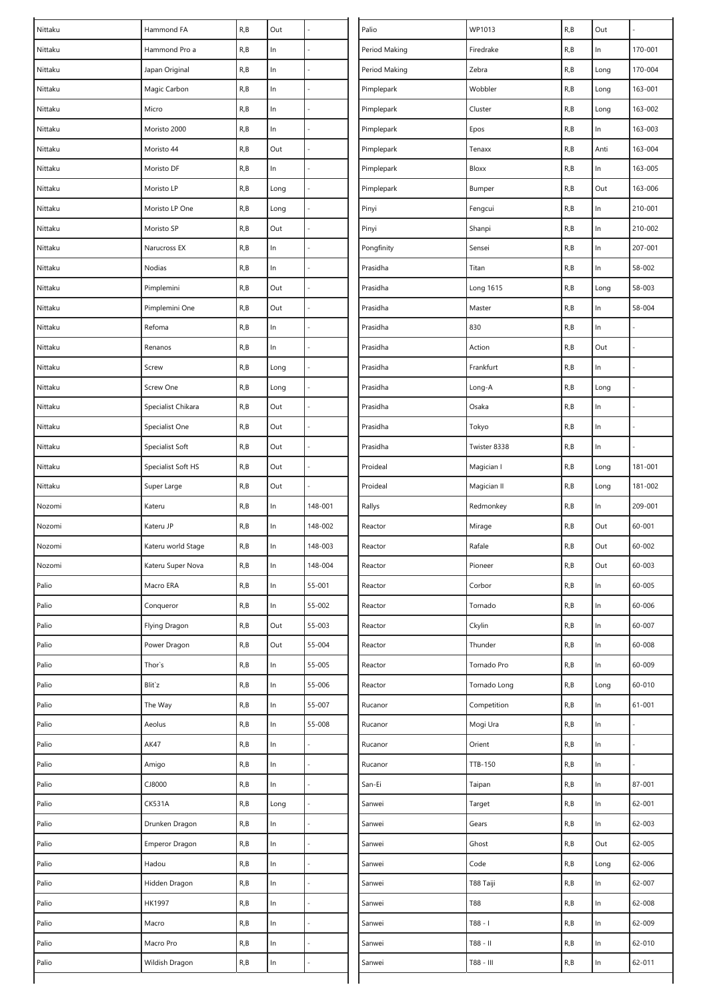| Nittaku | Hammond FA         | R, B | Out   |         | Palio         | WP1013       | R, B | Out   |            |
|---------|--------------------|------|-------|---------|---------------|--------------|------|-------|------------|
| Nittaku | Hammond Pro a      | R, B | In    |         | Period Making | Firedrake    | R, B | In    | 170-001    |
| Nittaku | Japan Original     | R, B | $\ln$ |         | Period Making | Zebra        | R, B | Long  | 170-004    |
| Nittaku | Magic Carbon       | R, B | $\ln$ |         | Pimplepark    | Wobbler      | R, B | Long  | 163-001    |
| Nittaku | Micro              | R, B | $\ln$ |         | Pimplepark    | Cluster      | R, B | Long  | 163-002    |
| Nittaku | Moristo 2000       | R, B | $\ln$ |         | Pimplepark    | Epos         | R, B | In    | 163-003    |
| Nittaku | Moristo 44         | R, B | Out   |         | Pimplepark    | Tenaxx       | R, B | Anti  | 163-004    |
| Nittaku | Moristo DF         | R, B | ln    |         | Pimplepark    | Bloxx        | R, B | $\ln$ | 163-005    |
| Nittaku | Moristo LP         | R, B | Long  |         | Pimplepark    | Bumper       | R, B | Out   | 163-006    |
| Nittaku | Moristo LP One     | R, B | Long  |         | Pinyi         | Fengcui      | R, B | In    | 210-001    |
| Nittaku | Moristo SP         | R, B | Out   |         | Pinyi         | Shanpi       | R, B | $\ln$ | 210-002    |
| Nittaku | Narucross EX       | R, B | ln    |         | Pongfinity    | Sensei       | R, B | $\ln$ | 207-001    |
| Nittaku | Nodias             | R, B | $\ln$ |         | Prasidha      | Titan        | R, B | $\ln$ | 58-002     |
| Nittaku | Pimplemini         | R, B | Out   |         | Prasidha      | Long 1615    | R, B | Long  | 58-003     |
| Nittaku | Pimplemini One     | R, B | Out   |         | Prasidha      | Master       | R, B | In    | 58-004     |
| Nittaku | Refoma             | R, B | In    |         | Prasidha      | 830          | R, B | In    |            |
| Nittaku | Renanos            | R, B | $\ln$ |         | Prasidha      | Action       | R, B | Out   |            |
| Nittaku | Screw              | R, B | Long  |         | Prasidha      | Frankfurt    | R, B | $\ln$ |            |
| Nittaku | Screw One          | R, B | Long  |         | Prasidha      | Long-A       | R, B | Long  |            |
| Nittaku | Specialist Chikara | R, B | Out   |         | Prasidha      | Osaka        | R, B | In    |            |
| Nittaku | Specialist One     | R, B | Out   |         | Prasidha      | Tokyo        | R,B  | In    |            |
| Nittaku | Specialist Soft    | R, B | Out   |         | Prasidha      | Twister 8338 | R, B | $\ln$ |            |
| Nittaku | Specialist Soft HS | R, B | Out   |         | Proideal      | Magician I   | R, B | Long  | 181-001    |
| Nittaku | Super Large        | R, B | Out   |         | Proideal      | Magician II  | R, B | Long  | 181-002    |
| Nozomi  | Kateru             | R, B | ln    | 148-001 | Rallys        | Redmonkey    | R, B | $\ln$ | 209-001    |
| Nozomi  | Kateru JP          | R, B | In    | 148-002 | Reactor       | Mirage       | R, B | Out   | $60 - 001$ |
| Nozomi  | Kateru world Stage | R, B | ln    | 148-003 | Reactor       | Rafale       | R, B | Out   | $60 - 002$ |
| Nozomi  | Kateru Super Nova  | R, B | ln    | 148-004 | Reactor       | Pioneer      | R, B | Out   | 60-003     |
| Palio   | Macro ERA          | R, B | $\ln$ | 55-001  | Reactor       | Corbor       | R, B | $\ln$ | $60 - 005$ |
| Palio   | Conqueror          | R, B | In    | 55-002  | Reactor       | Tornado      | R, B | In    | 60-006     |
| Palio   | Flying Dragon      | R, B | Out   | 55-003  | Reactor       | Ckylin       | R, B | $\ln$ | 60-007     |
| Palio   | Power Dragon       | R, B | Out   | 55-004  | Reactor       | Thunder      | R, B | $\ln$ | 60-008     |
| Palio   | Thor's             | R, B | $\ln$ | 55-005  | Reactor       | Tornado Pro  | R, B | ln    | 60-009     |
| Palio   | Blit'z             | R, B | ln    | 55-006  | Reactor       | Tornado Long | R, B | Long  | 60-010     |
| Palio   | The Way            | R, B | ln    | 55-007  | Rucanor       | Competition  | R, B | $\ln$ | $61 - 001$ |
| Palio   | Aeolus             | R, B | $\ln$ | 55-008  | Rucanor       | Mogi Ura     | R, B | $\ln$ |            |
| Palio   | AK47               | R, B | $\ln$ |         | Rucanor       | Orient       | R, B | $\ln$ |            |
| Palio   | Amigo              | R, B | $\ln$ |         | Rucanor       | TTB-150      | R, B | In    |            |
| Palio   | CJ8000             | R, B | ln    |         | San-Ei        | Taipan       | R, B | $\ln$ | 87-001     |
| Palio   | <b>CK531A</b>      | R, B | Long  |         | Sanwei        | Target       | R, B | $\ln$ | $62 - 001$ |
| Palio   | Drunken Dragon     | R, B | $\ln$ | L,      | Sanwei        | Gears        | R, B | $\ln$ | 62-003     |
| Palio   | Emperor Dragon     | R, B | $\ln$ |         | Sanwei        | Ghost        | R, B | Out   | $62 - 005$ |
| Palio   | Hadou              | R, B | $\ln$ |         | Sanwei        | Code         | R, B | Long  | 62-006     |
| Palio   | Hidden Dragon      | R, B | ln    |         | Sanwei        | T88 Taiji    | R, B | $\ln$ | $62 - 007$ |
| Palio   | HK1997             | R, B | $\ln$ |         | Sanwei        | T88          | R, B | $\ln$ | 62-008     |
| Palio   | Macro              | R, B | $\ln$ |         | Sanwei        | T88 - I      | R, B | $\ln$ | 62-009     |
| Palio   | Macro Pro          | R, B | $\ln$ |         | Sanwei        | T88 - II     | R, B | $\ln$ | 62-010     |
| Palio   | Wildish Dragon     | R, B | ln    |         | Sanwei        | T88 - III    | R, B | $\ln$ | 62-011     |
|         |                    |      |       |         |               |              |      |       |            |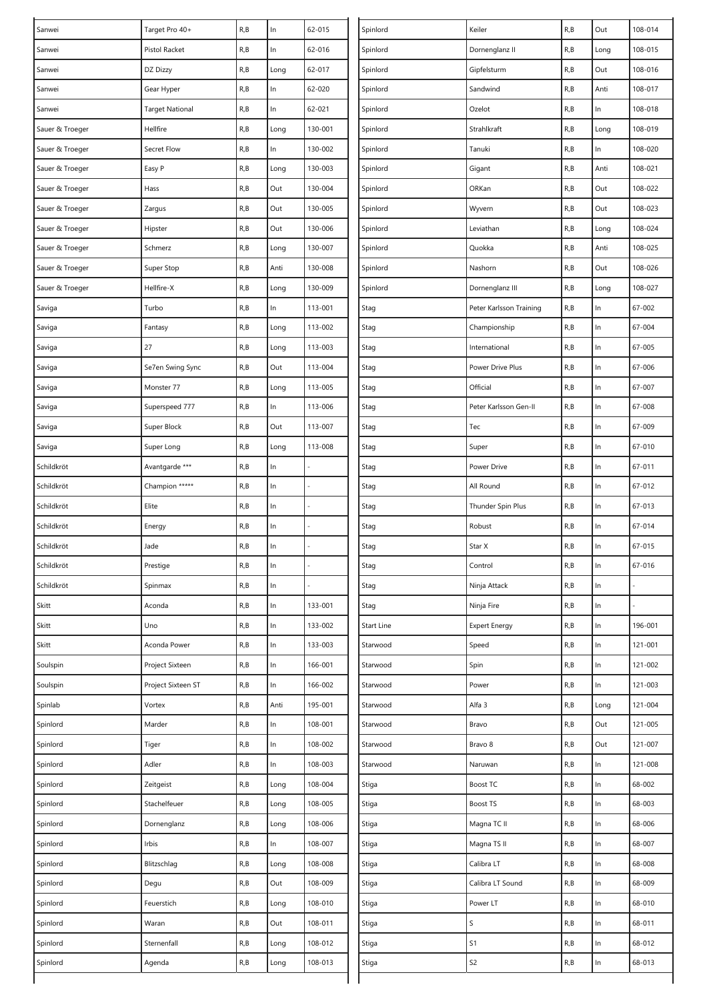| Sanwei          | Target Pro 40+         | $\mathsf{R},\mathsf{B}$ | $\ln$ | 62-015  | Spinlord   | Keiler                  | R, B | Out   | 108-014 |
|-----------------|------------------------|-------------------------|-------|---------|------------|-------------------------|------|-------|---------|
| Sanwei          | Pistol Racket          | R, B                    | $\ln$ | 62-016  | Spinlord   | Dornenglanz II          | R, B | Long  | 108-015 |
| Sanwei          | DZ Dizzy               | R, B                    | Long  | 62-017  | Spinlord   | Gipfelsturm             | R, B | Out   | 108-016 |
| Sanwei          | Gear Hyper             | R, B                    | In    | 62-020  | Spinlord   | Sandwind                | R, B | Anti  | 108-017 |
| Sanwei          | <b>Target National</b> | R, B                    | $\ln$ | 62-021  | Spinlord   | Ozelot                  | R, B | $\ln$ | 108-018 |
| Sauer & Troeger | Hellfire               | R, B                    | Long  | 130-001 | Spinlord   | Strahlkraft             | R, B | Long  | 108-019 |
| Sauer & Troeger | Secret Flow            | R, B                    | In    | 130-002 | Spinlord   | Tanuki                  | R, B | $\ln$ | 108-020 |
| Sauer & Troeger | Easy P                 | R, B                    | Long  | 130-003 | Spinlord   | Gigant                  | R, B | Anti  | 108-021 |
| Sauer & Troeger | Hass                   | R, B                    | Out   | 130-004 | Spinlord   | ORKan                   | R, B | Out   | 108-022 |
| Sauer & Troeger | Zargus                 | R, B                    | Out   | 130-005 | Spinlord   | Wyvern                  | R,B  | Out   | 108-023 |
| Sauer & Troeger | Hipster                | R, B                    | Out   | 130-006 | Spinlord   | Leviathan               | R, B | Long  | 108-024 |
| Sauer & Troeger | Schmerz                | R, B                    | Long  | 130-007 | Spinlord   | Quokka                  | R, B | Anti  | 108-025 |
| Sauer & Troeger | Super Stop             | R, B                    | Anti  | 130-008 | Spinlord   | Nashorn                 | R, B | Out   | 108-026 |
| Sauer & Troeger | Hellfire-X             | R, B                    | Long  | 130-009 | Spinlord   | Dornenglanz III         | R, B | Long  | 108-027 |
| Saviga          | Turbo                  | R, B                    | In    | 113-001 | Stag       | Peter Karlsson Training | R, B | $\ln$ | 67-002  |
| Saviga          | Fantasy                | R, B                    | Long  | 113-002 | Stag       | Championship            | R, B | $\ln$ | 67-004  |
| Saviga          | 27                     | R, B                    | Long  | 113-003 | Stag       | International           | R, B | $\ln$ | 67-005  |
| Saviga          | Se7en Swing Sync       | R, B                    | Out   | 113-004 | Stag       | Power Drive Plus        | R,B  | $\ln$ | 67-006  |
| Saviga          | Monster 77             | R, B                    | Long  | 113-005 | Stag       | Official                | R, B | $\ln$ | 67-007  |
| Saviga          | Superspeed 777         | R, B                    | In.   | 113-006 | Stag       | Peter Karlsson Gen-II   | R, B | $\ln$ | 67-008  |
| Saviga          | Super Block            | R, B                    | Out   | 113-007 | Stag       | Tec                     | R, B | In    | 67-009  |
| Saviga          | Super Long             | R, B                    | Long  | 113-008 | Stag       | Super                   | R, B | $\ln$ | 67-010  |
| Schildkröt      | Avantgarde ***         | R, B                    | ln    |         | Stag       | Power Drive             | R, B | $\ln$ | 67-011  |
| Schildkröt      | Champion *****         | R, B                    | $\ln$ |         | Stag       | All Round               | R, B | $\ln$ | 67-012  |
| Schildkröt      | Elite                  | R, B                    | In    |         | Stag       | Thunder Spin Plus       | R,B  | $\ln$ | 67-013  |
| Schildkröt      | Energy                 | R, B                    | In    |         | Stag       | Robust                  | R, B | $\ln$ | 67-014  |
| Schildkröt      | Jade                   | R, B                    | In    |         | Stag       | Star X                  | R, B | $\ln$ | 67-015  |
| Schildkröt      | Prestige               | R, B                    | In    |         | Stag       | Control                 | R, B | ln    | 67-016  |
| Schildkröt      | Spinmax                | R, B                    | $\ln$ |         | Stag       | Ninja Attack            | R, B | $\ln$ |         |
| Skitt           | Aconda                 | R, B                    | $\ln$ | 133-001 | Stag       | Ninja Fire              | R, B | $\ln$ |         |
| Skitt           | Uno                    | R, B                    | In    | 133-002 | Start Line | <b>Expert Energy</b>    | R, B | ln    | 196-001 |
| Skitt           | Aconda Power           | R, B                    | ln    | 133-003 | Starwood   | Speed                   | R, B | $\ln$ | 121-001 |
| Soulspin        | Project Sixteen        | R, B                    | $\ln$ | 166-001 | Starwood   | Spin                    | R,B  | $\ln$ | 121-002 |
| Soulspin        | Project Sixteen ST     | R, B                    | In    | 166-002 | Starwood   | Power                   | R, B | $\ln$ | 121-003 |
| Spinlab         | Vortex                 | R, B                    | Anti  | 195-001 | Starwood   | Alfa 3                  | R, B | Long  | 121-004 |
| Spinlord        | Marder                 | R, B                    | $\ln$ | 108-001 | Starwood   | Bravo                   | R, B | Out   | 121-005 |
| Spinlord        | Tiger                  | R, B                    | $\ln$ | 108-002 | Starwood   | Bravo 8                 | R, B | Out   | 121-007 |
| Spinlord        | Adler                  | R, B                    | ln    | 108-003 | Starwood   | Naruwan                 | R, B | $\ln$ | 121-008 |
| Spinlord        | Zeitgeist              | R, B                    | Long  | 108-004 | Stiga      | Boost TC                | R, B | $\ln$ | 68-002  |
| Spinlord        | Stachelfeuer           | R, B                    | Long  | 108-005 | Stiga      | Boost TS                | R, B | $\ln$ | 68-003  |
| Spinlord        | Dornenglanz            | R, B                    | Long  | 108-006 | Stiga      | Magna TC II             | R, B | $\ln$ | 68-006  |
| Spinlord        | Irbis                  | R, B                    | ln    | 108-007 | Stiga      | Magna TS II             | R, B | $\ln$ | 68-007  |
| Spinlord        | Blitzschlag            | R, B                    | Long  | 108-008 | Stiga      | Calibra LT              | R, B | $\ln$ | 68-008  |
| Spinlord        | Degu                   | R, B                    | Out   | 108-009 | Stiga      | Calibra LT Sound        | R, B | $\ln$ | 68-009  |
| Spinlord        | Feuerstich             | R, B                    | Long  | 108-010 | Stiga      | Power LT                | R, B | ln    | 68-010  |
| Spinlord        | Waran                  | R, B                    | Out   | 108-011 | Stiga      | S                       | R, B | $\ln$ | 68-011  |
| Spinlord        | Sternenfall            | R, B                    | Long  | 108-012 | Stiga      | S <sub>1</sub>          | R,B  | $\ln$ | 68-012  |
| Spinlord        | Agenda                 | R, B                    | Long  | 108-013 | Stiga      | S <sub>2</sub>          | R, B | $\ln$ | 68-013  |
|                 |                        |                         |       |         |            |                         |      |       |         |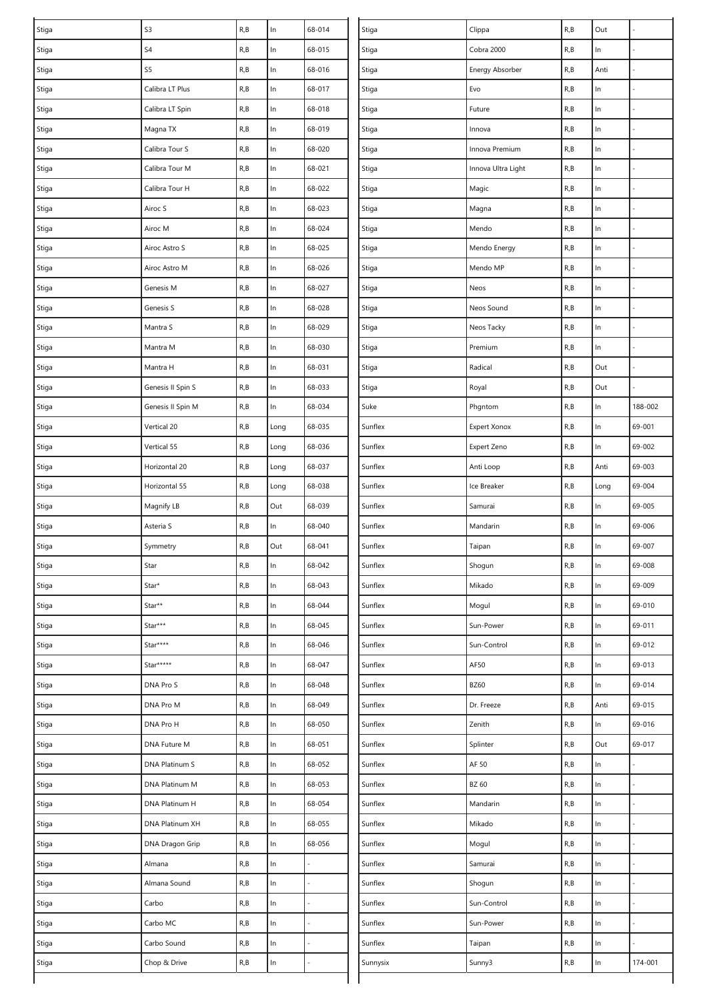| Stiga | S3                | R, B                    | In    | 68-014 | Stiga    | Clippa              | R, B | Out   |         |
|-------|-------------------|-------------------------|-------|--------|----------|---------------------|------|-------|---------|
| Stiga | S4                | R, B                    | ln    | 68-015 | Stiga    | Cobra 2000          | R, B | In    |         |
| Stiga | S5                | R, B                    | $\ln$ | 68-016 | Stiga    | Energy Absorber     | R, B | Anti  |         |
| Stiga | Calibra LT Plus   | R, B                    | $\ln$ | 68-017 | Stiga    | Evo                 | R, B | $\ln$ |         |
| Stiga | Calibra LT Spin   | R, B                    | $\ln$ | 68-018 | Stiga    | Future              | R, B | In    |         |
| Stiga | Magna TX          | R, B                    | $\ln$ | 68-019 | Stiga    | Innova              | R, B | In    |         |
| Stiga | Calibra Tour S    | R, B                    | ln    | 68-020 | Stiga    | Innova Premium      | R, B | $\ln$ |         |
| Stiga | Calibra Tour M    | R, B                    | $\ln$ | 68-021 | Stiga    | Innova Ultra Light  | R,B  | $\ln$ |         |
| Stiga | Calibra Tour H    | R, B                    | ln    | 68-022 | Stiga    | Magic               | R, B | $\ln$ |         |
| Stiga | Airoc S           | R, B                    | $\ln$ | 68-023 | Stiga    | Magna               | R, B | In    |         |
| Stiga | Airoc M           | R, B                    | $\ln$ | 68-024 | Stiga    | Mendo               | R, B | $\ln$ |         |
| Stiga | Airoc Astro S     | R, B                    | ln    | 68-025 | Stiga    | Mendo Energy        | R, B | In    |         |
| Stiga | Airoc Astro M     | R, B                    | ln    | 68-026 | Stiga    | Mendo MP            | R, B | $\ln$ |         |
| Stiga | Genesis M         | R, B                    | ln    | 68-027 | Stiga    | Neos                | R, B | $\ln$ |         |
| Stiga | Genesis S         | R, B                    | $\ln$ | 68-028 | Stiga    | Neos Sound          | R, B | $\ln$ |         |
| Stiga | Mantra S          | R, B                    | In    | 68-029 | Stiga    | Neos Tacky          | R, B | In    |         |
| Stiga | Mantra M          | R, B                    | $\ln$ | 68-030 | Stiga    | Premium             | R, B | $\ln$ |         |
| Stiga | Mantra H          | R, B                    | $\ln$ | 68-031 | Stiga    | Radical             | R, B | Out   |         |
| Stiga | Genesis II Spin S | R, B                    | ln    | 68-033 | Stiga    | Royal               | R, B | Out   |         |
| Stiga | Genesis II Spin M | R, B                    | ln    | 68-034 | Suke     | Phgntom             | R, B | In    | 188-002 |
| Stiga | Vertical 20       | R, B                    | Long  | 68-035 | Sunflex  | <b>Expert Xonox</b> | R, B | In    | 69-001  |
| Stiga | Vertical 55       | R, B                    | Long  | 68-036 | Sunflex  | Expert Zeno         | R, B | $\ln$ | 69-002  |
| Stiga | Horizontal 20     | $\mathsf{R},\mathsf{B}$ | Long  | 68-037 | Sunflex  | Anti Loop           | R, B | Anti  | 69-003  |
| Stiga | Horizontal 55     | R, B                    | Long  | 68-038 | Sunflex  | Ice Breaker         | R, B | Long  | 69-004  |
| Stiga | Magnify LB        | R, B                    | Out   | 68-039 | Sunflex  | Samurai             | R, B | $\ln$ | 69-005  |
| Stiga | Asteria S         | R, B                    | In    | 68-040 | Sunflex  | Mandarin            | R, B | In    | 69-006  |
| Stiga | Symmetry          | R, B                    | Out   | 68-041 | Sunflex  | Taipan              | R, B | In    | 69-007  |
| Stiga | Star              | R, B                    | In    | 68-042 | Sunflex  | Shogun              | R, B | In    | 69-008  |
| Stiga | Star*             | R, B                    | $\ln$ | 68-043 | Sunflex  | Mikado              | R, B | $\ln$ | 69-009  |
| Stiga | Star**            | R, B                    | ln    | 68-044 | Sunflex  | Mogul               | R, B | In    | 69-010  |
| Stiga | Star***           | R, B                    | $\ln$ | 68-045 | Sunflex  | Sun-Power           | R, B | $\ln$ | 69-011  |
| Stiga | Star****          | R, B                    | $\ln$ | 68-046 | Sunflex  | Sun-Control         | R, B | $\ln$ | 69-012  |
| Stiga | Star*****         | R, B                    | $\ln$ | 68-047 | Sunflex  | AF50                | R, B | $\ln$ | 69-013  |
| Stiga | DNA Pro S         | R, B                    | ln    | 68-048 | Sunflex  | <b>BZ60</b>         | R, B | $\ln$ | 69-014  |
| Stiga | DNA Pro M         | R, B                    | ln    | 68-049 | Sunflex  | Dr. Freeze          | R, B | Anti  | 69-015  |
| Stiga | DNA Pro H         | R, B                    | $\ln$ | 68-050 | Sunflex  | Zenith              | R, B | $\ln$ | 69-016  |
| Stiga | DNA Future M      | R, B                    | ln    | 68-051 | Sunflex  | Splinter            | R, B | Out   | 69-017  |
| Stiga | DNA Platinum S    | R, B                    | $\ln$ | 68-052 | Sunflex  | AF 50               | R, B | In    |         |
| Stiga | DNA Platinum M    | R, B                    | ln    | 68-053 | Sunflex  | BZ 60               | R, B | In    |         |
| Stiga | DNA Platinum H    | R, B                    | $\ln$ | 68-054 | Sunflex  | Mandarin            | R, B | $\ln$ |         |
| Stiga | DNA Platinum XH   | R, B                    | $\ln$ | 68-055 | Sunflex  | Mikado              | R, B | $\ln$ |         |
| Stiga | DNA Dragon Grip   | R, B                    | ln    | 68-056 | Sunflex  | Mogul               | R, B | $\ln$ |         |
| Stiga | Almana            | R, B                    | $\ln$ |        | Sunflex  | Samurai             | R, B | $\ln$ |         |
| Stiga | Almana Sound      | R, B                    | ln    |        | Sunflex  | Shogun              | R, B | $\ln$ |         |
| Stiga | Carbo             | R, B                    | $\ln$ |        | Sunflex  | Sun-Control         | R, B | $\ln$ |         |
| Stiga | Carbo MC          | R, B                    | $\ln$ |        | Sunflex  | Sun-Power           | R, B | $\ln$ |         |
| Stiga | Carbo Sound       | R, B                    | $\ln$ |        | Sunflex  | Taipan              | R, B | In    |         |
| Stiga | Chop & Drive      | R, B                    | $\ln$ |        | Sunnysix | Sunny3              | R, B | In    | 174-001 |
|       |                   |                         |       |        |          |                     |      |       |         |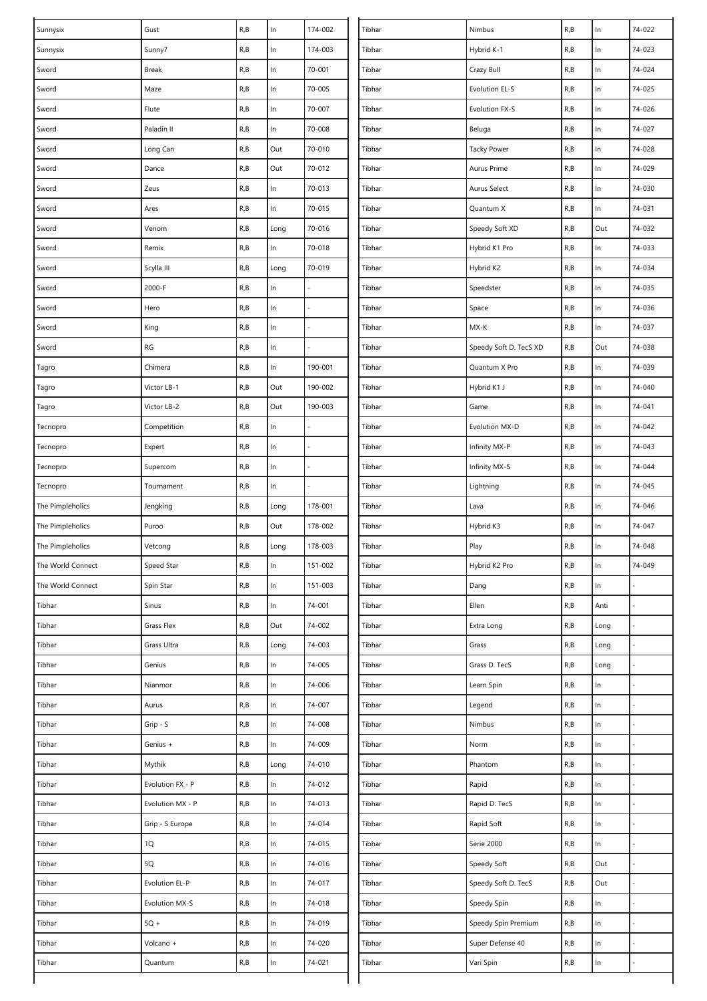| Sunnysix          | Gust             | R, B | $\ln$ | 174-002 | Tibhar | Nimbus                 | R, B | $\ln$ | 74-022 |
|-------------------|------------------|------|-------|---------|--------|------------------------|------|-------|--------|
| Sunnysix          | Sunny7           | R, B | $\ln$ | 174-003 | Tibhar | Hybrid K-1             | R, B | $\ln$ | 74-023 |
| Sword             | Break            | R, B | $\ln$ | 70-001  | Tibhar | Crazy Bull             | R, B | In    | 74-024 |
| Sword             | Maze             | R, B | $\ln$ | 70-005  | Tibhar | Evolution EL-S         | R, B | $\ln$ | 74-025 |
| Sword             | Flute            | R, B | $\ln$ | 70-007  | Tibhar | Evolution FX-S         | R, B | $\ln$ | 74-026 |
| Sword             | Paladin II       | R, B | $\ln$ | 70-008  | Tibhar | Beluga                 | R, B | $\ln$ | 74-027 |
| Sword             | Long Can         | R, B | Out   | 70-010  | Tibhar | <b>Tacky Power</b>     | R, B | $\ln$ | 74-028 |
| Sword             | Dance            | R, B | Out   | 70-012  | Tibhar | Aurus Prime            | R, B | $\ln$ | 74-029 |
| Sword             | Zeus             | R, B | ln    | 70-013  | Tibhar | Aurus Select           | R, B | $\ln$ | 74-030 |
| Sword             | Ares             | R, B | $\ln$ | 70-015  | Tibhar | Quantum X              | R, B | $\ln$ | 74-031 |
| Sword             | Venom            | R, B | Long  | 70-016  | Tibhar | Speedy Soft XD         | R, B | Out   | 74-032 |
| Sword             | Remix            | R, B | ln    | 70-018  | Tibhar | Hybrid K1 Pro          | R, B | In    | 74-033 |
| Sword             | Scylla III       | R, B | Long  | 70-019  | Tibhar | Hybrid K2              | R, B | $\ln$ | 74-034 |
| Sword             | 2000-F           | R, B | $\ln$ |         | Tibhar | Speedster              | R, B | $\ln$ | 74-035 |
| Sword             | Hero             | R, B | $\ln$ |         | Tibhar | Space                  | R, B | $\ln$ | 74-036 |
| Sword             | King             | R, B | $\ln$ |         | Tibhar | MX-K                   | R, B | $\ln$ | 74-037 |
| Sword             | RG               | R, B | $\ln$ |         | Tibhar | Speedy Soft D. TecS XD | R, B | Out   | 74-038 |
| Tagro             | Chimera          | R, B | $\ln$ | 190-001 | Tibhar | Quantum X Pro          | R, B | $\ln$ | 74-039 |
| Tagro             | Victor LB-1      | R, B | Out   | 190-002 | Tibhar | Hybrid K1 J            | R, B | $\ln$ | 74-040 |
| Tagro             | Victor LB-2      | R, B | Out   | 190-003 | Tibhar | Game                   | R, B | $\ln$ | 74-041 |
| Tecnopro          | Competition      | R, B | $\ln$ |         | Tibhar | Evolution MX-D         | R, B | ln    | 74-042 |
| Tecnopro          | Expert           | R, B | $\ln$ |         | Tibhar | Infinity MX-P          | R, B | In    | 74-043 |
| Tecnopro          | Supercom         | R, B | $\ln$ |         | Tibhar | Infinity MX-S          | R, B | $\ln$ | 74-044 |
| Tecnopro          | Tournament       | R, B | $\ln$ |         | Tibhar | Lightning              | R, B | $\ln$ | 74-045 |
| The Pimpleholics  | Jengking         | R, B | Long  | 178-001 | Tibhar | Lava                   | R, B | $\ln$ | 74-046 |
| The Pimpleholics  | Puroo            | R, B | Out   | 178-002 | Tibhar | Hybrid K3              | R, B | ln    | 74-047 |
| The Pimpleholics  | Vetcong          | R, B | Long  | 178-003 | Tibhar | Play                   | R, B | $\ln$ | 74-048 |
| The World Connect | Speed Star       | R, B | $\ln$ | 151-002 | Tibhar | Hybrid K2 Pro          | R, B | $\ln$ | 74-049 |
| The World Connect | Spin Star        | R, B | $\ln$ | 151-003 | Tibhar | Dang                   | R, B | $\ln$ |        |
| Tibhar            | Sinus            | R, B | ln    | 74-001  | Tibhar | Ellen                  | R, B | Anti  |        |
| Tibhar            | Grass Flex       | R, B | Out   | 74-002  | Tibhar | Extra Long             | R, B | Long  | L,     |
| Tibhar            | Grass Ultra      | R, B | Long  | 74-003  | Tibhar | Grass                  | R, B | Long  |        |
| Tibhar            | Genius           | R, B | ln    | 74-005  | Tibhar | Grass D. TecS          | R, B | Long  |        |
| Tibhar            | Nianmor          | R, B | $\ln$ | 74-006  | Tibhar | Learn Spin             | R, B | ln    |        |
| Tibhar            | Aurus            | R, B | $\ln$ | 74-007  | Tibhar | Legend                 | R, B | $\ln$ |        |
| Tibhar            | Grip - S         | R, B | $\ln$ | 74-008  | Tibhar | Nimbus                 | R, B | In    |        |
| Tibhar            | Genius +         | R, B | ln    | 74-009  | Tibhar | Norm                   | R, B | $\ln$ |        |
| Tibhar            | Mythik           | R, B | Long  | 74-010  | Tibhar | Phantom                | R, B | $\ln$ |        |
| Tibhar            | Evolution FX - P | R, B | In.   | 74-012  | Tibhar | Rapid                  | R, B | $\ln$ |        |
| Tibhar            | Evolution MX - P | R, B | ln    | 74-013  | Tibhar | Rapid D. TecS          | R, B | $\ln$ |        |
| Tibhar            | Grip - S Europe  | R, B | $\ln$ | 74-014  | Tibhar | Rapid Soft             | R, B | $\ln$ |        |
| Tibhar            | 1Q               | R, B | $\ln$ | 74-015  | Tibhar | Serie 2000             | R, B | $\ln$ |        |
| Tibhar            | 5Q               | R, B | $\ln$ | 74-016  | Tibhar | Speedy Soft            | R, B | Out   |        |
| Tibhar            | Evolution EL-P   | R, B | $\ln$ | 74-017  | Tibhar | Speedy Soft D. TecS    | R, B | Out   |        |
| Tibhar            | Evolution MX-S   | R, B | $\ln$ | 74-018  | Tibhar | Speedy Spin            | R, B | $\ln$ | L,     |
| Tibhar            | $5Q +$           | R, B | $\ln$ | 74-019  | Tibhar | Speedy Spin Premium    | R, B | $\ln$ |        |
| Tibhar            | Volcano +        | R, B | $\ln$ | 74-020  | Tibhar | Super Defense 40       | R, B | $\ln$ |        |
| Tibhar            | Quantum          | R, B | ln    | 74-021  | Tibhar | Vari Spin              | R, B | ln    |        |
|                   |                  |      |       |         |        |                        |      |       |        |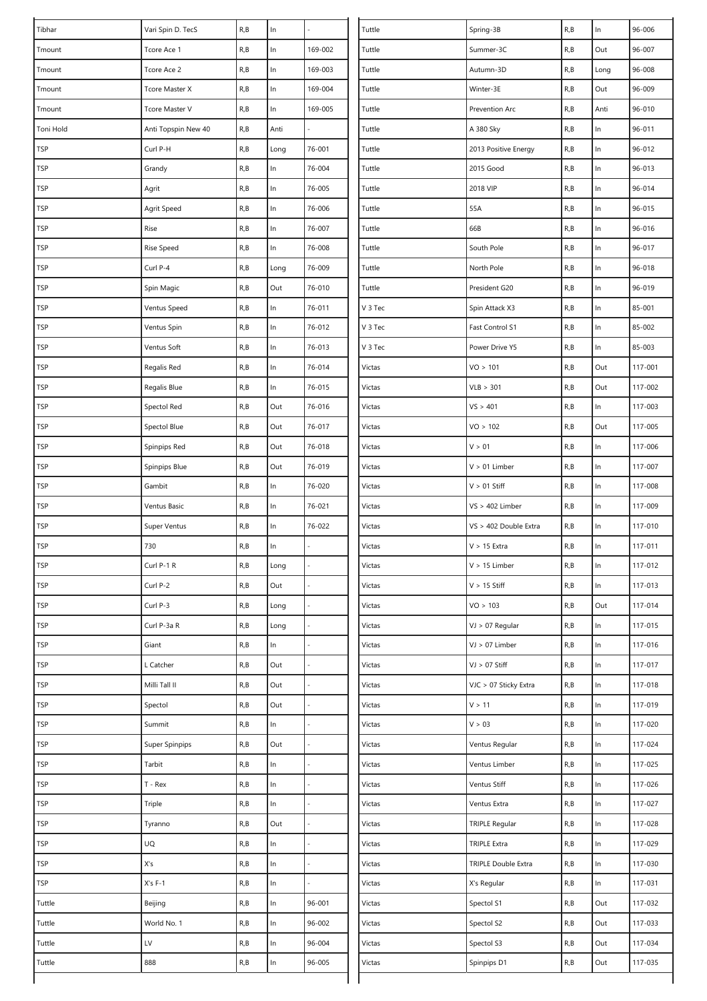| R, B<br>$\ln$<br>169-002<br>R, B<br>96-007<br>Tuttle<br>Out<br>Tcore Ace 1<br>Summer-3C<br>Tmount<br>ln<br>169-003<br>R, B<br>96-008<br>R, B<br>Tuttle<br>Tcore Ace 2<br>Autumn-3D<br>Long<br>Tmount<br>$\ln$<br>R, B<br>169-004<br>Tuttle<br>R, B<br>Out<br>96-009<br>Tmount<br>Tcore Master X<br>Winter-3E<br>$\ln$<br>R, B<br>169-005<br>Tuttle<br>R, B<br>Anti<br>96-010<br>Tmount<br>Tcore Master V<br>Prevention Arc<br>R, B<br>Anti<br>R, B<br>In<br>96-011<br>Toni Hold<br>Anti Topspin New 40<br>Tuttle<br>A 380 Sky<br>$\ln$<br><b>TSP</b><br>Curl P-H<br>R, B<br>76-001<br>Tuttle<br>R, B<br>96-012<br>Long<br>2013 Positive Energy<br>R, B<br>ln<br>76-004<br>R, B<br>$\ln$<br>96-013<br><b>TSP</b><br>Tuttle<br>2015 Good<br>Grandy<br>R, B<br>ln<br>R, B<br>$\ln$<br>96-014<br><b>TSP</b><br>76-005<br>Tuttle<br>2018 VIP<br>Agrit<br>ln<br>R, B<br><b>TSP</b><br>R, B<br>76-006<br>Tuttle<br>55A<br>$\ln$<br>96-015<br>Agrit Speed<br>$\ln$<br>$\ln$<br><b>TSP</b><br>R, B<br>76-007<br>66B<br>R, B<br>96-016<br>Rise<br>Tuttle<br>$\ln$<br>$\ln$<br><b>TSP</b><br>R, B<br>76-008<br>Tuttle<br>South Pole<br>R, B<br>96-017<br>Rise Speed<br>$\ln$<br>TSP<br>Curl P-4<br>R, B<br>76-009<br>Tuttle<br>North Pole<br>R, B<br>96-018<br>Long<br>$\ln$<br><b>TSP</b><br>R, B<br>Out<br>76-010<br>Tuttle<br>R, B<br>96-019<br>Spin Magic<br>President G20<br>$\ln$<br><b>TSP</b><br>R, B<br>76-011<br>R, B<br>$\ln$<br>85-001<br>Ventus Speed<br>V 3 Tec<br>Spin Attack X3<br>R, B<br><b>TSP</b><br>R, B<br>ln<br>76-012<br>V 3 Tec<br>$\ln$<br>85-002<br>Ventus Spin<br>Fast Control S1<br>$\ln$<br>76-013<br>$\ln$<br><b>TSP</b><br>R, B<br>V 3 Tec<br>R, B<br>85-003<br>Ventus Soft<br>Power Drive Y5<br>R, B<br>$\ln$<br>R, B<br>Out<br>TSP<br>76-014<br>Victas<br>VO > 101<br>117-001<br>Regalis Red<br>$\ln$<br>Out<br><b>TSP</b><br>R, B<br>76-015<br>Victas<br>R, B<br>117-002<br>Regalis Blue<br>VLB > 301<br>R, B<br>Out<br>76-016<br>VS > 401<br>R, B<br>$\ln$<br>117-003<br>TSP<br>Spectol Red<br>Victas<br>Out<br><b>TSP</b><br>R, B<br>Out<br>76-017<br>Victas<br>VO > 102<br>R, B<br>117-005<br>Spectol Blue<br>$\ln$<br>TSP<br>R, B<br>Out<br>76-018<br>Victas<br>V > 01<br>R, B<br>117-006<br>Spinpips Red<br>TSP<br>Out<br>R, B<br>$\ln$<br>R, B<br>76-019<br>Victas<br>$V > 01$ Limber<br>117-007<br>Spinpips Blue<br>ln<br><b>TSP</b><br>R, B<br>76-020<br>$V > 01$ Stiff<br>R, B<br>$\ln$<br>117-008<br>Gambit<br>Victas<br><b>TSP</b><br>R, B<br>ln<br>76-021<br>R, B<br>$\ln$<br>Ventus Basic<br>Victas<br>$VS > 402$ Limber<br>117-009<br>ln<br>$\ln$<br><b>TSP</b><br>R, B<br>76-022<br>Victas<br>R, B<br>Super Ventus<br>VS > 402 Double Extra<br>117-010<br>$\ln$<br>730<br>R, B<br>R, B<br>$\ln$<br>TSP<br>Victas<br>117-011<br>$V > 15$ Extra<br>Curl P-1 R<br>117-012<br><b>TSP</b><br>R, B<br>Victas<br>$V > 15$ Limber<br>R, B<br>$\ln$<br>Long<br>Curl P-2<br>$V > 15$ Stiff<br>$\ln$<br>117-013<br><b>TSP</b><br>R, B<br>Out<br>Victas<br>R, B<br><b>TSP</b><br>VO > 103<br>R, B<br>Out<br>Curl P-3<br>R, B<br>Victas<br>117-014<br>Long<br>R, B<br>Victas<br>R, B<br>$\ln$<br><b>TSP</b><br>Curl P-3a R<br>$VJ > 07$ Regular<br>117-015<br>Long<br>L.<br>$\ln$<br>Victas<br>$\ln$<br>TSP<br>Giant<br>R, B<br>VJ > 07 Limber<br>R, B<br>117-016<br>Out<br>$VJ > 07$ Stiff<br>R, B<br>$\ln$<br><b>TSP</b><br>L Catcher<br>R, B<br>Victas<br>117-017<br>$\ln$<br>TSP<br>R, B<br>Out<br>VJC > 07 Sticky Extra<br>R, B<br>117-018<br>Milli Tall II<br>Victas<br>V > 11<br>$\ln$<br><b>TSP</b><br>Spectol<br>R, B<br>Out<br>Victas<br>R, B<br>117-019<br>$\ln$<br>ln<br>Victas<br>V > 03<br>117-020<br>TSP<br>Summit<br>R, B<br>R, B<br><b>TSP</b><br>Victas<br>Super Spinpips<br>R, B<br>Out<br>Ventus Regular<br>R, B<br>$\ln$<br>117-024<br><b>TSP</b><br>Tarbit<br>R, B<br>ln<br>Victas<br>Ventus Limber<br>R, B<br>$\ln$<br>117-025<br>$T - Rex$<br>ln<br>$\ln$<br><b>TSP</b><br>R, B<br>Ventus Stiff<br>R, B<br>117-026<br>Victas<br>$\ln$<br>R, B<br>$\ln$<br><b>TSP</b><br>Triple<br>R, B<br>Victas<br>Ventus Extra<br>117-027<br>Out<br>Victas<br>$\ln$<br>117-028<br>TSP<br>R, B<br><b>TRIPLE Regular</b><br>R, B<br>Tyranno<br>UQ<br>$\ln$<br>$\ln$<br><b>TSP</b><br>R, B<br>Victas<br><b>TRIPLE Extra</b><br>R, B<br>117-029<br>ln<br>$\ln$<br>TSP<br>X's<br>R, B<br>Victas<br>TRIPLE Double Extra<br>R, B<br>117-030<br>$\ln$<br>$\ln$<br><b>TSP</b><br>$X's F-1$<br>R, B<br>Victas<br>X's Regular<br>R, B<br>117-031<br>Tuttle<br>R, B<br>ln<br>96-001<br>Victas<br>R, B<br>Out<br>Beijing<br>Spectol S1<br>117-032<br>$\ln$<br>96-002<br>R, B<br>Tuttle<br>World No. 1<br>R, B<br>Victas<br>Spectol S2<br>Out<br>117-033<br>LV<br>ln<br>R, B<br>Tuttle<br>R, B<br>96-004<br>Victas<br>Spectol S3<br>Out<br>117-034<br>888<br>R, B<br>ln<br>96-005<br>R, B<br>Out<br>117-035<br>Tuttle<br>Victas<br>Spinpips D1 | Tibhar | Vari Spin D. TecS | R, B | In | Tuttle | Spring-3B | R, B | $\ln$ | 96-006 |
|----------------------------------------------------------------------------------------------------------------------------------------------------------------------------------------------------------------------------------------------------------------------------------------------------------------------------------------------------------------------------------------------------------------------------------------------------------------------------------------------------------------------------------------------------------------------------------------------------------------------------------------------------------------------------------------------------------------------------------------------------------------------------------------------------------------------------------------------------------------------------------------------------------------------------------------------------------------------------------------------------------------------------------------------------------------------------------------------------------------------------------------------------------------------------------------------------------------------------------------------------------------------------------------------------------------------------------------------------------------------------------------------------------------------------------------------------------------------------------------------------------------------------------------------------------------------------------------------------------------------------------------------------------------------------------------------------------------------------------------------------------------------------------------------------------------------------------------------------------------------------------------------------------------------------------------------------------------------------------------------------------------------------------------------------------------------------------------------------------------------------------------------------------------------------------------------------------------------------------------------------------------------------------------------------------------------------------------------------------------------------------------------------------------------------------------------------------------------------------------------------------------------------------------------------------------------------------------------------------------------------------------------------------------------------------------------------------------------------------------------------------------------------------------------------------------------------------------------------------------------------------------------------------------------------------------------------------------------------------------------------------------------------------------------------------------------------------------------------------------------------------------------------------------------------------------------------------------------------------------------------------------------------------------------------------------------------------------------------------------------------------------------------------------------------------------------------------------------------------------------------------------------------------------------------------------------------------------------------------------------------------------------------------------------------------------------------------------------------------------------------------------------------------------------------------------------------------------------------------------------------------------------------------------------------------------------------------------------------------------------------------------------------------------------------------------------------------------------------------------------------------------------------------------------------------------------------------------------------------------------------------------------------------------------------------------------------------------------------------------------------------------------------------------------------------------------------------------------------------------------------------------------------------------------------------------------------------------------------------------------------------------------------------------------------------------------------------------------------------------------------------------------------------------------------------------------------------------------------------------------|--------|-------------------|------|----|--------|-----------|------|-------|--------|
|                                                                                                                                                                                                                                                                                                                                                                                                                                                                                                                                                                                                                                                                                                                                                                                                                                                                                                                                                                                                                                                                                                                                                                                                                                                                                                                                                                                                                                                                                                                                                                                                                                                                                                                                                                                                                                                                                                                                                                                                                                                                                                                                                                                                                                                                                                                                                                                                                                                                                                                                                                                                                                                                                                                                                                                                                                                                                                                                                                                                                                                                                                                                                                                                                                                                                                                                                                                                                                                                                                                                                                                                                                                                                                                                                                                                                                                                                                                                                                                                                                                                                                                                                                                                                                                                                                                                                                                                                                                                                                                                                                                                                                                                                                                                                                                                                                                                      |        |                   |      |    |        |           |      |       |        |
|                                                                                                                                                                                                                                                                                                                                                                                                                                                                                                                                                                                                                                                                                                                                                                                                                                                                                                                                                                                                                                                                                                                                                                                                                                                                                                                                                                                                                                                                                                                                                                                                                                                                                                                                                                                                                                                                                                                                                                                                                                                                                                                                                                                                                                                                                                                                                                                                                                                                                                                                                                                                                                                                                                                                                                                                                                                                                                                                                                                                                                                                                                                                                                                                                                                                                                                                                                                                                                                                                                                                                                                                                                                                                                                                                                                                                                                                                                                                                                                                                                                                                                                                                                                                                                                                                                                                                                                                                                                                                                                                                                                                                                                                                                                                                                                                                                                                      |        |                   |      |    |        |           |      |       |        |
|                                                                                                                                                                                                                                                                                                                                                                                                                                                                                                                                                                                                                                                                                                                                                                                                                                                                                                                                                                                                                                                                                                                                                                                                                                                                                                                                                                                                                                                                                                                                                                                                                                                                                                                                                                                                                                                                                                                                                                                                                                                                                                                                                                                                                                                                                                                                                                                                                                                                                                                                                                                                                                                                                                                                                                                                                                                                                                                                                                                                                                                                                                                                                                                                                                                                                                                                                                                                                                                                                                                                                                                                                                                                                                                                                                                                                                                                                                                                                                                                                                                                                                                                                                                                                                                                                                                                                                                                                                                                                                                                                                                                                                                                                                                                                                                                                                                                      |        |                   |      |    |        |           |      |       |        |
|                                                                                                                                                                                                                                                                                                                                                                                                                                                                                                                                                                                                                                                                                                                                                                                                                                                                                                                                                                                                                                                                                                                                                                                                                                                                                                                                                                                                                                                                                                                                                                                                                                                                                                                                                                                                                                                                                                                                                                                                                                                                                                                                                                                                                                                                                                                                                                                                                                                                                                                                                                                                                                                                                                                                                                                                                                                                                                                                                                                                                                                                                                                                                                                                                                                                                                                                                                                                                                                                                                                                                                                                                                                                                                                                                                                                                                                                                                                                                                                                                                                                                                                                                                                                                                                                                                                                                                                                                                                                                                                                                                                                                                                                                                                                                                                                                                                                      |        |                   |      |    |        |           |      |       |        |
|                                                                                                                                                                                                                                                                                                                                                                                                                                                                                                                                                                                                                                                                                                                                                                                                                                                                                                                                                                                                                                                                                                                                                                                                                                                                                                                                                                                                                                                                                                                                                                                                                                                                                                                                                                                                                                                                                                                                                                                                                                                                                                                                                                                                                                                                                                                                                                                                                                                                                                                                                                                                                                                                                                                                                                                                                                                                                                                                                                                                                                                                                                                                                                                                                                                                                                                                                                                                                                                                                                                                                                                                                                                                                                                                                                                                                                                                                                                                                                                                                                                                                                                                                                                                                                                                                                                                                                                                                                                                                                                                                                                                                                                                                                                                                                                                                                                                      |        |                   |      |    |        |           |      |       |        |
|                                                                                                                                                                                                                                                                                                                                                                                                                                                                                                                                                                                                                                                                                                                                                                                                                                                                                                                                                                                                                                                                                                                                                                                                                                                                                                                                                                                                                                                                                                                                                                                                                                                                                                                                                                                                                                                                                                                                                                                                                                                                                                                                                                                                                                                                                                                                                                                                                                                                                                                                                                                                                                                                                                                                                                                                                                                                                                                                                                                                                                                                                                                                                                                                                                                                                                                                                                                                                                                                                                                                                                                                                                                                                                                                                                                                                                                                                                                                                                                                                                                                                                                                                                                                                                                                                                                                                                                                                                                                                                                                                                                                                                                                                                                                                                                                                                                                      |        |                   |      |    |        |           |      |       |        |
|                                                                                                                                                                                                                                                                                                                                                                                                                                                                                                                                                                                                                                                                                                                                                                                                                                                                                                                                                                                                                                                                                                                                                                                                                                                                                                                                                                                                                                                                                                                                                                                                                                                                                                                                                                                                                                                                                                                                                                                                                                                                                                                                                                                                                                                                                                                                                                                                                                                                                                                                                                                                                                                                                                                                                                                                                                                                                                                                                                                                                                                                                                                                                                                                                                                                                                                                                                                                                                                                                                                                                                                                                                                                                                                                                                                                                                                                                                                                                                                                                                                                                                                                                                                                                                                                                                                                                                                                                                                                                                                                                                                                                                                                                                                                                                                                                                                                      |        |                   |      |    |        |           |      |       |        |
|                                                                                                                                                                                                                                                                                                                                                                                                                                                                                                                                                                                                                                                                                                                                                                                                                                                                                                                                                                                                                                                                                                                                                                                                                                                                                                                                                                                                                                                                                                                                                                                                                                                                                                                                                                                                                                                                                                                                                                                                                                                                                                                                                                                                                                                                                                                                                                                                                                                                                                                                                                                                                                                                                                                                                                                                                                                                                                                                                                                                                                                                                                                                                                                                                                                                                                                                                                                                                                                                                                                                                                                                                                                                                                                                                                                                                                                                                                                                                                                                                                                                                                                                                                                                                                                                                                                                                                                                                                                                                                                                                                                                                                                                                                                                                                                                                                                                      |        |                   |      |    |        |           |      |       |        |
|                                                                                                                                                                                                                                                                                                                                                                                                                                                                                                                                                                                                                                                                                                                                                                                                                                                                                                                                                                                                                                                                                                                                                                                                                                                                                                                                                                                                                                                                                                                                                                                                                                                                                                                                                                                                                                                                                                                                                                                                                                                                                                                                                                                                                                                                                                                                                                                                                                                                                                                                                                                                                                                                                                                                                                                                                                                                                                                                                                                                                                                                                                                                                                                                                                                                                                                                                                                                                                                                                                                                                                                                                                                                                                                                                                                                                                                                                                                                                                                                                                                                                                                                                                                                                                                                                                                                                                                                                                                                                                                                                                                                                                                                                                                                                                                                                                                                      |        |                   |      |    |        |           |      |       |        |
|                                                                                                                                                                                                                                                                                                                                                                                                                                                                                                                                                                                                                                                                                                                                                                                                                                                                                                                                                                                                                                                                                                                                                                                                                                                                                                                                                                                                                                                                                                                                                                                                                                                                                                                                                                                                                                                                                                                                                                                                                                                                                                                                                                                                                                                                                                                                                                                                                                                                                                                                                                                                                                                                                                                                                                                                                                                                                                                                                                                                                                                                                                                                                                                                                                                                                                                                                                                                                                                                                                                                                                                                                                                                                                                                                                                                                                                                                                                                                                                                                                                                                                                                                                                                                                                                                                                                                                                                                                                                                                                                                                                                                                                                                                                                                                                                                                                                      |        |                   |      |    |        |           |      |       |        |
|                                                                                                                                                                                                                                                                                                                                                                                                                                                                                                                                                                                                                                                                                                                                                                                                                                                                                                                                                                                                                                                                                                                                                                                                                                                                                                                                                                                                                                                                                                                                                                                                                                                                                                                                                                                                                                                                                                                                                                                                                                                                                                                                                                                                                                                                                                                                                                                                                                                                                                                                                                                                                                                                                                                                                                                                                                                                                                                                                                                                                                                                                                                                                                                                                                                                                                                                                                                                                                                                                                                                                                                                                                                                                                                                                                                                                                                                                                                                                                                                                                                                                                                                                                                                                                                                                                                                                                                                                                                                                                                                                                                                                                                                                                                                                                                                                                                                      |        |                   |      |    |        |           |      |       |        |
|                                                                                                                                                                                                                                                                                                                                                                                                                                                                                                                                                                                                                                                                                                                                                                                                                                                                                                                                                                                                                                                                                                                                                                                                                                                                                                                                                                                                                                                                                                                                                                                                                                                                                                                                                                                                                                                                                                                                                                                                                                                                                                                                                                                                                                                                                                                                                                                                                                                                                                                                                                                                                                                                                                                                                                                                                                                                                                                                                                                                                                                                                                                                                                                                                                                                                                                                                                                                                                                                                                                                                                                                                                                                                                                                                                                                                                                                                                                                                                                                                                                                                                                                                                                                                                                                                                                                                                                                                                                                                                                                                                                                                                                                                                                                                                                                                                                                      |        |                   |      |    |        |           |      |       |        |
|                                                                                                                                                                                                                                                                                                                                                                                                                                                                                                                                                                                                                                                                                                                                                                                                                                                                                                                                                                                                                                                                                                                                                                                                                                                                                                                                                                                                                                                                                                                                                                                                                                                                                                                                                                                                                                                                                                                                                                                                                                                                                                                                                                                                                                                                                                                                                                                                                                                                                                                                                                                                                                                                                                                                                                                                                                                                                                                                                                                                                                                                                                                                                                                                                                                                                                                                                                                                                                                                                                                                                                                                                                                                                                                                                                                                                                                                                                                                                                                                                                                                                                                                                                                                                                                                                                                                                                                                                                                                                                                                                                                                                                                                                                                                                                                                                                                                      |        |                   |      |    |        |           |      |       |        |
|                                                                                                                                                                                                                                                                                                                                                                                                                                                                                                                                                                                                                                                                                                                                                                                                                                                                                                                                                                                                                                                                                                                                                                                                                                                                                                                                                                                                                                                                                                                                                                                                                                                                                                                                                                                                                                                                                                                                                                                                                                                                                                                                                                                                                                                                                                                                                                                                                                                                                                                                                                                                                                                                                                                                                                                                                                                                                                                                                                                                                                                                                                                                                                                                                                                                                                                                                                                                                                                                                                                                                                                                                                                                                                                                                                                                                                                                                                                                                                                                                                                                                                                                                                                                                                                                                                                                                                                                                                                                                                                                                                                                                                                                                                                                                                                                                                                                      |        |                   |      |    |        |           |      |       |        |
|                                                                                                                                                                                                                                                                                                                                                                                                                                                                                                                                                                                                                                                                                                                                                                                                                                                                                                                                                                                                                                                                                                                                                                                                                                                                                                                                                                                                                                                                                                                                                                                                                                                                                                                                                                                                                                                                                                                                                                                                                                                                                                                                                                                                                                                                                                                                                                                                                                                                                                                                                                                                                                                                                                                                                                                                                                                                                                                                                                                                                                                                                                                                                                                                                                                                                                                                                                                                                                                                                                                                                                                                                                                                                                                                                                                                                                                                                                                                                                                                                                                                                                                                                                                                                                                                                                                                                                                                                                                                                                                                                                                                                                                                                                                                                                                                                                                                      |        |                   |      |    |        |           |      |       |        |
|                                                                                                                                                                                                                                                                                                                                                                                                                                                                                                                                                                                                                                                                                                                                                                                                                                                                                                                                                                                                                                                                                                                                                                                                                                                                                                                                                                                                                                                                                                                                                                                                                                                                                                                                                                                                                                                                                                                                                                                                                                                                                                                                                                                                                                                                                                                                                                                                                                                                                                                                                                                                                                                                                                                                                                                                                                                                                                                                                                                                                                                                                                                                                                                                                                                                                                                                                                                                                                                                                                                                                                                                                                                                                                                                                                                                                                                                                                                                                                                                                                                                                                                                                                                                                                                                                                                                                                                                                                                                                                                                                                                                                                                                                                                                                                                                                                                                      |        |                   |      |    |        |           |      |       |        |
|                                                                                                                                                                                                                                                                                                                                                                                                                                                                                                                                                                                                                                                                                                                                                                                                                                                                                                                                                                                                                                                                                                                                                                                                                                                                                                                                                                                                                                                                                                                                                                                                                                                                                                                                                                                                                                                                                                                                                                                                                                                                                                                                                                                                                                                                                                                                                                                                                                                                                                                                                                                                                                                                                                                                                                                                                                                                                                                                                                                                                                                                                                                                                                                                                                                                                                                                                                                                                                                                                                                                                                                                                                                                                                                                                                                                                                                                                                                                                                                                                                                                                                                                                                                                                                                                                                                                                                                                                                                                                                                                                                                                                                                                                                                                                                                                                                                                      |        |                   |      |    |        |           |      |       |        |
|                                                                                                                                                                                                                                                                                                                                                                                                                                                                                                                                                                                                                                                                                                                                                                                                                                                                                                                                                                                                                                                                                                                                                                                                                                                                                                                                                                                                                                                                                                                                                                                                                                                                                                                                                                                                                                                                                                                                                                                                                                                                                                                                                                                                                                                                                                                                                                                                                                                                                                                                                                                                                                                                                                                                                                                                                                                                                                                                                                                                                                                                                                                                                                                                                                                                                                                                                                                                                                                                                                                                                                                                                                                                                                                                                                                                                                                                                                                                                                                                                                                                                                                                                                                                                                                                                                                                                                                                                                                                                                                                                                                                                                                                                                                                                                                                                                                                      |        |                   |      |    |        |           |      |       |        |
|                                                                                                                                                                                                                                                                                                                                                                                                                                                                                                                                                                                                                                                                                                                                                                                                                                                                                                                                                                                                                                                                                                                                                                                                                                                                                                                                                                                                                                                                                                                                                                                                                                                                                                                                                                                                                                                                                                                                                                                                                                                                                                                                                                                                                                                                                                                                                                                                                                                                                                                                                                                                                                                                                                                                                                                                                                                                                                                                                                                                                                                                                                                                                                                                                                                                                                                                                                                                                                                                                                                                                                                                                                                                                                                                                                                                                                                                                                                                                                                                                                                                                                                                                                                                                                                                                                                                                                                                                                                                                                                                                                                                                                                                                                                                                                                                                                                                      |        |                   |      |    |        |           |      |       |        |
|                                                                                                                                                                                                                                                                                                                                                                                                                                                                                                                                                                                                                                                                                                                                                                                                                                                                                                                                                                                                                                                                                                                                                                                                                                                                                                                                                                                                                                                                                                                                                                                                                                                                                                                                                                                                                                                                                                                                                                                                                                                                                                                                                                                                                                                                                                                                                                                                                                                                                                                                                                                                                                                                                                                                                                                                                                                                                                                                                                                                                                                                                                                                                                                                                                                                                                                                                                                                                                                                                                                                                                                                                                                                                                                                                                                                                                                                                                                                                                                                                                                                                                                                                                                                                                                                                                                                                                                                                                                                                                                                                                                                                                                                                                                                                                                                                                                                      |        |                   |      |    |        |           |      |       |        |
|                                                                                                                                                                                                                                                                                                                                                                                                                                                                                                                                                                                                                                                                                                                                                                                                                                                                                                                                                                                                                                                                                                                                                                                                                                                                                                                                                                                                                                                                                                                                                                                                                                                                                                                                                                                                                                                                                                                                                                                                                                                                                                                                                                                                                                                                                                                                                                                                                                                                                                                                                                                                                                                                                                                                                                                                                                                                                                                                                                                                                                                                                                                                                                                                                                                                                                                                                                                                                                                                                                                                                                                                                                                                                                                                                                                                                                                                                                                                                                                                                                                                                                                                                                                                                                                                                                                                                                                                                                                                                                                                                                                                                                                                                                                                                                                                                                                                      |        |                   |      |    |        |           |      |       |        |
|                                                                                                                                                                                                                                                                                                                                                                                                                                                                                                                                                                                                                                                                                                                                                                                                                                                                                                                                                                                                                                                                                                                                                                                                                                                                                                                                                                                                                                                                                                                                                                                                                                                                                                                                                                                                                                                                                                                                                                                                                                                                                                                                                                                                                                                                                                                                                                                                                                                                                                                                                                                                                                                                                                                                                                                                                                                                                                                                                                                                                                                                                                                                                                                                                                                                                                                                                                                                                                                                                                                                                                                                                                                                                                                                                                                                                                                                                                                                                                                                                                                                                                                                                                                                                                                                                                                                                                                                                                                                                                                                                                                                                                                                                                                                                                                                                                                                      |        |                   |      |    |        |           |      |       |        |
|                                                                                                                                                                                                                                                                                                                                                                                                                                                                                                                                                                                                                                                                                                                                                                                                                                                                                                                                                                                                                                                                                                                                                                                                                                                                                                                                                                                                                                                                                                                                                                                                                                                                                                                                                                                                                                                                                                                                                                                                                                                                                                                                                                                                                                                                                                                                                                                                                                                                                                                                                                                                                                                                                                                                                                                                                                                                                                                                                                                                                                                                                                                                                                                                                                                                                                                                                                                                                                                                                                                                                                                                                                                                                                                                                                                                                                                                                                                                                                                                                                                                                                                                                                                                                                                                                                                                                                                                                                                                                                                                                                                                                                                                                                                                                                                                                                                                      |        |                   |      |    |        |           |      |       |        |
|                                                                                                                                                                                                                                                                                                                                                                                                                                                                                                                                                                                                                                                                                                                                                                                                                                                                                                                                                                                                                                                                                                                                                                                                                                                                                                                                                                                                                                                                                                                                                                                                                                                                                                                                                                                                                                                                                                                                                                                                                                                                                                                                                                                                                                                                                                                                                                                                                                                                                                                                                                                                                                                                                                                                                                                                                                                                                                                                                                                                                                                                                                                                                                                                                                                                                                                                                                                                                                                                                                                                                                                                                                                                                                                                                                                                                                                                                                                                                                                                                                                                                                                                                                                                                                                                                                                                                                                                                                                                                                                                                                                                                                                                                                                                                                                                                                                                      |        |                   |      |    |        |           |      |       |        |
|                                                                                                                                                                                                                                                                                                                                                                                                                                                                                                                                                                                                                                                                                                                                                                                                                                                                                                                                                                                                                                                                                                                                                                                                                                                                                                                                                                                                                                                                                                                                                                                                                                                                                                                                                                                                                                                                                                                                                                                                                                                                                                                                                                                                                                                                                                                                                                                                                                                                                                                                                                                                                                                                                                                                                                                                                                                                                                                                                                                                                                                                                                                                                                                                                                                                                                                                                                                                                                                                                                                                                                                                                                                                                                                                                                                                                                                                                                                                                                                                                                                                                                                                                                                                                                                                                                                                                                                                                                                                                                                                                                                                                                                                                                                                                                                                                                                                      |        |                   |      |    |        |           |      |       |        |
|                                                                                                                                                                                                                                                                                                                                                                                                                                                                                                                                                                                                                                                                                                                                                                                                                                                                                                                                                                                                                                                                                                                                                                                                                                                                                                                                                                                                                                                                                                                                                                                                                                                                                                                                                                                                                                                                                                                                                                                                                                                                                                                                                                                                                                                                                                                                                                                                                                                                                                                                                                                                                                                                                                                                                                                                                                                                                                                                                                                                                                                                                                                                                                                                                                                                                                                                                                                                                                                                                                                                                                                                                                                                                                                                                                                                                                                                                                                                                                                                                                                                                                                                                                                                                                                                                                                                                                                                                                                                                                                                                                                                                                                                                                                                                                                                                                                                      |        |                   |      |    |        |           |      |       |        |
|                                                                                                                                                                                                                                                                                                                                                                                                                                                                                                                                                                                                                                                                                                                                                                                                                                                                                                                                                                                                                                                                                                                                                                                                                                                                                                                                                                                                                                                                                                                                                                                                                                                                                                                                                                                                                                                                                                                                                                                                                                                                                                                                                                                                                                                                                                                                                                                                                                                                                                                                                                                                                                                                                                                                                                                                                                                                                                                                                                                                                                                                                                                                                                                                                                                                                                                                                                                                                                                                                                                                                                                                                                                                                                                                                                                                                                                                                                                                                                                                                                                                                                                                                                                                                                                                                                                                                                                                                                                                                                                                                                                                                                                                                                                                                                                                                                                                      |        |                   |      |    |        |           |      |       |        |
|                                                                                                                                                                                                                                                                                                                                                                                                                                                                                                                                                                                                                                                                                                                                                                                                                                                                                                                                                                                                                                                                                                                                                                                                                                                                                                                                                                                                                                                                                                                                                                                                                                                                                                                                                                                                                                                                                                                                                                                                                                                                                                                                                                                                                                                                                                                                                                                                                                                                                                                                                                                                                                                                                                                                                                                                                                                                                                                                                                                                                                                                                                                                                                                                                                                                                                                                                                                                                                                                                                                                                                                                                                                                                                                                                                                                                                                                                                                                                                                                                                                                                                                                                                                                                                                                                                                                                                                                                                                                                                                                                                                                                                                                                                                                                                                                                                                                      |        |                   |      |    |        |           |      |       |        |
|                                                                                                                                                                                                                                                                                                                                                                                                                                                                                                                                                                                                                                                                                                                                                                                                                                                                                                                                                                                                                                                                                                                                                                                                                                                                                                                                                                                                                                                                                                                                                                                                                                                                                                                                                                                                                                                                                                                                                                                                                                                                                                                                                                                                                                                                                                                                                                                                                                                                                                                                                                                                                                                                                                                                                                                                                                                                                                                                                                                                                                                                                                                                                                                                                                                                                                                                                                                                                                                                                                                                                                                                                                                                                                                                                                                                                                                                                                                                                                                                                                                                                                                                                                                                                                                                                                                                                                                                                                                                                                                                                                                                                                                                                                                                                                                                                                                                      |        |                   |      |    |        |           |      |       |        |
|                                                                                                                                                                                                                                                                                                                                                                                                                                                                                                                                                                                                                                                                                                                                                                                                                                                                                                                                                                                                                                                                                                                                                                                                                                                                                                                                                                                                                                                                                                                                                                                                                                                                                                                                                                                                                                                                                                                                                                                                                                                                                                                                                                                                                                                                                                                                                                                                                                                                                                                                                                                                                                                                                                                                                                                                                                                                                                                                                                                                                                                                                                                                                                                                                                                                                                                                                                                                                                                                                                                                                                                                                                                                                                                                                                                                                                                                                                                                                                                                                                                                                                                                                                                                                                                                                                                                                                                                                                                                                                                                                                                                                                                                                                                                                                                                                                                                      |        |                   |      |    |        |           |      |       |        |
|                                                                                                                                                                                                                                                                                                                                                                                                                                                                                                                                                                                                                                                                                                                                                                                                                                                                                                                                                                                                                                                                                                                                                                                                                                                                                                                                                                                                                                                                                                                                                                                                                                                                                                                                                                                                                                                                                                                                                                                                                                                                                                                                                                                                                                                                                                                                                                                                                                                                                                                                                                                                                                                                                                                                                                                                                                                                                                                                                                                                                                                                                                                                                                                                                                                                                                                                                                                                                                                                                                                                                                                                                                                                                                                                                                                                                                                                                                                                                                                                                                                                                                                                                                                                                                                                                                                                                                                                                                                                                                                                                                                                                                                                                                                                                                                                                                                                      |        |                   |      |    |        |           |      |       |        |
|                                                                                                                                                                                                                                                                                                                                                                                                                                                                                                                                                                                                                                                                                                                                                                                                                                                                                                                                                                                                                                                                                                                                                                                                                                                                                                                                                                                                                                                                                                                                                                                                                                                                                                                                                                                                                                                                                                                                                                                                                                                                                                                                                                                                                                                                                                                                                                                                                                                                                                                                                                                                                                                                                                                                                                                                                                                                                                                                                                                                                                                                                                                                                                                                                                                                                                                                                                                                                                                                                                                                                                                                                                                                                                                                                                                                                                                                                                                                                                                                                                                                                                                                                                                                                                                                                                                                                                                                                                                                                                                                                                                                                                                                                                                                                                                                                                                                      |        |                   |      |    |        |           |      |       |        |
|                                                                                                                                                                                                                                                                                                                                                                                                                                                                                                                                                                                                                                                                                                                                                                                                                                                                                                                                                                                                                                                                                                                                                                                                                                                                                                                                                                                                                                                                                                                                                                                                                                                                                                                                                                                                                                                                                                                                                                                                                                                                                                                                                                                                                                                                                                                                                                                                                                                                                                                                                                                                                                                                                                                                                                                                                                                                                                                                                                                                                                                                                                                                                                                                                                                                                                                                                                                                                                                                                                                                                                                                                                                                                                                                                                                                                                                                                                                                                                                                                                                                                                                                                                                                                                                                                                                                                                                                                                                                                                                                                                                                                                                                                                                                                                                                                                                                      |        |                   |      |    |        |           |      |       |        |
|                                                                                                                                                                                                                                                                                                                                                                                                                                                                                                                                                                                                                                                                                                                                                                                                                                                                                                                                                                                                                                                                                                                                                                                                                                                                                                                                                                                                                                                                                                                                                                                                                                                                                                                                                                                                                                                                                                                                                                                                                                                                                                                                                                                                                                                                                                                                                                                                                                                                                                                                                                                                                                                                                                                                                                                                                                                                                                                                                                                                                                                                                                                                                                                                                                                                                                                                                                                                                                                                                                                                                                                                                                                                                                                                                                                                                                                                                                                                                                                                                                                                                                                                                                                                                                                                                                                                                                                                                                                                                                                                                                                                                                                                                                                                                                                                                                                                      |        |                   |      |    |        |           |      |       |        |
|                                                                                                                                                                                                                                                                                                                                                                                                                                                                                                                                                                                                                                                                                                                                                                                                                                                                                                                                                                                                                                                                                                                                                                                                                                                                                                                                                                                                                                                                                                                                                                                                                                                                                                                                                                                                                                                                                                                                                                                                                                                                                                                                                                                                                                                                                                                                                                                                                                                                                                                                                                                                                                                                                                                                                                                                                                                                                                                                                                                                                                                                                                                                                                                                                                                                                                                                                                                                                                                                                                                                                                                                                                                                                                                                                                                                                                                                                                                                                                                                                                                                                                                                                                                                                                                                                                                                                                                                                                                                                                                                                                                                                                                                                                                                                                                                                                                                      |        |                   |      |    |        |           |      |       |        |
|                                                                                                                                                                                                                                                                                                                                                                                                                                                                                                                                                                                                                                                                                                                                                                                                                                                                                                                                                                                                                                                                                                                                                                                                                                                                                                                                                                                                                                                                                                                                                                                                                                                                                                                                                                                                                                                                                                                                                                                                                                                                                                                                                                                                                                                                                                                                                                                                                                                                                                                                                                                                                                                                                                                                                                                                                                                                                                                                                                                                                                                                                                                                                                                                                                                                                                                                                                                                                                                                                                                                                                                                                                                                                                                                                                                                                                                                                                                                                                                                                                                                                                                                                                                                                                                                                                                                                                                                                                                                                                                                                                                                                                                                                                                                                                                                                                                                      |        |                   |      |    |        |           |      |       |        |
|                                                                                                                                                                                                                                                                                                                                                                                                                                                                                                                                                                                                                                                                                                                                                                                                                                                                                                                                                                                                                                                                                                                                                                                                                                                                                                                                                                                                                                                                                                                                                                                                                                                                                                                                                                                                                                                                                                                                                                                                                                                                                                                                                                                                                                                                                                                                                                                                                                                                                                                                                                                                                                                                                                                                                                                                                                                                                                                                                                                                                                                                                                                                                                                                                                                                                                                                                                                                                                                                                                                                                                                                                                                                                                                                                                                                                                                                                                                                                                                                                                                                                                                                                                                                                                                                                                                                                                                                                                                                                                                                                                                                                                                                                                                                                                                                                                                                      |        |                   |      |    |        |           |      |       |        |
|                                                                                                                                                                                                                                                                                                                                                                                                                                                                                                                                                                                                                                                                                                                                                                                                                                                                                                                                                                                                                                                                                                                                                                                                                                                                                                                                                                                                                                                                                                                                                                                                                                                                                                                                                                                                                                                                                                                                                                                                                                                                                                                                                                                                                                                                                                                                                                                                                                                                                                                                                                                                                                                                                                                                                                                                                                                                                                                                                                                                                                                                                                                                                                                                                                                                                                                                                                                                                                                                                                                                                                                                                                                                                                                                                                                                                                                                                                                                                                                                                                                                                                                                                                                                                                                                                                                                                                                                                                                                                                                                                                                                                                                                                                                                                                                                                                                                      |        |                   |      |    |        |           |      |       |        |
|                                                                                                                                                                                                                                                                                                                                                                                                                                                                                                                                                                                                                                                                                                                                                                                                                                                                                                                                                                                                                                                                                                                                                                                                                                                                                                                                                                                                                                                                                                                                                                                                                                                                                                                                                                                                                                                                                                                                                                                                                                                                                                                                                                                                                                                                                                                                                                                                                                                                                                                                                                                                                                                                                                                                                                                                                                                                                                                                                                                                                                                                                                                                                                                                                                                                                                                                                                                                                                                                                                                                                                                                                                                                                                                                                                                                                                                                                                                                                                                                                                                                                                                                                                                                                                                                                                                                                                                                                                                                                                                                                                                                                                                                                                                                                                                                                                                                      |        |                   |      |    |        |           |      |       |        |
|                                                                                                                                                                                                                                                                                                                                                                                                                                                                                                                                                                                                                                                                                                                                                                                                                                                                                                                                                                                                                                                                                                                                                                                                                                                                                                                                                                                                                                                                                                                                                                                                                                                                                                                                                                                                                                                                                                                                                                                                                                                                                                                                                                                                                                                                                                                                                                                                                                                                                                                                                                                                                                                                                                                                                                                                                                                                                                                                                                                                                                                                                                                                                                                                                                                                                                                                                                                                                                                                                                                                                                                                                                                                                                                                                                                                                                                                                                                                                                                                                                                                                                                                                                                                                                                                                                                                                                                                                                                                                                                                                                                                                                                                                                                                                                                                                                                                      |        |                   |      |    |        |           |      |       |        |
|                                                                                                                                                                                                                                                                                                                                                                                                                                                                                                                                                                                                                                                                                                                                                                                                                                                                                                                                                                                                                                                                                                                                                                                                                                                                                                                                                                                                                                                                                                                                                                                                                                                                                                                                                                                                                                                                                                                                                                                                                                                                                                                                                                                                                                                                                                                                                                                                                                                                                                                                                                                                                                                                                                                                                                                                                                                                                                                                                                                                                                                                                                                                                                                                                                                                                                                                                                                                                                                                                                                                                                                                                                                                                                                                                                                                                                                                                                                                                                                                                                                                                                                                                                                                                                                                                                                                                                                                                                                                                                                                                                                                                                                                                                                                                                                                                                                                      |        |                   |      |    |        |           |      |       |        |
|                                                                                                                                                                                                                                                                                                                                                                                                                                                                                                                                                                                                                                                                                                                                                                                                                                                                                                                                                                                                                                                                                                                                                                                                                                                                                                                                                                                                                                                                                                                                                                                                                                                                                                                                                                                                                                                                                                                                                                                                                                                                                                                                                                                                                                                                                                                                                                                                                                                                                                                                                                                                                                                                                                                                                                                                                                                                                                                                                                                                                                                                                                                                                                                                                                                                                                                                                                                                                                                                                                                                                                                                                                                                                                                                                                                                                                                                                                                                                                                                                                                                                                                                                                                                                                                                                                                                                                                                                                                                                                                                                                                                                                                                                                                                                                                                                                                                      |        |                   |      |    |        |           |      |       |        |
|                                                                                                                                                                                                                                                                                                                                                                                                                                                                                                                                                                                                                                                                                                                                                                                                                                                                                                                                                                                                                                                                                                                                                                                                                                                                                                                                                                                                                                                                                                                                                                                                                                                                                                                                                                                                                                                                                                                                                                                                                                                                                                                                                                                                                                                                                                                                                                                                                                                                                                                                                                                                                                                                                                                                                                                                                                                                                                                                                                                                                                                                                                                                                                                                                                                                                                                                                                                                                                                                                                                                                                                                                                                                                                                                                                                                                                                                                                                                                                                                                                                                                                                                                                                                                                                                                                                                                                                                                                                                                                                                                                                                                                                                                                                                                                                                                                                                      |        |                   |      |    |        |           |      |       |        |
|                                                                                                                                                                                                                                                                                                                                                                                                                                                                                                                                                                                                                                                                                                                                                                                                                                                                                                                                                                                                                                                                                                                                                                                                                                                                                                                                                                                                                                                                                                                                                                                                                                                                                                                                                                                                                                                                                                                                                                                                                                                                                                                                                                                                                                                                                                                                                                                                                                                                                                                                                                                                                                                                                                                                                                                                                                                                                                                                                                                                                                                                                                                                                                                                                                                                                                                                                                                                                                                                                                                                                                                                                                                                                                                                                                                                                                                                                                                                                                                                                                                                                                                                                                                                                                                                                                                                                                                                                                                                                                                                                                                                                                                                                                                                                                                                                                                                      |        |                   |      |    |        |           |      |       |        |
|                                                                                                                                                                                                                                                                                                                                                                                                                                                                                                                                                                                                                                                                                                                                                                                                                                                                                                                                                                                                                                                                                                                                                                                                                                                                                                                                                                                                                                                                                                                                                                                                                                                                                                                                                                                                                                                                                                                                                                                                                                                                                                                                                                                                                                                                                                                                                                                                                                                                                                                                                                                                                                                                                                                                                                                                                                                                                                                                                                                                                                                                                                                                                                                                                                                                                                                                                                                                                                                                                                                                                                                                                                                                                                                                                                                                                                                                                                                                                                                                                                                                                                                                                                                                                                                                                                                                                                                                                                                                                                                                                                                                                                                                                                                                                                                                                                                                      |        |                   |      |    |        |           |      |       |        |
|                                                                                                                                                                                                                                                                                                                                                                                                                                                                                                                                                                                                                                                                                                                                                                                                                                                                                                                                                                                                                                                                                                                                                                                                                                                                                                                                                                                                                                                                                                                                                                                                                                                                                                                                                                                                                                                                                                                                                                                                                                                                                                                                                                                                                                                                                                                                                                                                                                                                                                                                                                                                                                                                                                                                                                                                                                                                                                                                                                                                                                                                                                                                                                                                                                                                                                                                                                                                                                                                                                                                                                                                                                                                                                                                                                                                                                                                                                                                                                                                                                                                                                                                                                                                                                                                                                                                                                                                                                                                                                                                                                                                                                                                                                                                                                                                                                                                      |        |                   |      |    |        |           |      |       |        |
|                                                                                                                                                                                                                                                                                                                                                                                                                                                                                                                                                                                                                                                                                                                                                                                                                                                                                                                                                                                                                                                                                                                                                                                                                                                                                                                                                                                                                                                                                                                                                                                                                                                                                                                                                                                                                                                                                                                                                                                                                                                                                                                                                                                                                                                                                                                                                                                                                                                                                                                                                                                                                                                                                                                                                                                                                                                                                                                                                                                                                                                                                                                                                                                                                                                                                                                                                                                                                                                                                                                                                                                                                                                                                                                                                                                                                                                                                                                                                                                                                                                                                                                                                                                                                                                                                                                                                                                                                                                                                                                                                                                                                                                                                                                                                                                                                                                                      |        |                   |      |    |        |           |      |       |        |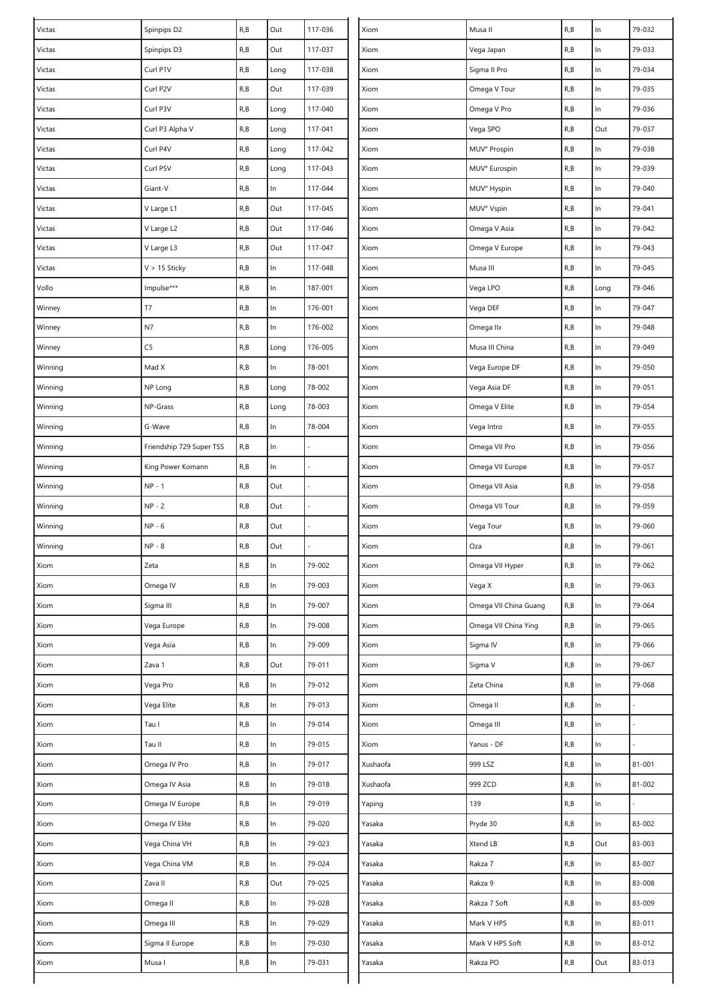| Victas  | Spinpips D2              | R, B                    | Out   | 117-036 | Xiom     | Musa II               | R, B | In    | 79-032     |
|---------|--------------------------|-------------------------|-------|---------|----------|-----------------------|------|-------|------------|
| Victas  | Spinpips D3              | R, B                    | Out   | 117-037 | Xiom     | Vega Japan            | R, B | $\ln$ | 79-033     |
| Victas  | Curl P1V                 | R, B                    | Long  | 117-038 | Xiom     | Sigma II Pro          | R, B | $\ln$ | 79-034     |
| Victas  | Curl P2V                 | R, B                    | Out   | 117-039 | Xiom     | Omega V Tour          | R, B | $\ln$ | 79-035     |
| Victas  | Curl P3V                 | R, B                    | Long  | 117-040 | Xiom     | Omega V Pro           | R,B  | $\ln$ | 79-036     |
| Victas  | Curl P3 Alpha V          | R, B                    | Long  | 117-041 | Xiom     | Vega SPO              | R, B | Out   | 79-037     |
| Victas  | Curl P4V                 | R, B                    | Long  | 117-042 | Xiom     | MUV° Prospin          | R, B | $\ln$ | 79-038     |
| Victas  | Curl P5V                 | R, B                    | Long  | 117-043 | Xiom     | MUV° Eurospin         | R, B | $\ln$ | 79-039     |
| Victas  | Giant-V                  | R, B                    | In    | 117-044 | Xiom     | MUV° Hyspin           | R, B | $\ln$ | 79-040     |
| Victas  | V Large L1               | R, B                    | Out   | 117-045 | Xiom     | MUV° Vspin            | R, B | $\ln$ | 79-041     |
| Victas  | V Large L2               | $\mathsf{R},\mathsf{B}$ | Out   | 117-046 | Xiom     | Omega V Asia          | R, B | In    | 79-042     |
| Victas  | V Large L3               | R, B                    | Out   | 117-047 | Xiom     | Omega V Europe        | R, B | $\ln$ | 79-043     |
| Victas  | $V > 15$ Sticky          | R, B                    | In    | 117-048 | Xiom     | Musa III              | R, B | In    | 79-045     |
| Vollo   | Impulse***               | R, B                    | $\ln$ | 187-001 | Xiom     | Vega LPO              | R, B | Long  | 79-046     |
| Winney  | T7                       | R, B                    | ln    | 176-001 | Xiom     | Vega DEF              | R, B | In    | 79-047     |
| Winney  | N7                       | R, B                    | ln    | 176-002 | Xiom     | Omega IIx             | R, B | In    | 79-048     |
| Winney  | C <sub>5</sub>           | R, B                    | Long  | 176-005 | Xiom     | Musa III China        | R, B | $\ln$ | 79-049     |
| Winning | Mad X                    | R, B                    | In    | 78-001  | Xiom     | Vega Europe DF        | R, B | In    | 79-050     |
| Winning | NP Long                  | R, B                    | Long  | 78-002  | Xiom     | Vega Asia DF          | R, B | $\ln$ | 79-051     |
| Winning | NP-Grass                 | R, B                    | Long  | 78-003  | Xiom     | Omega V Elite         | R,B  | $\ln$ | 79-054     |
| Winning | G-Wave                   | R, B                    | ln    | 78-004  | Xiom     | Vega Intro            | R, B | $\ln$ | 79-055     |
| Winning | Friendship 729 Super TSS | R, B                    | $\ln$ |         | Xiom     | Omega VII Pro         | R, B | $\ln$ | 79-056     |
| Winning | King Power Komann        | R, B                    | $\ln$ |         | Xiom     | Omega VII Europe      | R, B | In    | 79-057     |
| Winning | $NP - 1$                 | R, B                    | Out   |         | Xiom     | Omega VII Asia        | R, B | $\ln$ | 79-058     |
| Winning | $NP - 2$                 | R, B                    | Out   |         | Xiom     | Omega VII Tour        | R, B | In    | 79-059     |
| Winning | $NP - 6$                 | R, B                    | Out   |         | Xiom     | Vega Tour             | R,B  | $\ln$ | 79-060     |
| Winning | $NP - 8$                 | R, B                    | Out   |         | Xiom     | Oza                   | R, B | In    | 79-061     |
| Xiom    | Zeta                     | R, B                    | $\ln$ | 79-002  | Xiom     | Omega VII Hyper       | R, B | In    | 79-062     |
| Xiom    | Omega IV                 | R, B                    | ln    | 79-003  | Xiom     | Vega X                | R, B | $\ln$ | 79-063     |
| Xiom    | Sigma III                | R, B                    | ln    | 79-007  | Xiom     | Omega VII China Guang | R, B | $\ln$ | 79-064     |
| Xiom    | Vega Europe              | R, B                    | $\ln$ | 79-008  | Xiom     | Omega VII China Ying  | R, B | $\ln$ | 79-065     |
| Xiom    | Vega Asia                | R, B                    | ln    | 79-009  | Xiom     | Sigma IV              | R, B | $\ln$ | 79-066     |
| Xiom    | Zava 1                   | R, B                    | Out   | 79-011  | Xiom     | Sigma V               | R, B | $\ln$ | 79-067     |
| Xiom    | Vega Pro                 | R, B                    | ln    | 79-012  | Xiom     | Zeta China            | R,B  | $\ln$ | 79-068     |
| Xiom    | Vega Elite               | R, B                    | $\ln$ | 79-013  | Xiom     | Omega II              | R, B | $\ln$ |            |
| Xiom    | Tau I                    | R, B                    | $\ln$ | 79-014  | Xiom     | Omega III             | R, B | $\ln$ |            |
| Xiom    | Tau II                   | R, B                    | $\ln$ | 79-015  | Xiom     | Yanus - DF            | R, B | $\ln$ |            |
| Xiom    | Omega IV Pro             | R, B                    | ln    | 79-017  | Xushaofa | 999 LSZ               | R, B | $\ln$ | $81 - 001$ |
| Xiom    | Omega IV Asia            | R, B                    | ln    | 79-018  | Xushaofa | 999 ZCD               | R, B | $\ln$ | 81-002     |
| Xiom    | Omega IV Europe          | R, B                    | $\ln$ | 79-019  | Yaping   | 139                   | R, B | $\ln$ |            |
| Xiom    | Omega IV Elite           | R, B                    | ln    | 79-020  | Yasaka   | Pryde 30              | R, B | In    | 83-002     |
| Xiom    | Vega China VH            | R, B                    | $\ln$ | 79-023  | Yasaka   | Xtend LB              | R, B | Out   | 83-003     |
| Xiom    | Vega China VM            | R, B                    | ln    | 79-024  | Yasaka   | Rakza 7               | R, B | $\ln$ | 83-007     |
| Xiom    | Zava II                  | R, B                    | Out   | 79-025  | Yasaka   | Rakza 9               | R, B | $\ln$ | 83-008     |
| Xiom    | Omega II                 | R, B                    | ln    | 79-028  | Yasaka   | Rakza 7 Soft          | R, B | $\ln$ | 83-009     |
| Xiom    | Omega III                | R, B                    | $\ln$ | 79-029  | Yasaka   | Mark V HPS            | R, B | $\ln$ | 83-011     |
| Xiom    | Sigma II Europe          | R, B                    | $\ln$ | 79-030  | Yasaka   | Mark V HPS Soft       | R, B | $\ln$ | 83-012     |
| Xiom    | Musa I                   | R, B                    | In    | 79-031  | Yasaka   | Rakza PO              | R, B | Out   | 83-013     |
|         |                          |                         |       |         |          |                       |      |       |            |